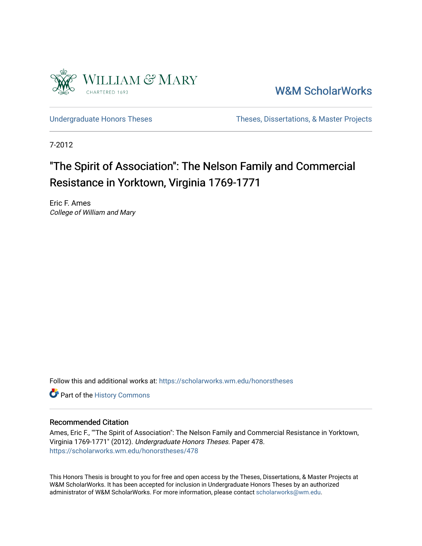

[W&M ScholarWorks](https://scholarworks.wm.edu/) 

[Undergraduate Honors Theses](https://scholarworks.wm.edu/honorstheses) Theses Theses, Dissertations, & Master Projects

7-2012

# "The Spirit of Association": The Nelson Family and Commercial Resistance in Yorktown, Virginia 1769-1771

Eric F. Ames College of William and Mary

Follow this and additional works at: [https://scholarworks.wm.edu/honorstheses](https://scholarworks.wm.edu/honorstheses?utm_source=scholarworks.wm.edu%2Fhonorstheses%2F478&utm_medium=PDF&utm_campaign=PDFCoverPages) 

Part of the [History Commons](http://network.bepress.com/hgg/discipline/489?utm_source=scholarworks.wm.edu%2Fhonorstheses%2F478&utm_medium=PDF&utm_campaign=PDFCoverPages) 

#### Recommended Citation

Ames, Eric F., ""The Spirit of Association": The Nelson Family and Commercial Resistance in Yorktown, Virginia 1769-1771" (2012). Undergraduate Honors Theses. Paper 478. [https://scholarworks.wm.edu/honorstheses/478](https://scholarworks.wm.edu/honorstheses/478?utm_source=scholarworks.wm.edu%2Fhonorstheses%2F478&utm_medium=PDF&utm_campaign=PDFCoverPages) 

This Honors Thesis is brought to you for free and open access by the Theses, Dissertations, & Master Projects at W&M ScholarWorks. It has been accepted for inclusion in Undergraduate Honors Theses by an authorized administrator of W&M ScholarWorks. For more information, please contact [scholarworks@wm.edu.](mailto:scholarworks@wm.edu)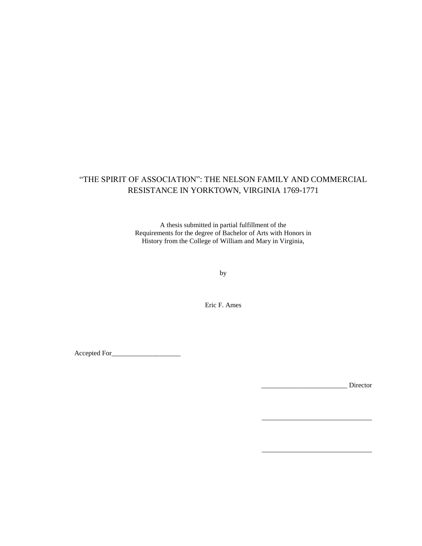# "THE SPIRIT OF ASSOCIATION": THE NELSON FAMILY AND COMMERCIAL RESISTANCE IN YORKTOWN, VIRGINIA 1769-1771

A thesis submitted in partial fulfillment of the Requirements for the degree of Bachelor of Arts with Honors in History from the College of William and Mary in Virginia,

by

Eric F. Ames

Accepted For\_\_\_\_\_\_\_\_\_\_\_\_\_\_\_\_\_\_\_\_

\_\_\_\_\_\_\_\_\_\_\_\_\_\_\_\_\_\_\_\_\_\_\_\_\_ Director

\_\_\_\_\_\_\_\_\_\_\_\_\_\_\_\_\_\_\_\_\_\_\_\_\_\_\_\_\_\_\_\_

\_\_\_\_\_\_\_\_\_\_\_\_\_\_\_\_\_\_\_\_\_\_\_\_\_\_\_\_\_\_\_\_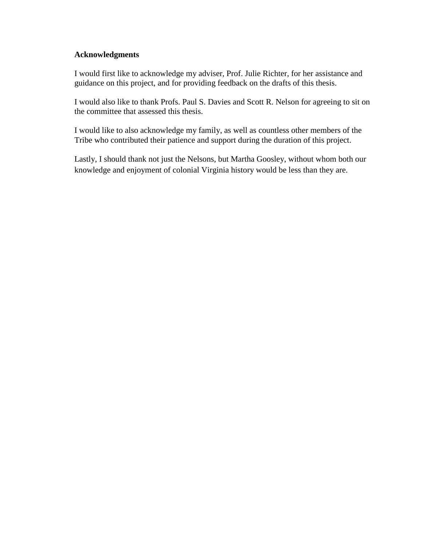## **Acknowledgments**

I would first like to acknowledge my adviser, Prof. Julie Richter, for her assistance and guidance on this project, and for providing feedback on the drafts of this thesis.

I would also like to thank Profs. Paul S. Davies and Scott R. Nelson for agreeing to sit on the committee that assessed this thesis.

I would like to also acknowledge my family, as well as countless other members of the Tribe who contributed their patience and support during the duration of this project.

Lastly, I should thank not just the Nelsons, but Martha Goosley, without whom both our knowledge and enjoyment of colonial Virginia history would be less than they are.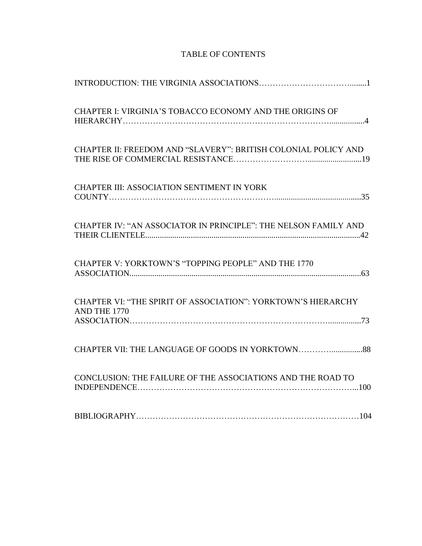| CHAPTER I: VIRGINIA'S TOBACCO ECONOMY AND THE ORIGINS OF                      |
|-------------------------------------------------------------------------------|
| CHAPTER II: FREEDOM AND "SLAVERY": BRITISH COLONIAL POLICY AND                |
| CHAPTER III: ASSOCIATION SENTIMENT IN YORK                                    |
| CHAPTER IV: "AN ASSOCIATOR IN PRINCIPLE": THE NELSON FAMILY AND               |
| CHAPTER V: YORKTOWN'S "TOPPING PEOPLE" AND THE 1770                           |
| CHAPTER VI: "THE SPIRIT OF ASSOCIATION": YORKTOWN'S HIERARCHY<br>AND THE 1770 |
|                                                                               |
| CONCLUSION: THE FAILURE OF THE ASSOCIATIONS AND THE ROAD TO                   |
|                                                                               |

# TABLE OF CONTENTS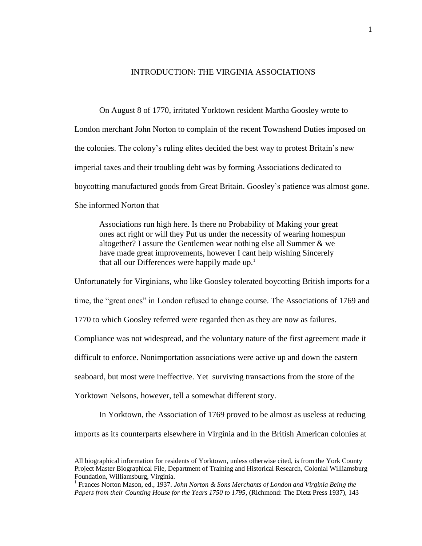### INTRODUCTION: THE VIRGINIA ASSOCIATIONS

On August 8 of 1770, irritated Yorktown resident Martha Goosley wrote to London merchant John Norton to complain of the recent Townshend Duties imposed on the colonies. The colony's ruling elites decided the best way to protest Britain's new imperial taxes and their troubling debt was by forming Associations dedicated to boycotting manufactured goods from Great Britain. Goosley's patience was almost gone. She informed Norton that

Associations run high here. Is there no Probability of Making your great ones act right or will they Put us under the necessity of wearing homespun altogether? I assure the Gentlemen wear nothing else all Summer & we have made great improvements, however I cant help wishing Sincerely that all our Differences were happily made  $up.1$ 

Unfortunately for Virginians, who like Goosley tolerated boycotting British imports for a

time, the "great ones" in London refused to change course. The Associations of 1769 and

1770 to which Goosley referred were regarded then as they are now as failures.

Compliance was not widespread, and the voluntary nature of the first agreement made it

difficult to enforce. Nonimportation associations were active up and down the eastern

seaboard, but most were ineffective. Yet surviving transactions from the store of the

Yorktown Nelsons, however, tell a somewhat different story.

 $\overline{a}$ 

In Yorktown, the Association of 1769 proved to be almost as useless at reducing

imports as its counterparts elsewhere in Virginia and in the British American colonies at

All biographical information for residents of Yorktown, unless otherwise cited, is from the York County Project Master Biographical File, Department of Training and Historical Research, Colonial Williamsburg Foundation, Williamsburg, Virginia.

<sup>&</sup>lt;sup>1</sup> Frances Norton Mason, ed., 1937. *John Norton & Sons Merchants of London and Virginia Being the Papers from their Counting House for the Years 1750 to 1795*, (Richmond: The Dietz Press 1937), 143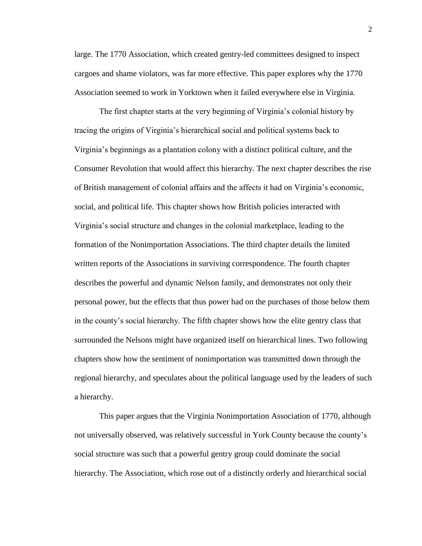large. The 1770 Association, which created gentry-led committees designed to inspect cargoes and shame violators, was far more effective. This paper explores why the 1770 Association seemed to work in Yorktown when it failed everywhere else in Virginia.

The first chapter starts at the very beginning of Virginia's colonial history by tracing the origins of Virginia's hierarchical social and political systems back to Virginia's beginnings as a plantation colony with a distinct political culture, and the Consumer Revolution that would affect this hierarchy. The next chapter describes the rise of British management of colonial affairs and the affects it had on Virginia's economic, social, and political life. This chapter shows how British policies interacted with Virginia's social structure and changes in the colonial marketplace, leading to the formation of the Nonimportation Associations. The third chapter details the limited written reports of the Associations in surviving correspondence. The fourth chapter describes the powerful and dynamic Nelson family, and demonstrates not only their personal power, but the effects that thus power had on the purchases of those below them in the county's social hierarchy. The fifth chapter shows how the elite gentry class that surrounded the Nelsons might have organized itself on hierarchical lines. Two following chapters show how the sentiment of nonimportation was transmitted down through the regional hierarchy, and speculates about the political language used by the leaders of such a hierarchy.

This paper argues that the Virginia Nonimportation Association of 1770, although not universally observed, was relatively successful in York County because the county's social structure was such that a powerful gentry group could dominate the social hierarchy. The Association, which rose out of a distinctly orderly and hierarchical social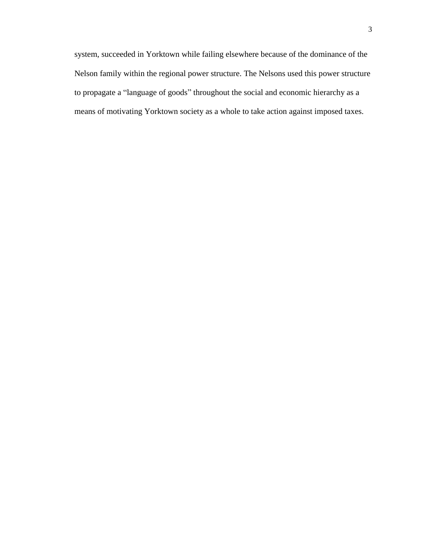system, succeeded in Yorktown while failing elsewhere because of the dominance of the Nelson family within the regional power structure. The Nelsons used this power structure to propagate a "language of goods" throughout the social and economic hierarchy as a means of motivating Yorktown society as a whole to take action against imposed taxes.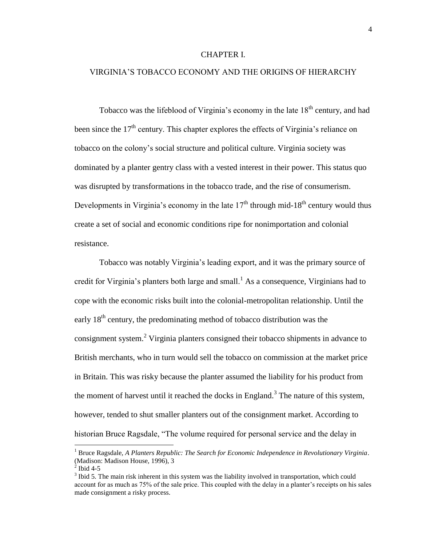#### CHAPTER I.

### VIRGINIA'S TOBACCO ECONOMY AND THE ORIGINS OF HIERARCHY

Tobacco was the lifeblood of Virginia's economy in the late  $18<sup>th</sup>$  century, and had been since the 17<sup>th</sup> century. This chapter explores the effects of Virginia's reliance on tobacco on the colony's social structure and political culture. Virginia society was dominated by a planter gentry class with a vested interest in their power. This status quo was disrupted by transformations in the tobacco trade, and the rise of consumerism. Developments in Virginia's economy in the late  $17<sup>th</sup>$  through mid-18<sup>th</sup> century would thus create a set of social and economic conditions ripe for nonimportation and colonial resistance.

Tobacco was notably Virginia's leading export, and it was the primary source of credit for Virginia's planters both large and small.<sup>1</sup> As a consequence, Virginians had to cope with the economic risks built into the colonial-metropolitan relationship. Until the early  $18<sup>th</sup>$  century, the predominating method of tobacco distribution was the consignment system.<sup>2</sup> Virginia planters consigned their tobacco shipments in advance to British merchants, who in turn would sell the tobacco on commission at the market price in Britain. This was risky because the planter assumed the liability for his product from the moment of harvest until it reached the docks in England.<sup>3</sup> The nature of this system, however, tended to shut smaller planters out of the consignment market. According to historian Bruce Ragsdale, "The volume required for personal service and the delay in

l

<sup>1</sup> Bruce Ragsdale, *A Planters Republic: The Search for Economic Independence in Revolutionary Virginia*. (Madison: Madison House, 1996), 3

 $^{2}$  Ibid 4-5

 $3$  Ibid 5. The main risk inherent in this system was the liability involved in transportation, which could account for as much as 75% of the sale price. This coupled with the delay in a planter's receipts on his sales made consignment a risky process.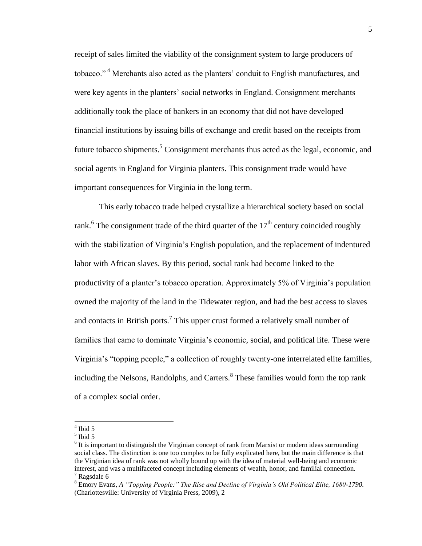receipt of sales limited the viability of the consignment system to large producers of tobacco." <sup>4</sup> Merchants also acted as the planters' conduit to English manufactures, and were key agents in the planters' social networks in England. Consignment merchants additionally took the place of bankers in an economy that did not have developed financial institutions by issuing bills of exchange and credit based on the receipts from future tobacco shipments.<sup>5</sup> Consignment merchants thus acted as the legal, economic, and social agents in England for Virginia planters. This consignment trade would have important consequences for Virginia in the long term.

This early tobacco trade helped crystallize a hierarchical society based on social rank.<sup>6</sup> The consignment trade of the third quarter of the  $17<sup>th</sup>$  century coincided roughly with the stabilization of Virginia's English population, and the replacement of indentured labor with African slaves. By this period, social rank had become linked to the productivity of a planter's tobacco operation. Approximately 5% of Virginia's population owned the majority of the land in the Tidewater region, and had the best access to slaves and contacts in British ports.<sup>7</sup> This upper crust formed a relatively small number of families that came to dominate Virginia's economic, social, and political life. These were Virginia's "topping people," a collection of roughly twenty-one interrelated elite families, including the Nelsons, Randolphs, and Carters. <sup>8</sup> These families would form the top rank of a complex social order.

 $4$  Ibid 5

<sup>5</sup> Ibid 5

 $6$  It is important to distinguish the Virginian concept of rank from Marxist or modern ideas surrounding social class. The distinction is one too complex to be fully explicated here, but the main difference is that the Virginian idea of rank was not wholly bound up with the idea of material well-being and economic interest, and was a multifaceted concept including elements of wealth, honor, and familial connection.  $7$  Ragsdale 6

<sup>8</sup> Emory Evans, *A "Topping People:" The Rise and Decline of Virginia's Old Political Elite, 1680-1790.* (Charlottesville: University of Virginia Press, 2009), 2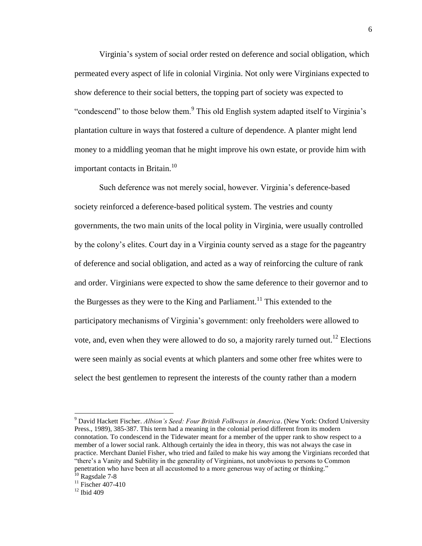Virginia's system of social order rested on deference and social obligation, which permeated every aspect of life in colonial Virginia. Not only were Virginians expected to show deference to their social betters, the topping part of society was expected to "condescend" to those below them.<sup>9</sup> This old English system adapted itself to Virginia's plantation culture in ways that fostered a culture of dependence. A planter might lend money to a middling yeoman that he might improve his own estate, or provide him with important contacts in Britain.<sup>10</sup>

Such deference was not merely social, however. Virginia's deference-based society reinforced a deference-based political system. The vestries and county governments, the two main units of the local polity in Virginia, were usually controlled by the colony's elites. Court day in a Virginia county served as a stage for the pageantry of deference and social obligation, and acted as a way of reinforcing the culture of rank and order. Virginians were expected to show the same deference to their governor and to the Burgesses as they were to the King and Parliament.<sup>11</sup> This extended to the participatory mechanisms of Virginia's government: only freeholders were allowed to vote, and, even when they were allowed to do so, a majority rarely turned out.<sup>12</sup> Elections were seen mainly as social events at which planters and some other free whites were to select the best gentlemen to represent the interests of the county rather than a modern

<sup>9</sup> David Hackett Fischer. *Albion's Seed: Four British Folkways in America*. (New York: Oxford University Press., 1989), 385-387. This term had a meaning in the colonial period different from its modern connotation. To condescend in the Tidewater meant for a member of the upper rank to show respect to a member of a lower social rank. Although certainly the idea in theory, this was not always the case in practice. Merchant Daniel Fisher, who tried and failed to make his way among the Virginians recorded that "there's a Vanity and Subtility in the generality of Virginians, not unobvious to persons to Common penetration who have been at all accustomed to a more generous way of acting or thinking." <sup>10</sup> Ragsdale 7-8

 $^{11}$  Fischer 407-410

 $12$  Ibid 409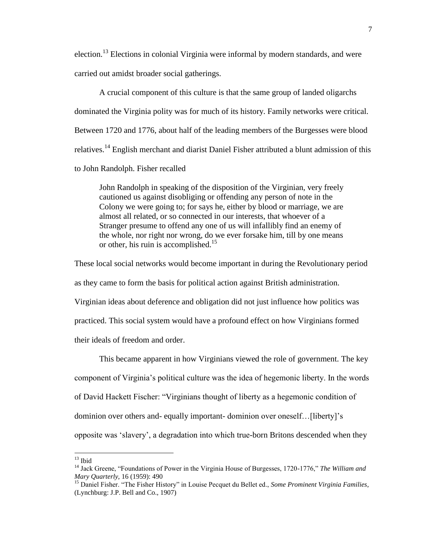election.<sup>13</sup> Elections in colonial Virginia were informal by modern standards, and were carried out amidst broader social gatherings.

A crucial component of this culture is that the same group of landed oligarchs dominated the Virginia polity was for much of its history. Family networks were critical. Between 1720 and 1776, about half of the leading members of the Burgesses were blood relatives.<sup>14</sup> English merchant and diarist Daniel Fisher attributed a blunt admission of this to John Randolph. Fisher recalled

John Randolph in speaking of the disposition of the Virginian, very freely cautioned us against disobliging or offending any person of note in the Colony we were going to; for says he, either by blood or marriage, we are almost all related, or so connected in our interests, that whoever of a Stranger presume to offend any one of us will infallibly find an enemy of the whole, nor right nor wrong, do we ever forsake him, till by one means or other, his ruin is accomplished.<sup>15</sup>

These local social networks would become important in during the Revolutionary period as they came to form the basis for political action against British administration. Virginian ideas about deference and obligation did not just influence how politics was practiced. This social system would have a profound effect on how Virginians formed their ideals of freedom and order.

This became apparent in how Virginians viewed the role of government. The key component of Virginia's political culture was the idea of hegemonic liberty. In the words of David Hackett Fischer: "Virginians thought of liberty as a hegemonic condition of dominion over others and- equally important- dominion over oneself…[liberty]'s opposite was 'slavery', a degradation into which true-born Britons descended when they

 $\overline{a}$ 

 $13$  Ibid

<sup>14</sup> Jack Greene, "Foundations of Power in the Virginia House of Burgesses, 1720-1776," *The William and Mary Quarterly,* 16 (1959): 490

<sup>15</sup> Daniel Fisher. "The Fisher History" in Louise Pecquet du Bellet ed., *Some Prominent Virginia Families*, (Lynchburg: J.P. Bell and Co., 1907)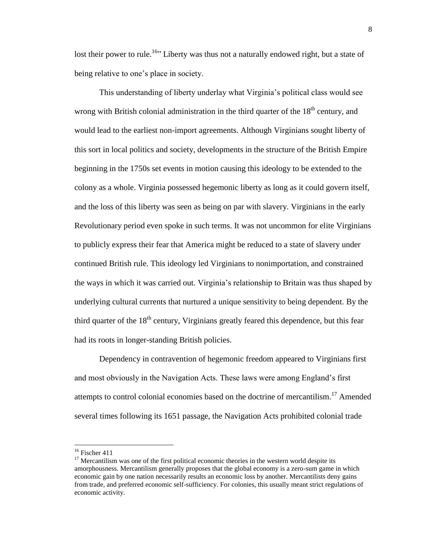lost their power to rule.<sup>16</sup><sup>16</sup> Liberty was thus not a naturally endowed right, but a state of being relative to one's place in society.

This understanding of liberty underlay what Virginia's political class would see wrong with British colonial administration in the third quarter of the  $18<sup>th</sup>$  century, and would lead to the earliest non-import agreements. Although Virginians sought liberty of this sort in local politics and society, developments in the structure of the British Empire beginning in the 1750s set events in motion causing this ideology to be extended to the colony as a whole. Virginia possessed hegemonic liberty as long as it could govern itself, and the loss of this liberty was seen as being on par with slavery. Virginians in the early Revolutionary period even spoke in such terms. It was not uncommon for elite Virginians to publicly express their fear that America might be reduced to a state of slavery under continued British rule. This ideology led Virginians to nonimportation, and constrained the ways in which it was carried out. Virginia's relationship to Britain was thus shaped by underlying cultural currents that nurtured a unique sensitivity to being dependent. By the third quarter of the  $18<sup>th</sup>$  century, Virginians greatly feared this dependence, but this fear had its roots in longer-standing British policies.

Dependency in contravention of hegemonic freedom appeared to Virginians first and most obviously in the Navigation Acts. These laws were among England's first attempts to control colonial economies based on the doctrine of mercantilism.<sup>17</sup> Amended several times following its 1651 passage, the Navigation Acts prohibited colonial trade

l

<sup>&</sup>lt;sup>16</sup> Fischer 411

 $17$  Mercantilism was one of the first political economic theories in the western world despite its amorphousness. Mercantilism generally proposes that the global economy is a zero-sum game in which economic gain by one nation necessarily results an economic loss by another. Mercantilists deny gains from trade, and preferred economic self-sufficiency. For colonies, this usually meant strict regulations of economic activity.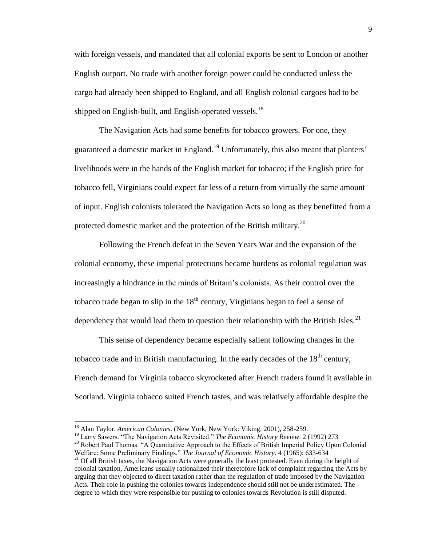with foreign vessels, and mandated that all colonial exports be sent to London or another English outport. No trade with another foreign power could be conducted unless the cargo had already been shipped to England, and all English colonial cargoes had to be shipped on English-built, and English-operated vessels.<sup>18</sup>

The Navigation Acts had some benefits for tobacco growers. For one, they guaranteed a domestic market in England.<sup>19</sup> Unfortunately, this also meant that planters' livelihoods were in the hands of the English market for tobacco; if the English price for tobacco fell, Virginians could expect far less of a return from virtually the same amount of input. English colonists tolerated the Navigation Acts so long as they benefitted from a protected domestic market and the protection of the British military.<sup>20</sup>

Following the French defeat in the Seven Years War and the expansion of the colonial economy, these imperial protections became burdens as colonial regulation was increasingly a hindrance in the minds of Britain's colonists. As their control over the tobacco trade began to slip in the  $18<sup>th</sup>$  century, Virginians began to feel a sense of dependency that would lead them to question their relationship with the British Isles. $^{21}$ 

This sense of dependency became especially salient following changes in the tobacco trade and in British manufacturing. In the early decades of the  $18<sup>th</sup>$  century, French demand for Virginia tobacco skyrocketed after French traders found it available in Scotland. Virginia tobacco suited French tastes, and was relatively affordable despite the

<sup>18</sup> Alan Taylor. *American Colonies*. (New York, New York: Viking, 2001), 258-259.

<sup>19</sup> Larry Sawers. "The Navigation Acts Revisited." *The Economic History Review*. 2 (1992) 273

<sup>&</sup>lt;sup>20</sup> Robert Paul Thomas. "A Quantitative Approach to the Effects of British Imperial Policy Upon Colonial Welfare: Some Preliminary Findings." *The Journal of Economic History*. 4 (1965): 633-634

<sup>&</sup>lt;sup>21</sup> Of all British taxes, the Navigation Acts were generally the least protested. Even during the height of colonial taxation, Americans usually rationalized their theretofore lack of complaint regarding the Acts by arguing that they objected to direct taxation rather than the regulation of trade imposed by the Navigation Acts. Their role in pushing the colonies towards independence should still not be underestimated. The degree to which they were responsible for pushing to colonies towards Revolution is still disputed.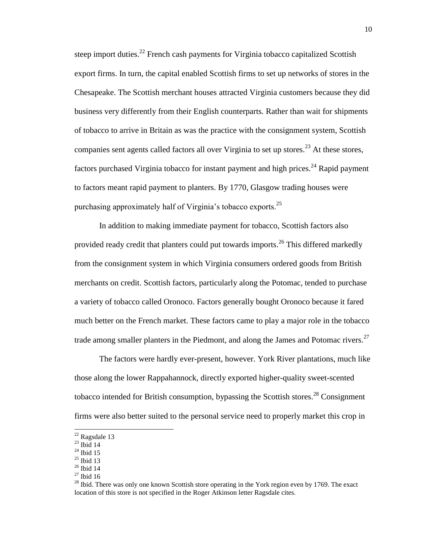steep import duties.<sup>22</sup> French cash payments for Virginia tobacco capitalized Scottish export firms. In turn, the capital enabled Scottish firms to set up networks of stores in the Chesapeake. The Scottish merchant houses attracted Virginia customers because they did business very differently from their English counterparts. Rather than wait for shipments of tobacco to arrive in Britain as was the practice with the consignment system, Scottish companies sent agents called factors all over Virginia to set up stores.<sup>23</sup> At these stores, factors purchased Virginia tobacco for instant payment and high prices.<sup>24</sup> Rapid payment to factors meant rapid payment to planters. By 1770, Glasgow trading houses were purchasing approximately half of Virginia's tobacco exports.  $2^5$ 

In addition to making immediate payment for tobacco, Scottish factors also provided ready credit that planters could put towards imports.<sup>26</sup> This differed markedly from the consignment system in which Virginia consumers ordered goods from British merchants on credit. Scottish factors, particularly along the Potomac, tended to purchase a variety of tobacco called Oronoco. Factors generally bought Oronoco because it fared much better on the French market. These factors came to play a major role in the tobacco trade among smaller planters in the Piedmont, and along the James and Potomac rivers.<sup>27</sup>

The factors were hardly ever-present, however. York River plantations, much like those along the lower Rappahannock, directly exported higher-quality sweet-scented tobacco intended for British consumption, bypassing the Scottish stores.<sup>28</sup> Consignment firms were also better suited to the personal service need to properly market this crop in

 $\overline{a}$ 

 $27$  Ibid 16

 $22$  Ragsdale 13

 $23$  Ibid 14

 $24$  Ibid 15

 $25$  Ibid 13

<sup>26</sup> Ibid 14

 $^{28}$  Ibid. There was only one known Scottish store operating in the York region even by 1769. The exact location of this store is not specified in the Roger Atkinson letter Ragsdale cites.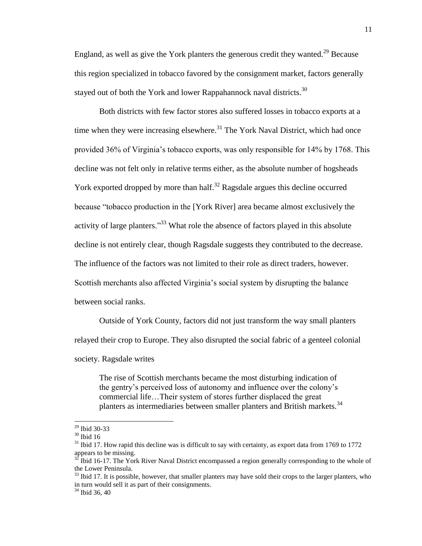England, as well as give the York planters the generous credit they wanted.<sup>29</sup> Because this region specialized in tobacco favored by the consignment market, factors generally stayed out of both the York and lower Rappahannock naval districts.<sup>30</sup>

Both districts with few factor stores also suffered losses in tobacco exports at a time when they were increasing elsewhere.<sup>31</sup> The York Naval District, which had once provided 36% of Virginia's tobacco exports, was only responsible for 14% by 1768. This decline was not felt only in relative terms either, as the absolute number of hogsheads York exported dropped by more than half.<sup>32</sup> Ragsdale argues this decline occurred because "tobacco production in the [York River] area became almost exclusively the activity of large planters."<sup>33</sup> What role the absence of factors played in this absolute decline is not entirely clear, though Ragsdale suggests they contributed to the decrease. The influence of the factors was not limited to their role as direct traders, however. Scottish merchants also affected Virginia's social system by disrupting the balance between social ranks.

Outside of York County, factors did not just transform the way small planters relayed their crop to Europe. They also disrupted the social fabric of a genteel colonial society. Ragsdale writes

The rise of Scottish merchants became the most disturbing indication of the gentry's perceived loss of autonomy and influence over the colony's commercial life…Their system of stores further displaced the great planters as intermediaries between smaller planters and British markets.<sup>34</sup>

<sup>29</sup> Ibid 30-33

<sup>30</sup> Ibid 16

 $31$  Ibid 17. How rapid this decline was is difficult to say with certainty, as export data from 1769 to 1772 appears to be missing.

 $\frac{32}{32}$  Ibid 16-17. The York River Naval District encompassed a region generally corresponding to the whole of the Lower Peninsula.

 $33$  Ibid 17. It is possible, however, that smaller planters may have sold their crops to the larger planters, who in turn would sell it as part of their consignments.

 $34$  Ibid 36, 40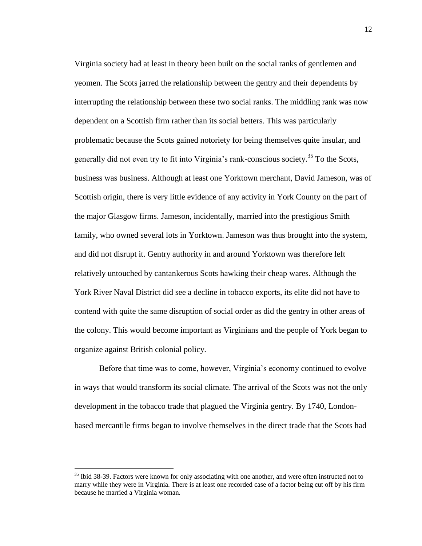Virginia society had at least in theory been built on the social ranks of gentlemen and yeomen. The Scots jarred the relationship between the gentry and their dependents by interrupting the relationship between these two social ranks. The middling rank was now dependent on a Scottish firm rather than its social betters. This was particularly problematic because the Scots gained notoriety for being themselves quite insular, and generally did not even try to fit into Virginia's rank-conscious society.<sup>35</sup> To the Scots, business was business. Although at least one Yorktown merchant, David Jameson, was of Scottish origin, there is very little evidence of any activity in York County on the part of the major Glasgow firms. Jameson, incidentally, married into the prestigious Smith family, who owned several lots in Yorktown. Jameson was thus brought into the system, and did not disrupt it. Gentry authority in and around Yorktown was therefore left relatively untouched by cantankerous Scots hawking their cheap wares. Although the York River Naval District did see a decline in tobacco exports, its elite did not have to contend with quite the same disruption of social order as did the gentry in other areas of the colony. This would become important as Virginians and the people of York began to organize against British colonial policy.

Before that time was to come, however, Virginia's economy continued to evolve in ways that would transform its social climate. The arrival of the Scots was not the only development in the tobacco trade that plagued the Virginia gentry. By 1740, Londonbased mercantile firms began to involve themselves in the direct trade that the Scots had

 $35$  Ibid 38-39. Factors were known for only associating with one another, and were often instructed not to marry while they were in Virginia. There is at least one recorded case of a factor being cut off by his firm because he married a Virginia woman.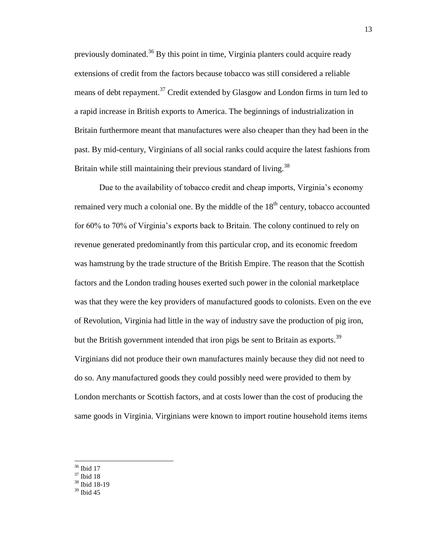previously dominated.<sup>36</sup> By this point in time, Virginia planters could acquire ready extensions of credit from the factors because tobacco was still considered a reliable means of debt repayment.<sup>37</sup> Credit extended by Glasgow and London firms in turn led to a rapid increase in British exports to America. The beginnings of industrialization in Britain furthermore meant that manufactures were also cheaper than they had been in the past. By mid-century, Virginians of all social ranks could acquire the latest fashions from Britain while still maintaining their previous standard of living.<sup>38</sup>

Due to the availability of tobacco credit and cheap imports, Virginia's economy remained very much a colonial one. By the middle of the  $18<sup>th</sup>$  century, tobacco accounted for 60% to 70% of Virginia's exports back to Britain. The colony continued to rely on revenue generated predominantly from this particular crop, and its economic freedom was hamstrung by the trade structure of the British Empire. The reason that the Scottish factors and the London trading houses exerted such power in the colonial marketplace was that they were the key providers of manufactured goods to colonists. Even on the eve of Revolution, Virginia had little in the way of industry save the production of pig iron, but the British government intended that iron pigs be sent to Britain as exports.<sup>39</sup> Virginians did not produce their own manufactures mainly because they did not need to do so. Any manufactured goods they could possibly need were provided to them by London merchants or Scottish factors, and at costs lower than the cost of producing the same goods in Virginia. Virginians were known to import routine household items items

- $38$  Ibid 18-19
- $39$  Ibid 45

 $\overline{\phantom{a}}$ <sup>36</sup> Ibid 17

 $37$  Ibid 18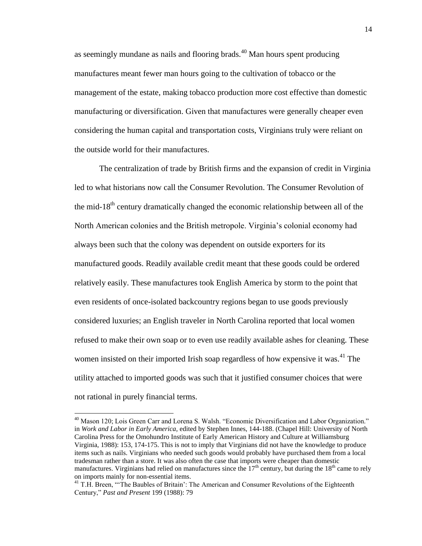as seemingly mundane as nails and flooring brads.<sup>40</sup> Man hours spent producing manufactures meant fewer man hours going to the cultivation of tobacco or the management of the estate, making tobacco production more cost effective than domestic manufacturing or diversification. Given that manufactures were generally cheaper even considering the human capital and transportation costs, Virginians truly were reliant on the outside world for their manufactures.

The centralization of trade by British firms and the expansion of credit in Virginia led to what historians now call the Consumer Revolution. The Consumer Revolution of the mid-18<sup>th</sup> century dramatically changed the economic relationship between all of the North American colonies and the British metropole. Virginia's colonial economy had always been such that the colony was dependent on outside exporters for its manufactured goods. Readily available credit meant that these goods could be ordered relatively easily. These manufactures took English America by storm to the point that even residents of once-isolated backcountry regions began to use goods previously considered luxuries; an English traveler in North Carolina reported that local women refused to make their own soap or to even use readily available ashes for cleaning. These women insisted on their imported Irish soap regardless of how expensive it was.<sup>41</sup> The utility attached to imported goods was such that it justified consumer choices that were not rational in purely financial terms.

<sup>&</sup>lt;sup>40</sup> Mason 120; Lois Green Carr and Lorena S. Walsh. "Economic Diversification and Labor Organization." in *Work and Labor in Early America,* edited by Stephen Innes, 144-188. (Chapel Hill: University of North Carolina Press for the Omohundro Institute of Early American History and Culture at Williamsburg Virginia, 1988): 153, 174-175. This is not to imply that Virginians did not have the knowledge to produce items such as nails. Virginians who needed such goods would probably have purchased them from a local tradesman rather than a store. It was also often the case that imports were cheaper than domestic manufactures. Virginians had relied on manufactures since the  $17<sup>th</sup>$  century, but during the 18<sup>th</sup> came to rely on imports mainly for non-essential items.

<sup>&</sup>lt;sup>41</sup> T.H. Breen, "The Baubles of Britain': The American and Consumer Revolutions of the Eighteenth Century," *Past and Present* 199 (1988): 79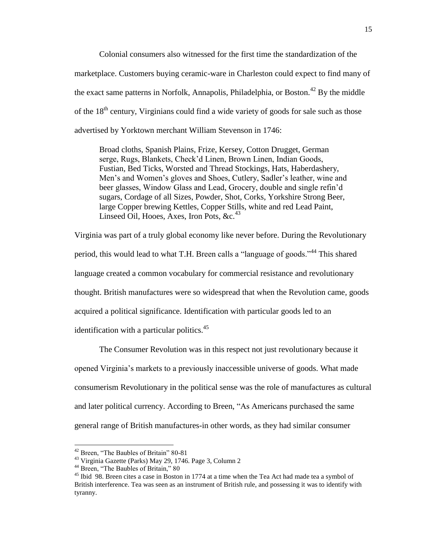Colonial consumers also witnessed for the first time the standardization of the marketplace. Customers buying ceramic-ware in Charleston could expect to find many of the exact same patterns in Norfolk, Annapolis, Philadelphia, or Boston.<sup>42</sup> By the middle of the 18<sup>th</sup> century, Virginians could find a wide variety of goods for sale such as those advertised by Yorktown merchant William Stevenson in 1746:

Broad cloths, Spanish Plains, Frize, Kersey, Cotton Drugget, German serge, Rugs, Blankets, Check'd Linen, Brown Linen, Indian Goods, Fustian, Bed Ticks, Worsted and Thread Stockings, Hats, Haberdashery, Men's and Women's gloves and Shoes, Cutlery, Sadler's leather, wine and beer glasses, Window Glass and Lead, Grocery, double and single refin'd sugars, Cordage of all Sizes, Powder, Shot, Corks, Yorkshire Strong Beer, large Copper brewing Kettles, Copper Stills, white and red Lead Paint, Linseed Oil, Hooes, Axes, Iron Pots,  $&c<sup>43</sup>$ 

Virginia was part of a truly global economy like never before. During the Revolutionary period, this would lead to what T.H. Breen calls a "language of goods."<sup>44</sup> This shared language created a common vocabulary for commercial resistance and revolutionary thought. British manufactures were so widespread that when the Revolution came, goods acquired a political significance. Identification with particular goods led to an identification with a particular politics. $45$ 

The Consumer Revolution was in this respect not just revolutionary because it opened Virginia's markets to a previously inaccessible universe of goods. What made consumerism Revolutionary in the political sense was the role of manufactures as cultural and later political currency. According to Breen, "As Americans purchased the same general range of British manufactures-in other words, as they had similar consumer

l

<sup>&</sup>lt;sup>42</sup> Breen, "The Baubles of Britain" 80-81

<sup>43</sup> Virginia Gazette (Parks) May 29, 1746. Page 3, Column 2

<sup>&</sup>lt;sup>44</sup> Breen, "The Baubles of Britain," 80

 $45$  Ibid 98. Breen cites a case in Boston in 1774 at a time when the Tea Act had made tea a symbol of British interference. Tea was seen as an instrument of British rule, and possessing it was to identify with tyranny.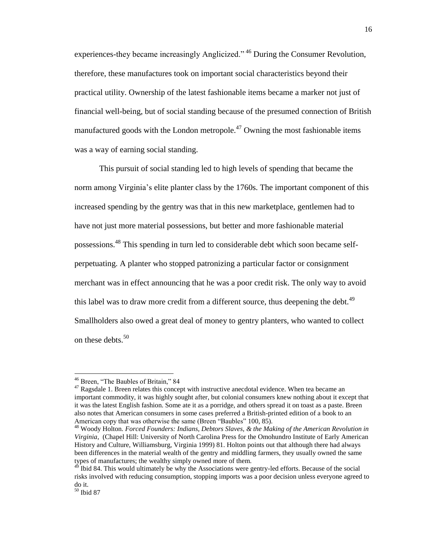experiences-they became increasingly Anglicized." <sup>46</sup> During the Consumer Revolution, therefore, these manufactures took on important social characteristics beyond their practical utility. Ownership of the latest fashionable items became a marker not just of financial well-being, but of social standing because of the presumed connection of British manufactured goods with the London metropole.<sup>47</sup> Owning the most fashionable items was a way of earning social standing.

This pursuit of social standing led to high levels of spending that became the norm among Virginia's elite planter class by the 1760s. The important component of this increased spending by the gentry was that in this new marketplace, gentlemen had to have not just more material possessions, but better and more fashionable material possessions.<sup>48</sup> This spending in turn led to considerable debt which soon became selfperpetuating. A planter who stopped patronizing a particular factor or consignment merchant was in effect announcing that he was a poor credit risk. The only way to avoid this label was to draw more credit from a different source, thus deepening the debt.<sup>49</sup> Smallholders also owed a great deal of money to gentry planters, who wanted to collect on these debts. $50$ 

l

<sup>46</sup> Breen, "The Baubles of Britain," 84

 $47$  Ragsdale 1. Breen relates this concept with instructive anecdotal evidence. When tea became an important commodity, it was highly sought after, but colonial consumers knew nothing about it except that it was the latest English fashion. Some ate it as a porridge, and others spread it on toast as a paste. Breen also notes that American consumers in some cases preferred a British-printed edition of a book to an American copy that was otherwise the same (Breen "Baubles" 100, 85).

<sup>48</sup> Woody Holton. *Forced Founders: Indians, Debtors Slaves, & the Making of the American Revolution in Virginia*, (Chapel Hill: University of North Carolina Press for the Omohundro Institute of Early American History and Culture, Williamsburg, Virginia 1999) 81. Holton points out that although there had always been differences in the material wealth of the gentry and middling farmers, they usually owned the same types of manufactures; the wealthy simply owned more of them.

<sup>&</sup>lt;sup>49</sup> Ibid 84. This would ultimately be why the Associations were gentry-led efforts. Because of the social risks involved with reducing consumption, stopping imports was a poor decision unless everyone agreed to do it.

 $50$  Ibid 87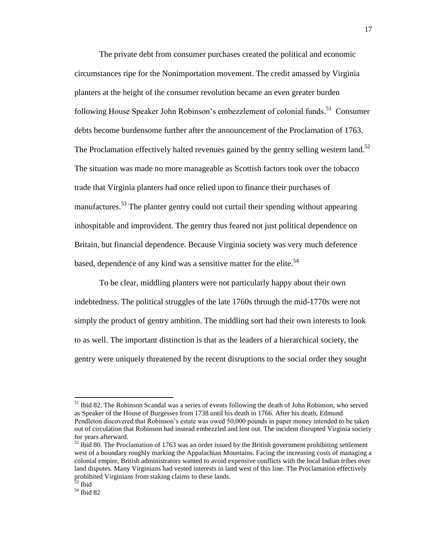The private debt from consumer purchases created the political and economic circumstances ripe for the Nonimportation movement. The credit amassed by Virginia planters at the height of the consumer revolution became an even greater burden following House Speaker John Robinson's embezzlement of colonial funds.<sup>51</sup> Consumer debts become burdensome further after the announcement of the Proclamation of 1763. The Proclamation effectively halted revenues gained by the gentry selling western land.<sup>52</sup> The situation was made no more manageable as Scottish factors took over the tobacco trade that Virginia planters had once relied upon to finance their purchases of manufactures.<sup>53</sup> The planter gentry could not curtail their spending without appearing inhospitable and improvident. The gentry thus feared not just political dependence on Britain, but financial dependence. Because Virginia society was very much deference based, dependence of any kind was a sensitive matter for the elite.<sup>54</sup>

To be clear, middling planters were not particularly happy about their own indebtedness. The political struggles of the late 1760s through the mid-1770s were not simply the product of gentry ambition. The middling sort had their own interests to look to as well. The important distinction is that as the leaders of a hierarchical society, the gentry were uniquely threatened by the recent disruptions to the social order they sought

 $\overline{a}$ 

<sup>&</sup>lt;sup>51</sup> Ibid 82. The Robinson Scandal was a series of events following the death of John Robinson, who served as Speaker of the House of Burgesses from 1738 until his death in 1766. After his death, Edmund Pendleton discovered that Robinson's estate was owed 50,000 pounds in paper money intended to be taken out of circulation that Robinson had instead embezzled and lent out. The incident disrupted Virginia society for years afterward.

 $52$  Ibid 80. The Proclamation of 1763 was an order issued by the British government prohibiting settlement west of a boundary roughly marking the Appalachian Mountains. Facing the increasing costs of managing a colonial empire, British administrators wanted to avoid expensive conflicts with the local Indian tribes over land disputes. Many Virginians had vested interests in land west of this line. The Proclamation effectively prohibited Virginians from staking claims to these lands.

<sup>&</sup>lt;sup>53</sup> Ibid

<sup>54</sup> Ibid 82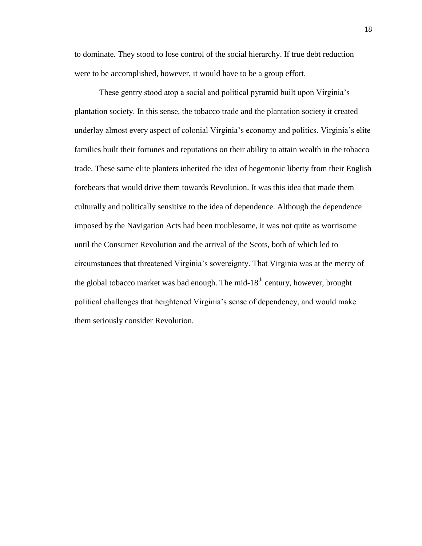to dominate. They stood to lose control of the social hierarchy. If true debt reduction were to be accomplished, however, it would have to be a group effort.

These gentry stood atop a social and political pyramid built upon Virginia's plantation society. In this sense, the tobacco trade and the plantation society it created underlay almost every aspect of colonial Virginia's economy and politics. Virginia's elite families built their fortunes and reputations on their ability to attain wealth in the tobacco trade. These same elite planters inherited the idea of hegemonic liberty from their English forebears that would drive them towards Revolution. It was this idea that made them culturally and politically sensitive to the idea of dependence. Although the dependence imposed by the Navigation Acts had been troublesome, it was not quite as worrisome until the Consumer Revolution and the arrival of the Scots, both of which led to circumstances that threatened Virginia's sovereignty. That Virginia was at the mercy of the global tobacco market was bad enough. The mid- $18^{th}$  century, however, brought political challenges that heightened Virginia's sense of dependency, and would make them seriously consider Revolution.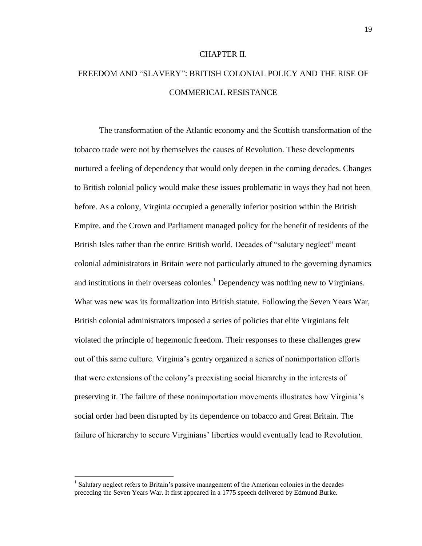#### CHAPTER II.

# FREEDOM AND "SLAVERY": BRITISH COLONIAL POLICY AND THE RISE OF COMMERICAL RESISTANCE

The transformation of the Atlantic economy and the Scottish transformation of the tobacco trade were not by themselves the causes of Revolution. These developments nurtured a feeling of dependency that would only deepen in the coming decades. Changes to British colonial policy would make these issues problematic in ways they had not been before. As a colony, Virginia occupied a generally inferior position within the British Empire, and the Crown and Parliament managed policy for the benefit of residents of the British Isles rather than the entire British world. Decades of "salutary neglect" meant colonial administrators in Britain were not particularly attuned to the governing dynamics and institutions in their overseas colonies.<sup>1</sup> Dependency was nothing new to Virginians. What was new was its formalization into British statute. Following the Seven Years War, British colonial administrators imposed a series of policies that elite Virginians felt violated the principle of hegemonic freedom. Their responses to these challenges grew out of this same culture. Virginia's gentry organized a series of nonimportation efforts that were extensions of the colony's preexisting social hierarchy in the interests of preserving it. The failure of these nonimportation movements illustrates how Virginia's social order had been disrupted by its dependence on tobacco and Great Britain. The failure of hierarchy to secure Virginians' liberties would eventually lead to Revolution.

<sup>&</sup>lt;sup>1</sup> Salutary neglect refers to Britain's passive management of the American colonies in the decades preceding the Seven Years War. It first appeared in a 1775 speech delivered by Edmund Burke.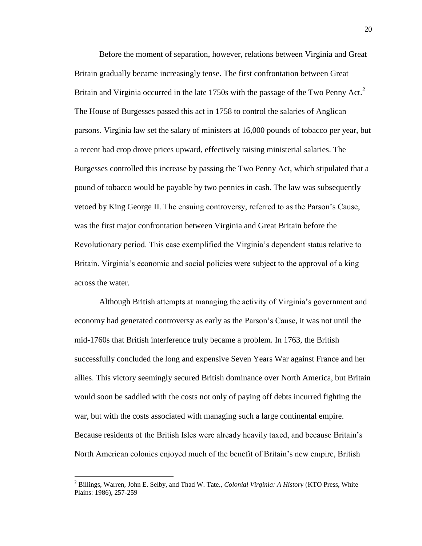Before the moment of separation, however, relations between Virginia and Great Britain gradually became increasingly tense. The first confrontation between Great Britain and Virginia occurred in the late  $1750s$  with the passage of the Two Penny Act.<sup>2</sup> The House of Burgesses passed this act in 1758 to control the salaries of Anglican parsons. Virginia law set the salary of ministers at 16,000 pounds of tobacco per year, but a recent bad crop drove prices upward, effectively raising ministerial salaries. The Burgesses controlled this increase by passing the Two Penny Act, which stipulated that a pound of tobacco would be payable by two pennies in cash. The law was subsequently vetoed by King George II. The ensuing controversy, referred to as the Parson's Cause, was the first major confrontation between Virginia and Great Britain before the Revolutionary period. This case exemplified the Virginia's dependent status relative to Britain. Virginia's economic and social policies were subject to the approval of a king across the water.

Although British attempts at managing the activity of Virginia's government and economy had generated controversy as early as the Parson's Cause, it was not until the mid-1760s that British interference truly became a problem. In 1763, the British successfully concluded the long and expensive Seven Years War against France and her allies. This victory seemingly secured British dominance over North America, but Britain would soon be saddled with the costs not only of paying off debts incurred fighting the war, but with the costs associated with managing such a large continental empire. Because residents of the British Isles were already heavily taxed, and because Britain's North American colonies enjoyed much of the benefit of Britain's new empire, British

<sup>2</sup> Billings, Warren, John E. Selby, and Thad W. Tate., *Colonial Virginia: A History* (KTO Press, White Plains: 1986), 257-259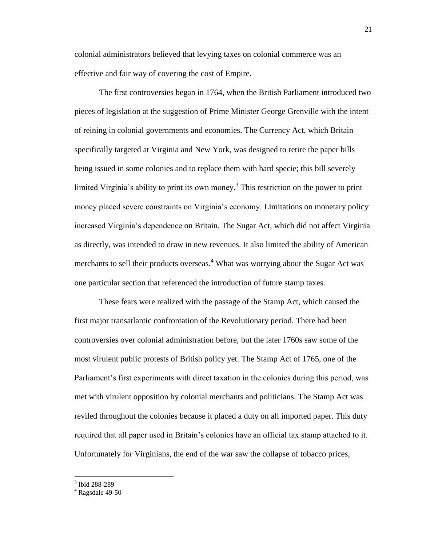colonial administrators believed that levying taxes on colonial commerce was an effective and fair way of covering the cost of Empire.

The first controversies began in 1764, when the British Parliament introduced two pieces of legislation at the suggestion of Prime Minister George Grenville with the intent of reining in colonial governments and economies. The Currency Act, which Britain specifically targeted at Virginia and New York, was designed to retire the paper bills being issued in some colonies and to replace them with hard specie; this bill severely limited Virginia's ability to print its own money. 3 This restriction on the power to print money placed severe constraints on Virginia's economy. Limitations on monetary policy increased Virginia's dependence on Britain. The Sugar Act, which did not affect Virginia as directly, was intended to draw in new revenues. It also limited the ability of American merchants to sell their products overseas.<sup>4</sup> What was worrying about the Sugar Act was one particular section that referenced the introduction of future stamp taxes.

These fears were realized with the passage of the Stamp Act, which caused the first major transatlantic confrontation of the Revolutionary period. There had been controversies over colonial administration before, but the later 1760s saw some of the most virulent public protests of British policy yet. The Stamp Act of 1765, one of the Parliament's first experiments with direct taxation in the colonies during this period, was met with virulent opposition by colonial merchants and politicians. The Stamp Act was reviled throughout the colonies because it placed a duty on all imported paper. This duty required that all paper used in Britain's colonies have an official tax stamp attached to it. Unfortunately for Virginians, the end of the war saw the collapse of tobacco prices,

 3 Ibid 288-289

 $4$  Ragsdale 49-50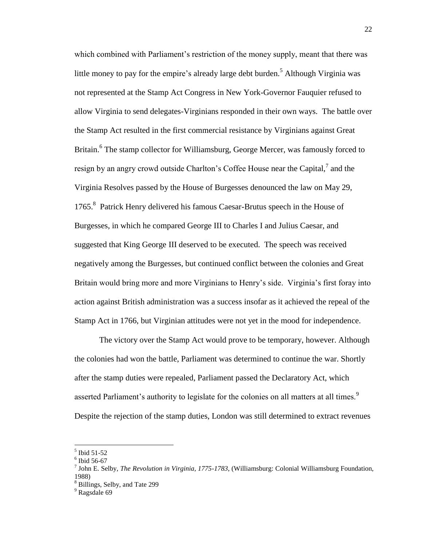which combined with Parliament's restriction of the money supply, meant that there was little money to pay for the empire's already large debt burden.<sup>5</sup> Although Virginia was not represented at the Stamp Act Congress in New York-Governor Fauquier refused to allow Virginia to send delegates-Virginians responded in their own ways. The battle over the Stamp Act resulted in the first commercial resistance by Virginians against Great Britain.<sup>6</sup> The stamp collector for Williamsburg, George Mercer, was famously forced to resign by an angry crowd outside Charlton's Coffee House near the Capital, $^7$  and the Virginia Resolves passed by the House of Burgesses denounced the law on May 29, 1765.<sup>8</sup> Patrick Henry delivered his famous Caesar-Brutus speech in the House of Burgesses, in which he compared George III to Charles I and Julius Caesar, and suggested that King George III deserved to be executed. The speech was received negatively among the Burgesses, but continued conflict between the colonies and Great Britain would bring more and more Virginians to Henry's side. Virginia's first foray into action against British administration was a success insofar as it achieved the repeal of the Stamp Act in 1766, but Virginian attitudes were not yet in the mood for independence.

The victory over the Stamp Act would prove to be temporary, however. Although the colonies had won the battle, Parliament was determined to continue the war. Shortly after the stamp duties were repealed, Parliament passed the Declaratory Act, which asserted Parliament's authority to legislate for the colonies on all matters at all times.<sup>9</sup> Despite the rejection of the stamp duties, London was still determined to extract revenues

 5 Ibid 51-52

<sup>6</sup> Ibid 56-67

<sup>7</sup> John E. Selby, *The Revolution in Virginia, 1775-1783*, (Williamsburg: Colonial Williamsburg Foundation, 1988)

<sup>8</sup> Billings, Selby, and Tate 299

<sup>&</sup>lt;sup>9</sup> Ragsdale 69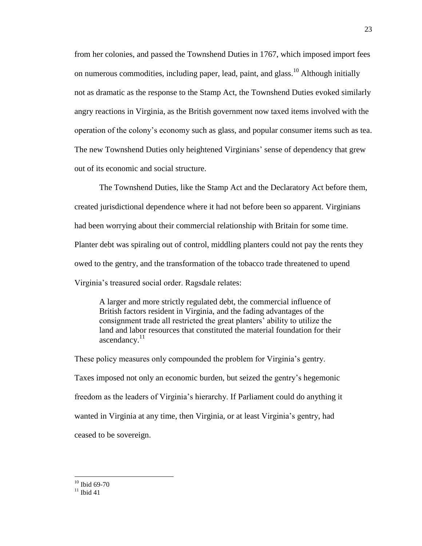from her colonies, and passed the Townshend Duties in 1767, which imposed import fees on numerous commodities, including paper, lead, paint, and glass.<sup>10</sup> Although initially not as dramatic as the response to the Stamp Act, the Townshend Duties evoked similarly angry reactions in Virginia, as the British government now taxed items involved with the operation of the colony's economy such as glass, and popular consumer items such as tea. The new Townshend Duties only heightened Virginians' sense of dependency that grew out of its economic and social structure.

The Townshend Duties, like the Stamp Act and the Declaratory Act before them, created jurisdictional dependence where it had not before been so apparent. Virginians had been worrying about their commercial relationship with Britain for some time. Planter debt was spiraling out of control, middling planters could not pay the rents they owed to the gentry, and the transformation of the tobacco trade threatened to upend Virginia's treasured social order. Ragsdale relates:

A larger and more strictly regulated debt, the commercial influence of British factors resident in Virginia, and the fading advantages of the consignment trade all restricted the great planters' ability to utilize the land and labor resources that constituted the material foundation for their ascendancy. $11$ 

These policy measures only compounded the problem for Virginia's gentry. Taxes imposed not only an economic burden, but seized the gentry's hegemonic freedom as the leaders of Virginia's hierarchy. If Parliament could do anything it wanted in Virginia at any time, then Virginia, or at least Virginia's gentry, had ceased to be sovereign.

 $10$  Ibid 69-70

 $11$  Ibid 41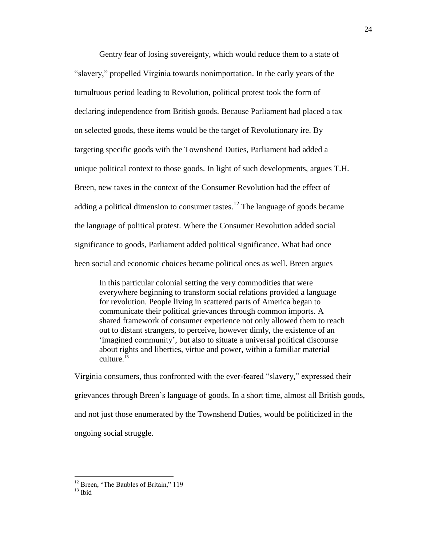Gentry fear of losing sovereignty, which would reduce them to a state of "slavery," propelled Virginia towards nonimportation. In the early years of the tumultuous period leading to Revolution, political protest took the form of declaring independence from British goods. Because Parliament had placed a tax on selected goods, these items would be the target of Revolutionary ire. By targeting specific goods with the Townshend Duties, Parliament had added a unique political context to those goods. In light of such developments, argues T.H. Breen, new taxes in the context of the Consumer Revolution had the effect of adding a political dimension to consumer tastes.<sup>12</sup> The language of goods became the language of political protest. Where the Consumer Revolution added social significance to goods, Parliament added political significance. What had once been social and economic choices became political ones as well. Breen argues

In this particular colonial setting the very commodities that were everywhere beginning to transform social relations provided a language for revolution. People living in scattered parts of America began to communicate their political grievances through common imports. A shared framework of consumer experience not only allowed them to reach out to distant strangers, to perceive, however dimly, the existence of an 'imagined community', but also to situate a universal political discourse about rights and liberties, virtue and power, within a familiar material  $\text{culture}^{\,13}$ 

Virginia consumers, thus confronted with the ever-feared "slavery," expressed their grievances through Breen's language of goods. In a short time, almost all British goods, and not just those enumerated by the Townshend Duties, would be politicized in the ongoing social struggle.

<sup>&</sup>lt;sup>12</sup> Breen, "The Baubles of Britain," 119

 $13$  Ihid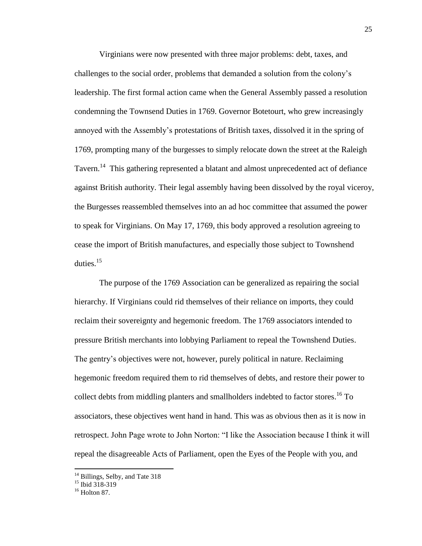Virginians were now presented with three major problems: debt, taxes, and challenges to the social order, problems that demanded a solution from the colony's leadership. The first formal action came when the General Assembly passed a resolution condemning the Townsend Duties in 1769. Governor Botetourt, who grew increasingly annoyed with the Assembly's protestations of British taxes, dissolved it in the spring of 1769, prompting many of the burgesses to simply relocate down the street at the Raleigh Tavern.<sup>14</sup> This gathering represented a blatant and almost unprecedented act of defiance against British authority. Their legal assembly having been dissolved by the royal viceroy, the Burgesses reassembled themselves into an ad hoc committee that assumed the power to speak for Virginians. On May 17, 1769, this body approved a resolution agreeing to cease the import of British manufactures, and especially those subject to Townshend duties.<sup>15</sup>

The purpose of the 1769 Association can be generalized as repairing the social hierarchy. If Virginians could rid themselves of their reliance on imports, they could reclaim their sovereignty and hegemonic freedom. The 1769 associators intended to pressure British merchants into lobbying Parliament to repeal the Townshend Duties. The gentry's objectives were not, however, purely political in nature. Reclaiming hegemonic freedom required them to rid themselves of debts, and restore their power to collect debts from middling planters and smallholders indebted to factor stores. <sup>16</sup> To associators, these objectives went hand in hand. This was as obvious then as it is now in retrospect. John Page wrote to John Norton: "I like the Association because I think it will repeal the disagreeable Acts of Parliament, open the Eyes of the People with you, and

<sup>&</sup>lt;sup>14</sup> Billings, Selby, and Tate 318

<sup>&</sup>lt;sup>15</sup> Ibid 318-319

 $16$  Holton 87.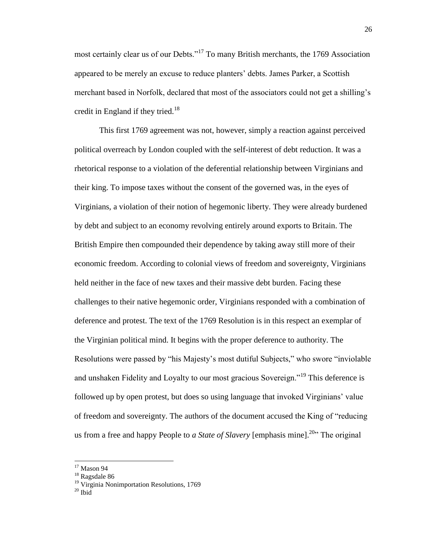most certainly clear us of our Debts."<sup>17</sup> To many British merchants, the 1769 Association appeared to be merely an excuse to reduce planters' debts. James Parker, a Scottish merchant based in Norfolk, declared that most of the associators could not get a shilling's credit in England if they tried. $18$ 

This first 1769 agreement was not, however, simply a reaction against perceived political overreach by London coupled with the self-interest of debt reduction. It was a rhetorical response to a violation of the deferential relationship between Virginians and their king. To impose taxes without the consent of the governed was, in the eyes of Virginians, a violation of their notion of hegemonic liberty. They were already burdened by debt and subject to an economy revolving entirely around exports to Britain. The British Empire then compounded their dependence by taking away still more of their economic freedom. According to colonial views of freedom and sovereignty, Virginians held neither in the face of new taxes and their massive debt burden. Facing these challenges to their native hegemonic order, Virginians responded with a combination of deference and protest. The text of the 1769 Resolution is in this respect an exemplar of the Virginian political mind. It begins with the proper deference to authority. The Resolutions were passed by "his Majesty's most dutiful Subjects," who swore "inviolable and unshaken Fidelity and Loyalty to our most gracious Sovereign.<sup>"19</sup> This deference is followed up by open protest, but does so using language that invoked Virginians' value of freedom and sovereignty. The authors of the document accused the King of "reducing us from a free and happy People to *a State of Slavery* [emphasis mine].<sup>20</sup> The original

 $17$  Mason 94

<sup>18</sup> Ragsdale 86

<sup>&</sup>lt;sup>19</sup> Virginia Nonimportation Resolutions, 1769

 $20$  Ibid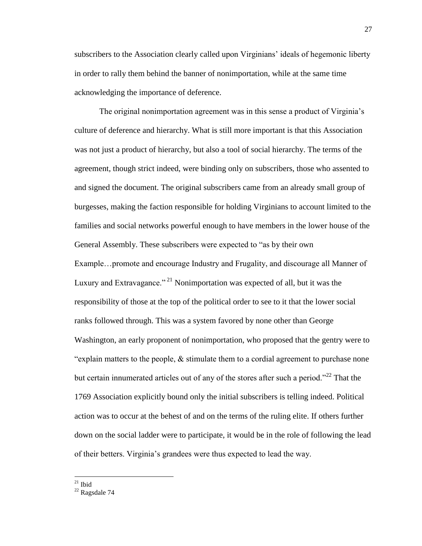subscribers to the Association clearly called upon Virginians' ideals of hegemonic liberty in order to rally them behind the banner of nonimportation, while at the same time acknowledging the importance of deference.

The original nonimportation agreement was in this sense a product of Virginia's culture of deference and hierarchy. What is still more important is that this Association was not just a product of hierarchy, but also a tool of social hierarchy. The terms of the agreement, though strict indeed, were binding only on subscribers, those who assented to and signed the document. The original subscribers came from an already small group of burgesses, making the faction responsible for holding Virginians to account limited to the families and social networks powerful enough to have members in the lower house of the General Assembly. These subscribers were expected to "as by their own Example...promote and encourage Industry and Frugality, and discourage all Manner of Luxury and Extravagance."<sup>21</sup> Nonimportation was expected of all, but it was the responsibility of those at the top of the political order to see to it that the lower social ranks followed through. This was a system favored by none other than George Washington, an early proponent of nonimportation, who proposed that the gentry were to "explain matters to the people, & stimulate them to a cordial agreement to purchase none but certain innumerated articles out of any of the stores after such a period.<sup> $22$ </sup> That the 1769 Association explicitly bound only the initial subscribers is telling indeed. Political action was to occur at the behest of and on the terms of the ruling elite. If others further down on the social ladder were to participate, it would be in the role of following the lead of their betters. Virginia's grandees were thus expected to lead the way.

 $21$  Ibid

 $22$  Ragsdale 74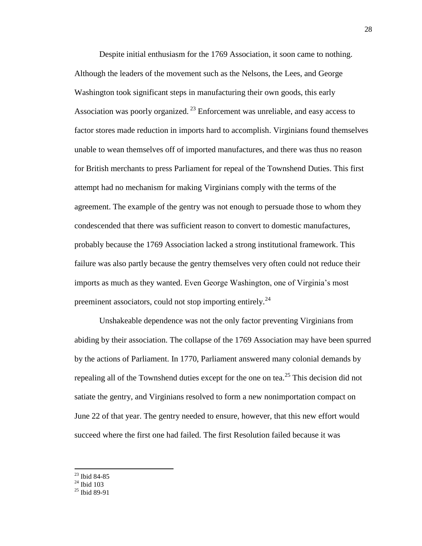Despite initial enthusiasm for the 1769 Association, it soon came to nothing. Although the leaders of the movement such as the Nelsons, the Lees, and George Washington took significant steps in manufacturing their own goods, this early Association was poorly organized.<sup>23</sup> Enforcement was unreliable, and easy access to factor stores made reduction in imports hard to accomplish. Virginians found themselves unable to wean themselves off of imported manufactures, and there was thus no reason for British merchants to press Parliament for repeal of the Townshend Duties. This first attempt had no mechanism for making Virginians comply with the terms of the agreement. The example of the gentry was not enough to persuade those to whom they condescended that there was sufficient reason to convert to domestic manufactures, probably because the 1769 Association lacked a strong institutional framework. This failure was also partly because the gentry themselves very often could not reduce their imports as much as they wanted. Even George Washington, one of Virginia's most preeminent associators, could not stop importing entirely.<sup>24</sup>

Unshakeable dependence was not the only factor preventing Virginians from abiding by their association. The collapse of the 1769 Association may have been spurred by the actions of Parliament. In 1770, Parliament answered many colonial demands by repealing all of the Townshend duties except for the one on tea.<sup>25</sup> This decision did not satiate the gentry, and Virginians resolved to form a new nonimportation compact on June 22 of that year. The gentry needed to ensure, however, that this new effort would succeed where the first one had failed. The first Resolution failed because it was

<sup>23</sup> Ibid 84-85

 $24$  Ibid 103

 $25$  Ibid 89-91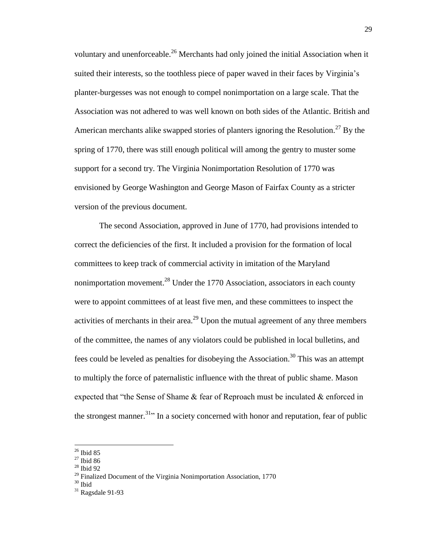voluntary and unenforceable.<sup>26</sup> Merchants had only joined the initial Association when it suited their interests, so the toothless piece of paper waved in their faces by Virginia's planter-burgesses was not enough to compel nonimportation on a large scale. That the Association was not adhered to was well known on both sides of the Atlantic. British and American merchants alike swapped stories of planters ignoring the Resolution.<sup>27</sup> By the spring of 1770, there was still enough political will among the gentry to muster some support for a second try. The Virginia Nonimportation Resolution of 1770 was envisioned by George Washington and George Mason of Fairfax County as a stricter version of the previous document.

The second Association, approved in June of 1770, had provisions intended to correct the deficiencies of the first. It included a provision for the formation of local committees to keep track of commercial activity in imitation of the Maryland nonimportation movement.<sup>28</sup> Under the 1770 Association, associators in each county were to appoint committees of at least five men, and these committees to inspect the activities of merchants in their area.<sup>29</sup> Upon the mutual agreement of any three members of the committee, the names of any violators could be published in local bulletins, and fees could be leveled as penalties for disobeying the Association.<sup>30</sup> This was an attempt to multiply the force of paternalistic influence with the threat of public shame. Mason expected that "the Sense of Shame  $\&$  fear of Reproach must be inculated  $\&$  enforced in the strongest manner.<sup>31</sup> In a society concerned with honor and reputation, fear of public

l

<sup>28</sup> Ibid 92

 $26$  Ibid 85

<sup>27</sup> Ibid 86

 $29$  Finalized Document of the Virginia Nonimportation Association, 1770

 $30$  Ibid

 $31$  Ragsdale 91-93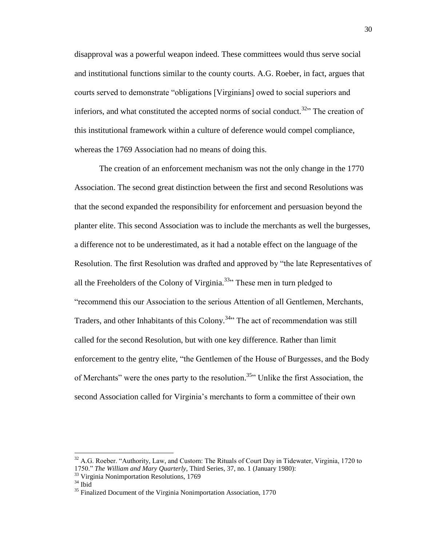disapproval was a powerful weapon indeed. These committees would thus serve social and institutional functions similar to the county courts. A.G. Roeber, in fact, argues that courts served to demonstrate "obligations [Virginians] owed to social superiors and inferiors, and what constituted the accepted norms of social conduct.<sup>32</sup> The creation of this institutional framework within a culture of deference would compel compliance, whereas the 1769 Association had no means of doing this.

The creation of an enforcement mechanism was not the only change in the 1770 Association. The second great distinction between the first and second Resolutions was that the second expanded the responsibility for enforcement and persuasion beyond the planter elite. This second Association was to include the merchants as well the burgesses, a difference not to be underestimated, as it had a notable effect on the language of the Resolution. The first Resolution was drafted and approved by "the late Representatives of all the Freeholders of the Colony of Virginia.<sup>33</sup><sup>33</sup> These men in turn pledged to "recommend this our Association to the serious Attention of all Gentlemen, Merchants, Traders, and other Inhabitants of this Colony.<sup>34</sup><sup>24</sup> The act of recommendation was still called for the second Resolution, but with one key difference. Rather than limit enforcement to the gentry elite, "the Gentlemen of the House of Burgesses, and the Body of Merchants" were the ones party to the resolution.<sup>35</sup><sup>1</sup> Unlike the first Association, the second Association called for Virginia's merchants to form a committee of their own

<sup>33</sup> Virginia Nonimportation Resolutions, 1769

 $\overline{a}$ 

 $32$  A.G. Roeber. "Authority, Law, and Custom: The Rituals of Court Day in Tidewater, Virginia, 1720 to 1750." *The William and Mary Quarterly*, Third Series, 37, no. 1 (January 1980):

 $34$  Ibid

<sup>&</sup>lt;sup>35</sup> Finalized Document of the Virginia Nonimportation Association, 1770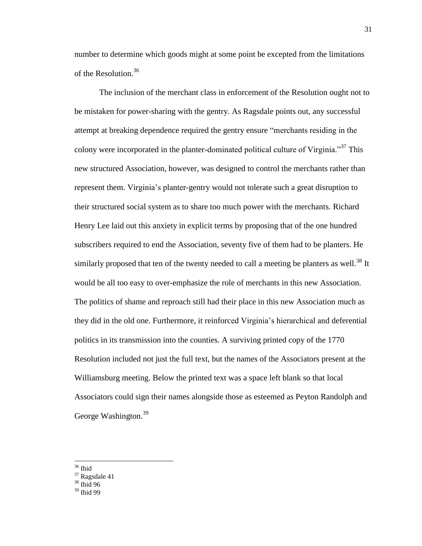number to determine which goods might at some point be excepted from the limitations of the Resolution.<sup>36</sup>

The inclusion of the merchant class in enforcement of the Resolution ought not to be mistaken for power-sharing with the gentry. As Ragsdale points out, any successful attempt at breaking dependence required the gentry ensure "merchants residing in the colony were incorporated in the planter-dominated political culture of Virginia."<sup>37</sup> This new structured Association, however, was designed to control the merchants rather than represent them. Virginia's planter-gentry would not tolerate such a great disruption to their structured social system as to share too much power with the merchants. Richard Henry Lee laid out this anxiety in explicit terms by proposing that of the one hundred subscribers required to end the Association, seventy five of them had to be planters. He similarly proposed that ten of the twenty needed to call a meeting be planters as well.<sup>38</sup> It would be all too easy to over-emphasize the role of merchants in this new Association. The politics of shame and reproach still had their place in this new Association much as they did in the old one. Furthermore, it reinforced Virginia's hierarchical and deferential politics in its transmission into the counties. A surviving printed copy of the 1770 Resolution included not just the full text, but the names of the Associators present at the Williamsburg meeting. Below the printed text was a space left blank so that local Associators could sign their names alongside those as esteemed as Peyton Randolph and George Washington.<sup>39</sup>

<sup>36</sup> Ibid

- $37$  Ragsdale 41
- <sup>38</sup> Ibid 96
- $39$  Ibid 99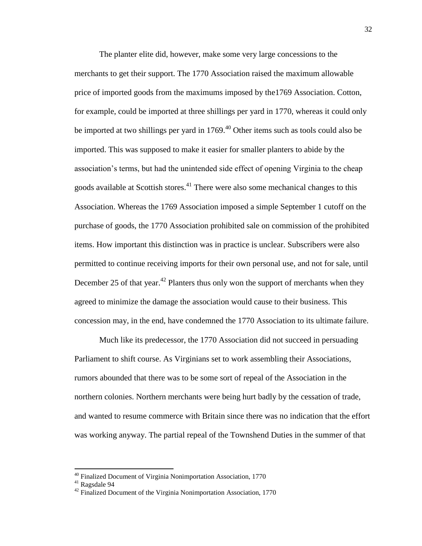The planter elite did, however, make some very large concessions to the merchants to get their support. The 1770 Association raised the maximum allowable price of imported goods from the maximums imposed by the1769 Association. Cotton, for example, could be imported at three shillings per yard in 1770, whereas it could only be imported at two shillings per yard in 1769.<sup>40</sup> Other items such as tools could also be imported. This was supposed to make it easier for smaller planters to abide by the association's terms, but had the unintended side effect of opening Virginia to the cheap goods available at Scottish stores.<sup>41</sup> There were also some mechanical changes to this Association. Whereas the 1769 Association imposed a simple September 1 cutoff on the purchase of goods, the 1770 Association prohibited sale on commission of the prohibited items. How important this distinction was in practice is unclear. Subscribers were also permitted to continue receiving imports for their own personal use, and not for sale, until December 25 of that year.<sup>42</sup> Planters thus only won the support of merchants when they agreed to minimize the damage the association would cause to their business. This concession may, in the end, have condemned the 1770 Association to its ultimate failure.

Much like its predecessor, the 1770 Association did not succeed in persuading Parliament to shift course. As Virginians set to work assembling their Associations, rumors abounded that there was to be some sort of repeal of the Association in the northern colonies. Northern merchants were being hurt badly by the cessation of trade, and wanted to resume commerce with Britain since there was no indication that the effort was working anyway. The partial repeal of the Townshend Duties in the summer of that

<sup>&</sup>lt;sup>40</sup> Finalized Document of Virginia Nonimportation Association, 1770

<sup>41</sup> Ragsdale 94

 $42$  Finalized Document of the Virginia Nonimportation Association, 1770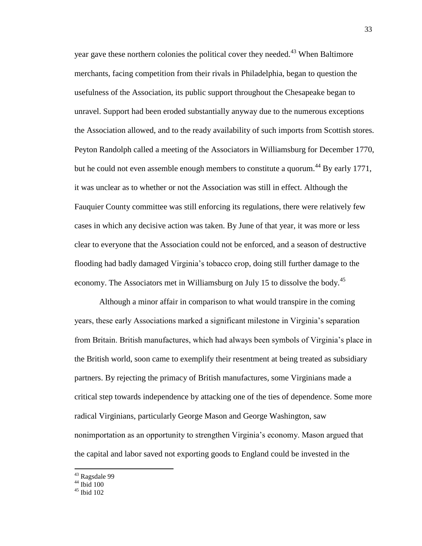year gave these northern colonies the political cover they needed.<sup>43</sup> When Baltimore merchants, facing competition from their rivals in Philadelphia, began to question the usefulness of the Association, its public support throughout the Chesapeake began to unravel. Support had been eroded substantially anyway due to the numerous exceptions the Association allowed, and to the ready availability of such imports from Scottish stores. Peyton Randolph called a meeting of the Associators in Williamsburg for December 1770, but he could not even assemble enough members to constitute a quorum.<sup>44</sup> By early 1771, it was unclear as to whether or not the Association was still in effect. Although the Fauquier County committee was still enforcing its regulations, there were relatively few cases in which any decisive action was taken. By June of that year, it was more or less clear to everyone that the Association could not be enforced, and a season of destructive flooding had badly damaged Virginia's tobacco crop, doing still further damage to the economy. The Associators met in Williamsburg on July 15 to dissolve the body.<sup>45</sup>

Although a minor affair in comparison to what would transpire in the coming years, these early Associations marked a significant milestone in Virginia's separation from Britain. British manufactures, which had always been symbols of Virginia's place in the British world, soon came to exemplify their resentment at being treated as subsidiary partners. By rejecting the primacy of British manufactures, some Virginians made a critical step towards independence by attacking one of the ties of dependence. Some more radical Virginians, particularly George Mason and George Washington, saw nonimportation as an opportunity to strengthen Virginia's economy. Mason argued that the capital and labor saved not exporting goods to England could be invested in the

<sup>&</sup>lt;sup>43</sup> Ragsdale 99

 $44$  Ibid 100

 $45$  Ibid 102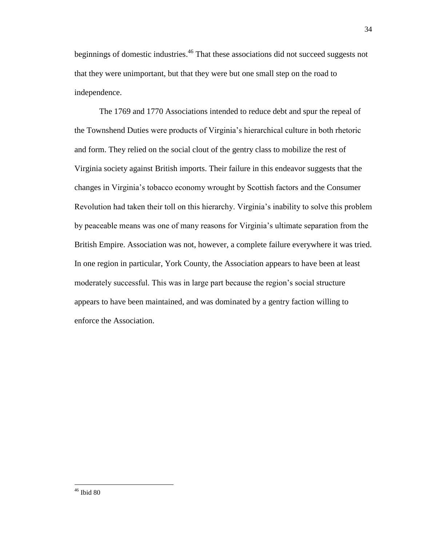beginnings of domestic industries.<sup>46</sup> That these associations did not succeed suggests not that they were unimportant, but that they were but one small step on the road to independence.

The 1769 and 1770 Associations intended to reduce debt and spur the repeal of the Townshend Duties were products of Virginia's hierarchical culture in both rhetoric and form. They relied on the social clout of the gentry class to mobilize the rest of Virginia society against British imports. Their failure in this endeavor suggests that the changes in Virginia's tobacco economy wrought by Scottish factors and the Consumer Revolution had taken their toll on this hierarchy. Virginia's inability to solve this problem by peaceable means was one of many reasons for Virginia's ultimate separation from the British Empire. Association was not, however, a complete failure everywhere it was tried. In one region in particular, York County, the Association appears to have been at least moderately successful. This was in large part because the region's social structure appears to have been maintained, and was dominated by a gentry faction willing to enforce the Association.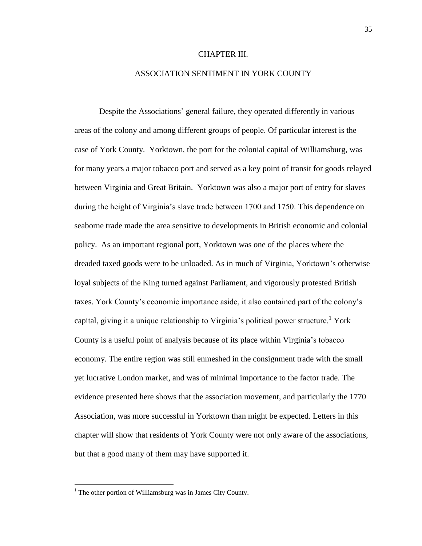### CHAPTER III.

## ASSOCIATION SENTIMENT IN YORK COUNTY

Despite the Associations' general failure, they operated differently in various areas of the colony and among different groups of people. Of particular interest is the case of York County. Yorktown, the port for the colonial capital of Williamsburg, was for many years a major tobacco port and served as a key point of transit for goods relayed between Virginia and Great Britain. Yorktown was also a major port of entry for slaves during the height of Virginia's slave trade between 1700 and 1750. This dependence on seaborne trade made the area sensitive to developments in British economic and colonial policy. As an important regional port, Yorktown was one of the places where the dreaded taxed goods were to be unloaded. As in much of Virginia, Yorktown's otherwise loyal subjects of the King turned against Parliament, and vigorously protested British taxes. York County's economic importance aside, it also contained part of the colony's capital, giving it a unique relationship to Virginia's political power structure.<sup>1</sup> York County is a useful point of analysis because of its place within Virginia's tobacco economy. The entire region was still enmeshed in the consignment trade with the small yet lucrative London market, and was of minimal importance to the factor trade. The evidence presented here shows that the association movement, and particularly the 1770 Association, was more successful in Yorktown than might be expected. Letters in this chapter will show that residents of York County were not only aware of the associations, but that a good many of them may have supported it.

 $<sup>1</sup>$  The other portion of Williamsburg was in James City County.</sup>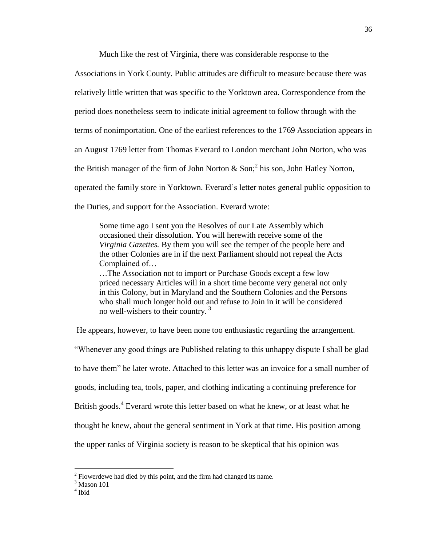Much like the rest of Virginia, there was considerable response to the

Associations in York County. Public attitudes are difficult to measure because there was relatively little written that was specific to the Yorktown area. Correspondence from the period does nonetheless seem to indicate initial agreement to follow through with the terms of nonimportation. One of the earliest references to the 1769 Association appears in an August 1769 letter from Thomas Everard to London merchant John Norton, who was the British manager of the firm of John Norton & Son;<sup>2</sup> his son, John Hatley Norton, operated the family store in Yorktown. Everard's letter notes general public opposition to the Duties, and support for the Association. Everard wrote:

Some time ago I sent you the Resolves of our Late Assembly which occasioned their dissolution. You will herewith receive some of the *Virginia Gazettes.* By them you will see the temper of the people here and the other Colonies are in if the next Parliament should not repeal the Acts Complained of…

…The Association not to import or Purchase Goods except a few low priced necessary Articles will in a short time become very general not only in this Colony, but in Maryland and the Southern Colonies and the Persons who shall much longer hold out and refuse to Join in it will be considered no well-wishers to their country. <sup>3</sup>

He appears, however, to have been none too enthusiastic regarding the arrangement.

"Whenever any good things are Published relating to this unhappy dispute I shall be glad to have them" he later wrote. Attached to this letter was an invoice for a small number of goods, including tea, tools, paper, and clothing indicating a continuing preference for British goods.<sup>4</sup> Everard wrote this letter based on what he knew, or at least what he thought he knew, about the general sentiment in York at that time. His position among the upper ranks of Virginia society is reason to be skeptical that his opinion was

 $2^2$  Flowerdewe had died by this point, and the firm had changed its name.

 $3$  Mason 101

<sup>4</sup> Ibid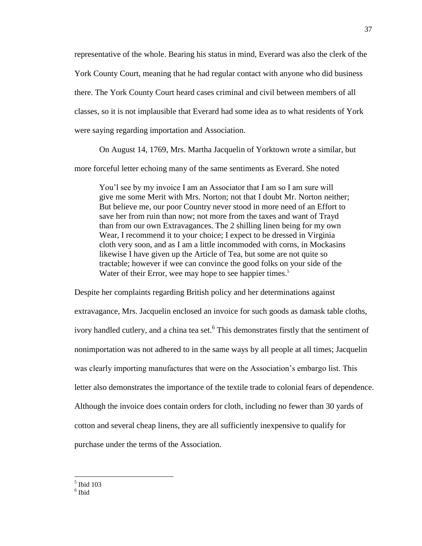representative of the whole. Bearing his status in mind, Everard was also the clerk of the York County Court, meaning that he had regular contact with anyone who did business there. The York County Court heard cases criminal and civil between members of all classes, so it is not implausible that Everard had some idea as to what residents of York were saying regarding importation and Association.

On August 14, 1769, Mrs. Martha Jacquelin of Yorktown wrote a similar, but

more forceful letter echoing many of the same sentiments as Everard. She noted

You'l see by my invoice I am an Associator that I am so I am sure will give me some Merit with Mrs. Norton; not that I doubt Mr. Norton neither; But believe me, our poor Country never stood in more need of an Effort to save her from ruin than now; not more from the taxes and want of Trayd than from our own Extravagances. The 2 shilling linen being for my own Wear, I recommend it to your choice; I expect to be dressed in Virginia cloth very soon, and as I am a little incommoded with corns, in Mockasins likewise I have given up the Article of Tea, but some are not quite so tractable; however if wee can convince the good folks on your side of the Water of their Error, wee may hope to see happier times.<sup>5</sup>

Despite her complaints regarding British policy and her determinations against extravagance, Mrs. Jacquelin enclosed an invoice for such goods as damask table cloths, ivory handled cutlery, and a china tea set.<sup>6</sup> This demonstrates firstly that the sentiment of nonimportation was not adhered to in the same ways by all people at all times; Jacquelin was clearly importing manufactures that were on the Association's embargo list. This letter also demonstrates the importance of the textile trade to colonial fears of dependence. Although the invoice does contain orders for cloth, including no fewer than 30 yards of cotton and several cheap linens, they are all sufficiently inexpensive to qualify for purchase under the terms of the Association.

<sup>37</sup>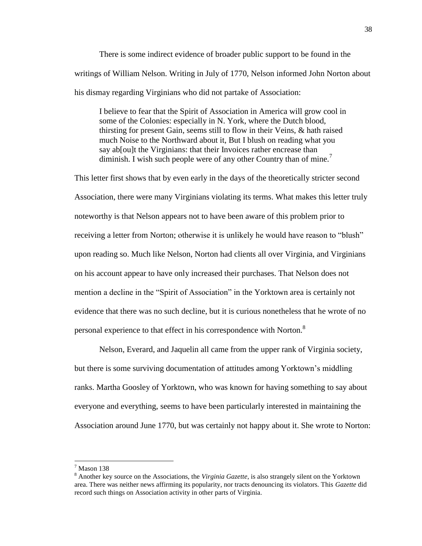There is some indirect evidence of broader public support to be found in the writings of William Nelson. Writing in July of 1770, Nelson informed John Norton about his dismay regarding Virginians who did not partake of Association:

I believe to fear that the Spirit of Association in America will grow cool in some of the Colonies: especially in N. York, where the Dutch blood, thirsting for present Gain, seems still to flow in their Veins, & hath raised much Noise to the Northward about it, But I blush on reading what you say ab<sup>[ou]</sup>t the Virginians: that their Invoices rather encrease than diminish. I wish such people were of any other Country than of mine.<sup>7</sup>

This letter first shows that by even early in the days of the theoretically stricter second Association, there were many Virginians violating its terms. What makes this letter truly noteworthy is that Nelson appears not to have been aware of this problem prior to receiving a letter from Norton; otherwise it is unlikely he would have reason to "blush" upon reading so. Much like Nelson, Norton had clients all over Virginia, and Virginians on his account appear to have only increased their purchases. That Nelson does not mention a decline in the "Spirit of Association" in the Yorktown area is certainly not evidence that there was no such decline, but it is curious nonetheless that he wrote of no personal experience to that effect in his correspondence with Norton.<sup>8</sup>

Nelson, Everard, and Jaquelin all came from the upper rank of Virginia society, but there is some surviving documentation of attitudes among Yorktown's middling ranks. Martha Goosley of Yorktown, who was known for having something to say about everyone and everything, seems to have been particularly interested in maintaining the Association around June 1770, but was certainly not happy about it. She wrote to Norton:

 $<sup>7</sup>$  Mason 138</sup>

<sup>8</sup> Another key source on the Associations, the *Virginia Gazette*, is also strangely silent on the Yorktown area. There was neither news affirming its popularity, nor tracts denouncing its violators. This *Gazette* did record such things on Association activity in other parts of Virginia.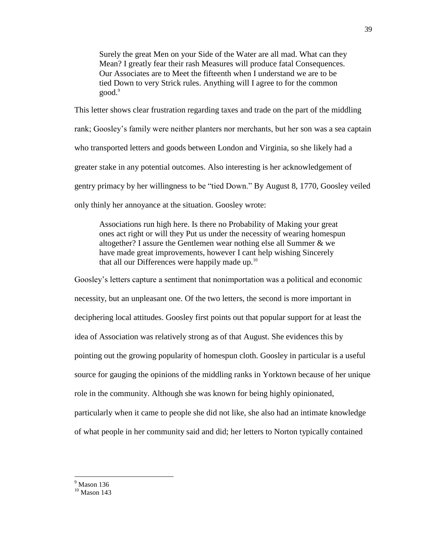Surely the great Men on your Side of the Water are all mad. What can they Mean? I greatly fear their rash Measures will produce fatal Consequences. Our Associates are to Meet the fifteenth when I understand we are to be tied Down to very Strick rules. Anything will I agree to for the common good.<sup>9</sup>

This letter shows clear frustration regarding taxes and trade on the part of the middling rank; Goosley's family were neither planters nor merchants, but her son was a sea captain who transported letters and goods between London and Virginia, so she likely had a greater stake in any potential outcomes. Also interesting is her acknowledgement of gentry primacy by her willingness to be "tied Down." By August 8, 1770, Goosley veiled only thinly her annoyance at the situation. Goosley wrote:

Associations run high here. Is there no Probability of Making your great ones act right or will they Put us under the necessity of wearing homespun altogether? I assure the Gentlemen wear nothing else all Summer & we have made great improvements, however I cant help wishing Sincerely that all our Differences were happily made up.<sup>10</sup>

Goosley's letters capture a sentiment that nonimportation was a political and economic necessity, but an unpleasant one. Of the two letters, the second is more important in deciphering local attitudes. Goosley first points out that popular support for at least the idea of Association was relatively strong as of that August. She evidences this by pointing out the growing popularity of homespun cloth. Goosley in particular is a useful source for gauging the opinions of the middling ranks in Yorktown because of her unique role in the community. Although she was known for being highly opinionated, particularly when it came to people she did not like, she also had an intimate knowledge of what people in her community said and did; her letters to Norton typically contained

 $9$  Mason 136

 $10$  Mason 143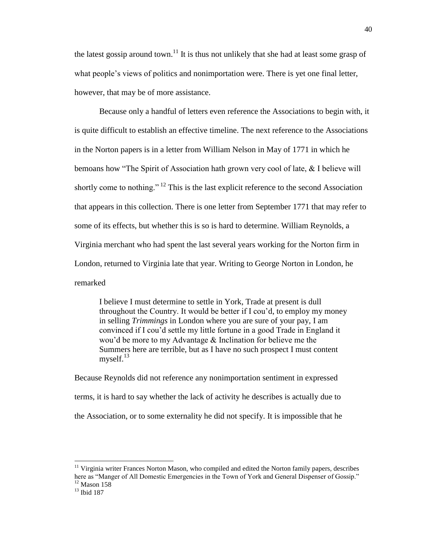the latest gossip around town.<sup>11</sup> It is thus not unlikely that she had at least some grasp of what people's views of politics and nonimportation were. There is yet one final letter, however, that may be of more assistance.

Because only a handful of letters even reference the Associations to begin with, it is quite difficult to establish an effective timeline. The next reference to the Associations in the Norton papers is in a letter from William Nelson in May of 1771 in which he bemoans how "The Spirit of Association hath grown very cool of late, & I believe will shortly come to nothing." <sup>12</sup> This is the last explicit reference to the second Association that appears in this collection. There is one letter from September 1771 that may refer to some of its effects, but whether this is so is hard to determine. William Reynolds, a Virginia merchant who had spent the last several years working for the Norton firm in London, returned to Virginia late that year. Writing to George Norton in London, he remarked

I believe I must determine to settle in York, Trade at present is dull throughout the Country. It would be better if I cou'd, to employ my money in selling *Trimmings* in London where you are sure of your pay, I am convinced if I cou'd settle my little fortune in a good Trade in England it wou'd be more to my Advantage & Inclination for believe me the Summers here are terrible, but as I have no such prospect I must content mysel $f<sup>13</sup>$ 

Because Reynolds did not reference any nonimportation sentiment in expressed terms, it is hard to say whether the lack of activity he describes is actually due to the Association, or to some externality he did not specify. It is impossible that he

 $11$  Virginia writer Frances Norton Mason, who compiled and edited the Norton family papers, describes here as "Manger of All Domestic Emergencies in the Town of York and General Dispenser of Gossip."  $12$  Mason  $158$ 

<sup>13</sup> Ibid 187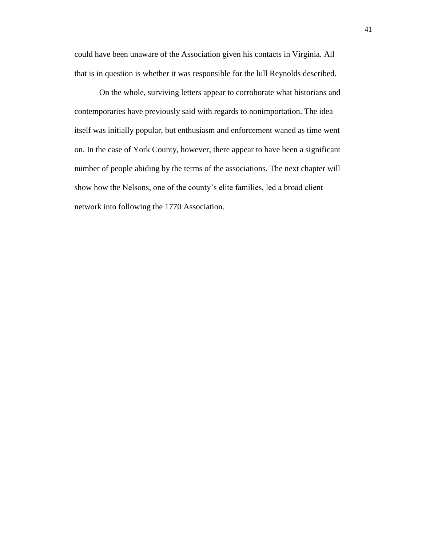could have been unaware of the Association given his contacts in Virginia. All that is in question is whether it was responsible for the lull Reynolds described.

On the whole, surviving letters appear to corroborate what historians and contemporaries have previously said with regards to nonimportation. The idea itself was initially popular, but enthusiasm and enforcement waned as time went on. In the case of York County, however, there appear to have been a significant number of people abiding by the terms of the associations. The next chapter will show how the Nelsons, one of the county's elite families, led a broad client network into following the 1770 Association.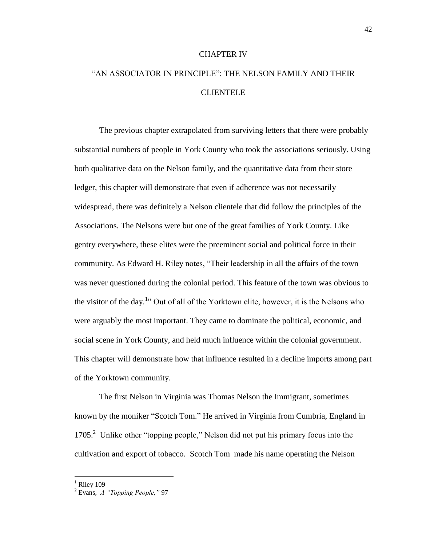### CHAPTER IV

# "AN ASSOCIATOR IN PRINCIPLE": THE NELSON FAMILY AND THEIR CLIENTELE

The previous chapter extrapolated from surviving letters that there were probably substantial numbers of people in York County who took the associations seriously. Using both qualitative data on the Nelson family, and the quantitative data from their store ledger, this chapter will demonstrate that even if adherence was not necessarily widespread, there was definitely a Nelson clientele that did follow the principles of the Associations. The Nelsons were but one of the great families of York County. Like gentry everywhere, these elites were the preeminent social and political force in their community. As Edward H. Riley notes, "Their leadership in all the affairs of the town was never questioned during the colonial period. This feature of the town was obvious to the visitor of the day.<sup>1</sup> Out of all of the Yorktown elite, however, it is the Nelsons who were arguably the most important. They came to dominate the political, economic, and social scene in York County, and held much influence within the colonial government. This chapter will demonstrate how that influence resulted in a decline imports among part of the Yorktown community.

The first Nelson in Virginia was Thomas Nelson the Immigrant, sometimes known by the moniker "Scotch Tom." He arrived in Virginia from Cumbria, England in 1705.<sup>2</sup> Unlike other "topping people," Nelson did not put his primary focus into the cultivation and export of tobacco. Scotch Tom made his name operating the Nelson

 $<sup>1</sup>$  Riley 109</sup>

<sup>2</sup> Evans, *A "Topping People,"* 97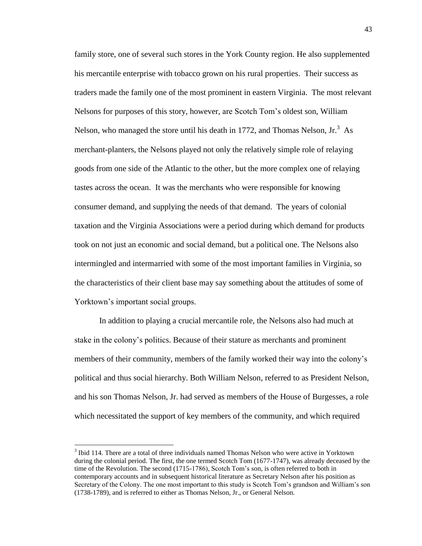family store, one of several such stores in the York County region. He also supplemented his mercantile enterprise with tobacco grown on his rural properties. Their success as traders made the family one of the most prominent in eastern Virginia. The most relevant Nelsons for purposes of this story, however, are Scotch Tom's oldest son, William Nelson, who managed the store until his death in 1772, and Thomas Nelson,  $Ir.^3$  As merchant-planters, the Nelsons played not only the relatively simple role of relaying goods from one side of the Atlantic to the other, but the more complex one of relaying tastes across the ocean. It was the merchants who were responsible for knowing consumer demand, and supplying the needs of that demand. The years of colonial taxation and the Virginia Associations were a period during which demand for products took on not just an economic and social demand, but a political one. The Nelsons also intermingled and intermarried with some of the most important families in Virginia, so the characteristics of their client base may say something about the attitudes of some of Yorktown's important social groups.

In addition to playing a crucial mercantile role, the Nelsons also had much at stake in the colony's politics. Because of their stature as merchants and prominent members of their community, members of the family worked their way into the colony's political and thus social hierarchy. Both William Nelson, referred to as President Nelson, and his son Thomas Nelson, Jr. had served as members of the House of Burgesses, a role which necessitated the support of key members of the community, and which required

l

 $3$  Ibid 114. There are a total of three individuals named Thomas Nelson who were active in Yorktown during the colonial period. The first, the one termed Scotch Tom (1677-1747), was already deceased by the time of the Revolution. The second (1715-1786), Scotch Tom's son, is often referred to both in contemporary accounts and in subsequent historical literature as Secretary Nelson after his position as Secretary of the Colony. The one most important to this study is Scotch Tom's grandson and William's son (1738-1789), and is referred to either as Thomas Nelson, Jr., or General Nelson.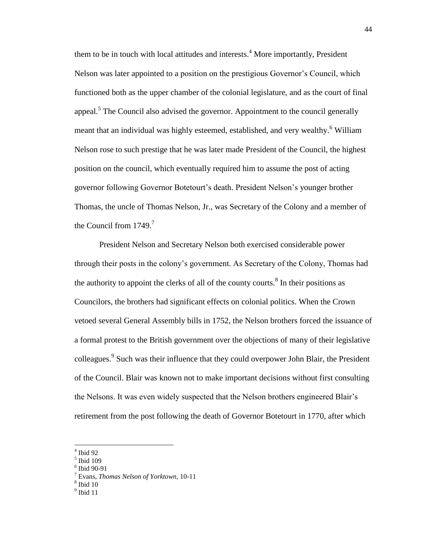them to be in touch with local attitudes and interests.<sup>4</sup> More importantly, President Nelson was later appointed to a position on the prestigious Governor's Council, which functioned both as the upper chamber of the colonial legislature, and as the court of final appeal.<sup>5</sup> The Council also advised the governor. Appointment to the council generally meant that an individual was highly esteemed, established, and very wealthy.<sup>6</sup> William Nelson rose to such prestige that he was later made President of the Council, the highest position on the council, which eventually required him to assume the post of acting governor following Governor Botetourt's death. President Nelson's younger brother Thomas, the uncle of Thomas Nelson, Jr., was Secretary of the Colony and a member of the Council from 1749.<sup>7</sup>

President Nelson and Secretary Nelson both exercised considerable power through their posts in the colony's government. As Secretary of the Colony, Thomas had the authority to appoint the clerks of all of the county courts.<sup>8</sup> In their positions as Councilors, the brothers had significant effects on colonial politics. When the Crown vetoed several General Assembly bills in 1752, the Nelson brothers forced the issuance of a formal protest to the British government over the objections of many of their legislative colleagues.<sup>9</sup> Such was their influence that they could overpower John Blair, the President of the Council. Blair was known not to make important decisions without first consulting the Nelsons. It was even widely suspected that the Nelson brothers engineered Blair's retirement from the post following the death of Governor Botetourt in 1770, after which

l

- 5 Ibid 109
- 6 Ibid 90-91

- 8 Ibid 10
- $9$  Ibid 11

<sup>4</sup> Ibid 92

<sup>7</sup> Evans, *Thomas Nelson of Yorktown,* 10-11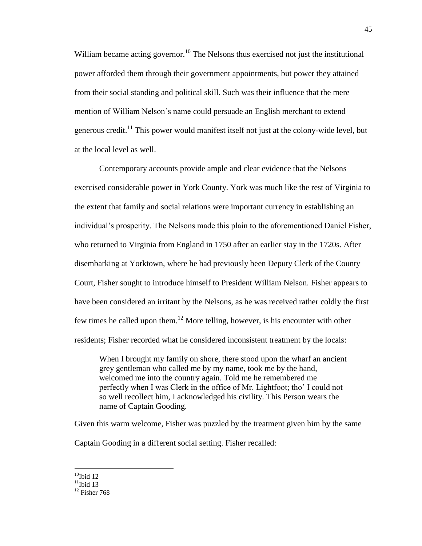William became acting governor.<sup>10</sup> The Nelsons thus exercised not just the institutional power afforded them through their government appointments, but power they attained from their social standing and political skill. Such was their influence that the mere mention of William Nelson's name could persuade an English merchant to extend generous credit.<sup>11</sup> This power would manifest itself not just at the colony-wide level, but at the local level as well.

Contemporary accounts provide ample and clear evidence that the Nelsons exercised considerable power in York County. York was much like the rest of Virginia to the extent that family and social relations were important currency in establishing an individual's prosperity. The Nelsons made this plain to the aforementioned Daniel Fisher, who returned to Virginia from England in 1750 after an earlier stay in the 1720s. After disembarking at Yorktown, where he had previously been Deputy Clerk of the County Court, Fisher sought to introduce himself to President William Nelson. Fisher appears to have been considered an irritant by the Nelsons, as he was received rather coldly the first few times he called upon them.<sup>12</sup> More telling, however, is his encounter with other residents; Fisher recorded what he considered inconsistent treatment by the locals:

When I brought my family on shore, there stood upon the wharf an ancient grey gentleman who called me by my name, took me by the hand, welcomed me into the country again. Told me he remembered me perfectly when I was Clerk in the office of Mr. Lightfoot; tho' I could not so well recollect him, I acknowledged his civility. This Person wears the name of Captain Gooding.

Given this warm welcome, Fisher was puzzled by the treatment given him by the same Captain Gooding in a different social setting. Fisher recalled:

 $10$ Ibid 12

 $11$ Ibid 13

 $12$  Fisher 768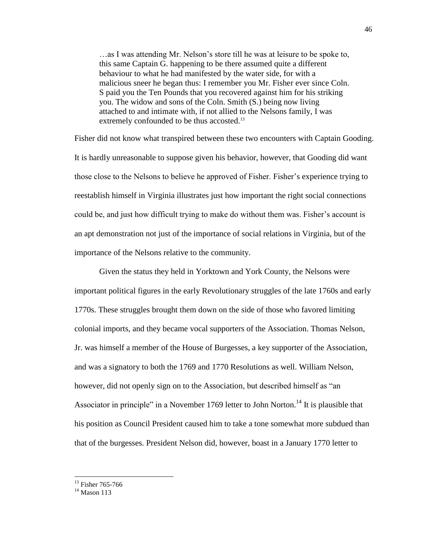…as I was attending Mr. Nelson's store till he was at leisure to be spoke to, this same Captain G. happening to be there assumed quite a different behaviour to what he had manifested by the water side, for with a malicious sneer he began thus: I remember you Mr. Fisher ever since Coln. S paid you the Ten Pounds that you recovered against him for his striking you. The widow and sons of the Coln. Smith (S.) being now living attached to and intimate with, if not allied to the Nelsons family, I was extremely confounded to be thus accosted.<sup>13</sup>

Fisher did not know what transpired between these two encounters with Captain Gooding. It is hardly unreasonable to suppose given his behavior, however, that Gooding did want those close to the Nelsons to believe he approved of Fisher. Fisher's experience trying to reestablish himself in Virginia illustrates just how important the right social connections could be, and just how difficult trying to make do without them was. Fisher's account is an apt demonstration not just of the importance of social relations in Virginia, but of the importance of the Nelsons relative to the community.

Given the status they held in Yorktown and York County, the Nelsons were important political figures in the early Revolutionary struggles of the late 1760s and early 1770s. These struggles brought them down on the side of those who favored limiting colonial imports, and they became vocal supporters of the Association. Thomas Nelson, Jr. was himself a member of the House of Burgesses, a key supporter of the Association, and was a signatory to both the 1769 and 1770 Resolutions as well. William Nelson, however, did not openly sign on to the Association, but described himself as "an Associator in principle" in a November 1769 letter to John Norton.<sup>14</sup> It is plausible that his position as Council President caused him to take a tone somewhat more subdued than that of the burgesses. President Nelson did, however, boast in a January 1770 letter to

 $13$  Fisher 765-766

 $14$  Mason 113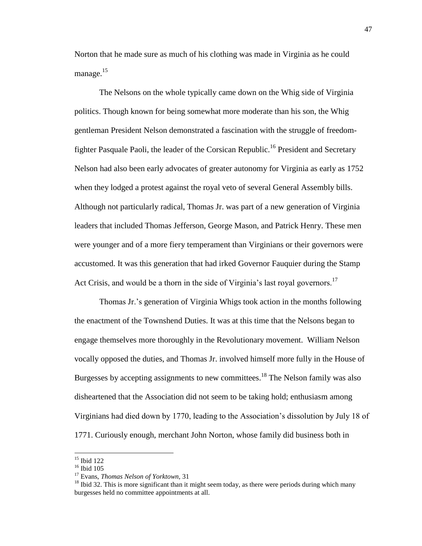Norton that he made sure as much of his clothing was made in Virginia as he could manage. $15$ 

The Nelsons on the whole typically came down on the Whig side of Virginia politics. Though known for being somewhat more moderate than his son, the Whig gentleman President Nelson demonstrated a fascination with the struggle of freedomfighter Pasquale Paoli, the leader of the Corsican Republic.<sup>16</sup> President and Secretary Nelson had also been early advocates of greater autonomy for Virginia as early as 1752 when they lodged a protest against the royal veto of several General Assembly bills. Although not particularly radical, Thomas Jr. was part of a new generation of Virginia leaders that included Thomas Jefferson, George Mason, and Patrick Henry. These men were younger and of a more fiery temperament than Virginians or their governors were accustomed. It was this generation that had irked Governor Fauquier during the Stamp Act Crisis, and would be a thorn in the side of Virginia's last royal governors.<sup>17</sup>

Thomas Jr.'s generation of Virginia Whigs took action in the months following the enactment of the Townshend Duties. It was at this time that the Nelsons began to engage themselves more thoroughly in the Revolutionary movement. William Nelson vocally opposed the duties, and Thomas Jr. involved himself more fully in the House of Burgesses by accepting assignments to new committees.<sup>18</sup> The Nelson family was also disheartened that the Association did not seem to be taking hold; enthusiasm among Virginians had died down by 1770, leading to the Association's dissolution by July 18 of 1771. Curiously enough, merchant John Norton, whose family did business both in

 $\overline{a}$ 

 $15$  Ibid 122

<sup>16</sup> Ibid 105

<sup>17</sup> Evans, *Thomas Nelson of Yorktown,* 31

 $<sup>18</sup>$  Ibid 32. This is more significant than it might seem today, as there were periods during which many</sup> burgesses held no committee appointments at all.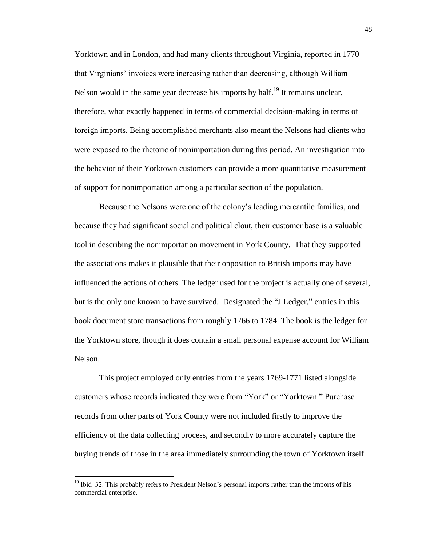Yorktown and in London, and had many clients throughout Virginia, reported in 1770 that Virginians' invoices were increasing rather than decreasing, although William Nelson would in the same year decrease his imports by half.<sup>19</sup> It remains unclear, therefore, what exactly happened in terms of commercial decision-making in terms of foreign imports. Being accomplished merchants also meant the Nelsons had clients who were exposed to the rhetoric of nonimportation during this period. An investigation into the behavior of their Yorktown customers can provide a more quantitative measurement of support for nonimportation among a particular section of the population.

Because the Nelsons were one of the colony's leading mercantile families, and because they had significant social and political clout, their customer base is a valuable tool in describing the nonimportation movement in York County. That they supported the associations makes it plausible that their opposition to British imports may have influenced the actions of others. The ledger used for the project is actually one of several, but is the only one known to have survived. Designated the "J Ledger," entries in this book document store transactions from roughly 1766 to 1784. The book is the ledger for the Yorktown store, though it does contain a small personal expense account for William Nelson.

This project employed only entries from the years 1769-1771 listed alongside customers whose records indicated they were from "York" or "Yorktown." Purchase records from other parts of York County were not included firstly to improve the efficiency of the data collecting process, and secondly to more accurately capture the buying trends of those in the area immediately surrounding the town of Yorktown itself.

<sup>&</sup>lt;sup>19</sup> Ibid 32. This probably refers to President Nelson's personal imports rather than the imports of his commercial enterprise.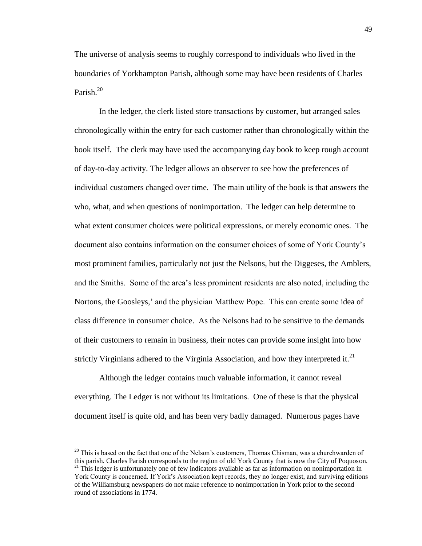The universe of analysis seems to roughly correspond to individuals who lived in the boundaries of Yorkhampton Parish, although some may have been residents of Charles Parish.<sup>20</sup>

In the ledger, the clerk listed store transactions by customer, but arranged sales chronologically within the entry for each customer rather than chronologically within the book itself. The clerk may have used the accompanying day book to keep rough account of day-to-day activity. The ledger allows an observer to see how the preferences of individual customers changed over time. The main utility of the book is that answers the who, what, and when questions of nonimportation. The ledger can help determine to what extent consumer choices were political expressions, or merely economic ones. The document also contains information on the consumer choices of some of York County's most prominent families, particularly not just the Nelsons, but the Diggeses, the Amblers, and the Smiths. Some of the area's less prominent residents are also noted, including the Nortons, the Goosleys,' and the physician Matthew Pope. This can create some idea of class difference in consumer choice. As the Nelsons had to be sensitive to the demands of their customers to remain in business, their notes can provide some insight into how strictly Virginians adhered to the Virginia Association, and how they interpreted it.<sup>21</sup>

Although the ledger contains much valuable information, it cannot reveal everything. The Ledger is not without its limitations. One of these is that the physical document itself is quite old, and has been very badly damaged. Numerous pages have

l

<sup>&</sup>lt;sup>20</sup> This is based on the fact that one of the Nelson's customers, Thomas Chisman, was a churchwarden of this parish. Charles Parish corresponds to the region of old York County that is now the City of Poquoson. <sup>21</sup> This ledger is unfortunately one of few indicators available as far as information on nonimportation in York County is concerned. If York's Association kept records, they no longer exist, and surviving editions of the Williamsburg newspapers do not make reference to nonimportation in York prior to the second round of associations in 1774.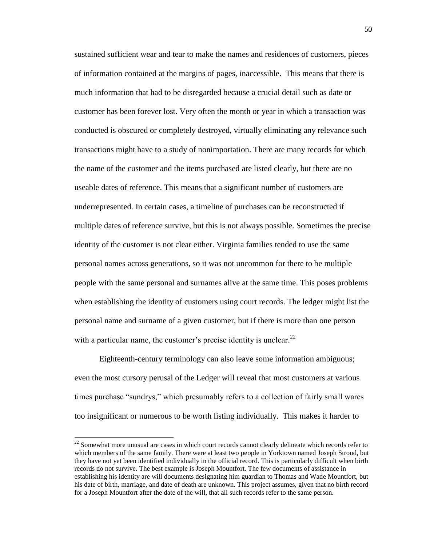sustained sufficient wear and tear to make the names and residences of customers, pieces of information contained at the margins of pages, inaccessible. This means that there is much information that had to be disregarded because a crucial detail such as date or customer has been forever lost. Very often the month or year in which a transaction was conducted is obscured or completely destroyed, virtually eliminating any relevance such transactions might have to a study of nonimportation. There are many records for which the name of the customer and the items purchased are listed clearly, but there are no useable dates of reference. This means that a significant number of customers are underrepresented. In certain cases, a timeline of purchases can be reconstructed if multiple dates of reference survive, but this is not always possible. Sometimes the precise identity of the customer is not clear either. Virginia families tended to use the same personal names across generations, so it was not uncommon for there to be multiple people with the same personal and surnames alive at the same time. This poses problems when establishing the identity of customers using court records. The ledger might list the personal name and surname of a given customer, but if there is more than one person with a particular name, the customer's precise identity is unclear. $^{22}$ 

Eighteenth-century terminology can also leave some information ambiguous; even the most cursory perusal of the Ledger will reveal that most customers at various times purchase "sundrys," which presumably refers to a collection of fairly small wares too insignificant or numerous to be worth listing individually. This makes it harder to

 $22$  Somewhat more unusual are cases in which court records cannot clearly delineate which records refer to which members of the same family. There were at least two people in Yorktown named Joseph Stroud, but they have not yet been identified individually in the official record. This is particularly difficult when birth records do not survive. The best example is Joseph Mountfort. The few documents of assistance in establishing his identity are will documents designating him guardian to Thomas and Wade Mountfort, but his date of birth, marriage, and date of death are unknown. This project assumes, given that no birth record for a Joseph Mountfort after the date of the will, that all such records refer to the same person.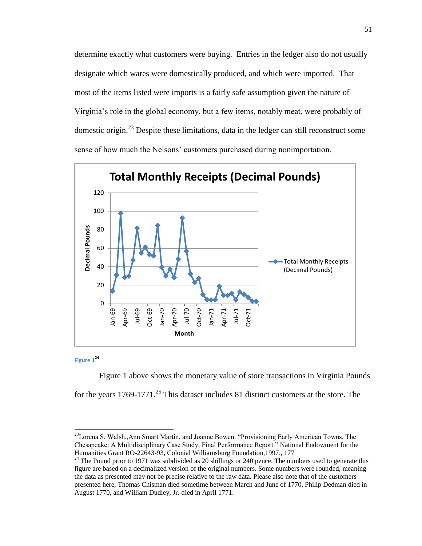determine exactly what customers were buying. Entries in the ledger also do not usually designate which wares were domestically produced, and which were imported. That most of the items listed were imports is a fairly safe assumption given the nature of Virginia's role in the global economy, but a few items, notably meat, were probably of domestic origin.<sup>23</sup> Despite these limitations, data in the ledger can still reconstruct some sense of how much the Nelsons' customers purchased during nonimportation.



**Figure 1 24**

 $\overline{a}$ 

Figure 1 above shows the monetary value of store transactions in Virginia Pounds for the years  $1769-1771$ <sup>25</sup>. This dataset includes 81 distinct customers at the store. The

<sup>&</sup>lt;sup>23</sup>Lorena S. Walsh., Ann Smart Martin, and Joanne Bowen. "Provisioning Early American Towns. The Chesapeake: A Multidisciplinary Case Study, Final Performance Report." National Endowment for the Humanities Grant RO-22643-93, Colonial Williamsburg Foundation,1997., 177

 $24$  The Pound prior to 1971 was subdivided as 20 shillings or 240 pence. The numbers used to generate this figure are based on a decimalized version of the original numbers. Some numbers were rounded, meaning the data as presented may not be precise relative to the raw data. Please also note that of the customers presented here, Thomas Chisman died sometime between March and June of 1770, Philip Dedman died in August 1770, and William Dudley, Jr. died in April 1771.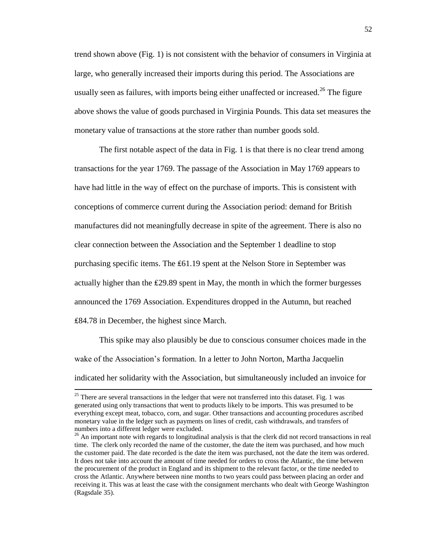trend shown above (Fig. 1) is not consistent with the behavior of consumers in Virginia at large, who generally increased their imports during this period. The Associations are usually seen as failures, with imports being either unaffected or increased.<sup>26</sup> The figure above shows the value of goods purchased in Virginia Pounds. This data set measures the monetary value of transactions at the store rather than number goods sold.

The first notable aspect of the data in Fig. 1 is that there is no clear trend among transactions for the year 1769. The passage of the Association in May 1769 appears to have had little in the way of effect on the purchase of imports. This is consistent with conceptions of commerce current during the Association period: demand for British manufactures did not meaningfully decrease in spite of the agreement. There is also no clear connection between the Association and the September 1 deadline to stop purchasing specific items. The  $£61.19$  spent at the Nelson Store in September was actually higher than the ₤29.89 spent in May, the month in which the former burgesses announced the 1769 Association. Expenditures dropped in the Autumn, but reached ₤84.78 in December, the highest since March.

This spike may also plausibly be due to conscious consumer choices made in the wake of the Association's formation. In a letter to John Norton, Martha Jacquelin indicated her solidarity with the Association, but simultaneously included an invoice for

<sup>&</sup>lt;sup>25</sup> There are several transactions in the ledger that were not transferred into this dataset. Fig. 1 was generated using only transactions that went to products likely to be imports. This was presumed to be everything except meat, tobacco, corn, and sugar. Other transactions and accounting procedures ascribed monetary value in the ledger such as payments on lines of credit, cash withdrawals, and transfers of numbers into a different ledger were excluded.

<sup>&</sup>lt;sup>26</sup> An important note with regards to longitudinal analysis is that the clerk did not record transactions in real time. The clerk only recorded the name of the customer, the date the item was purchased, and how much the customer paid. The date recorded is the date the item was purchased, not the date the item was ordered. It does not take into account the amount of time needed for orders to cross the Atlantic, the time between the procurement of the product in England and its shipment to the relevant factor, or the time needed to cross the Atlantic. Anywhere between nine months to two years could pass between placing an order and receiving it. This was at least the case with the consignment merchants who dealt with George Washington (Ragsdale 35).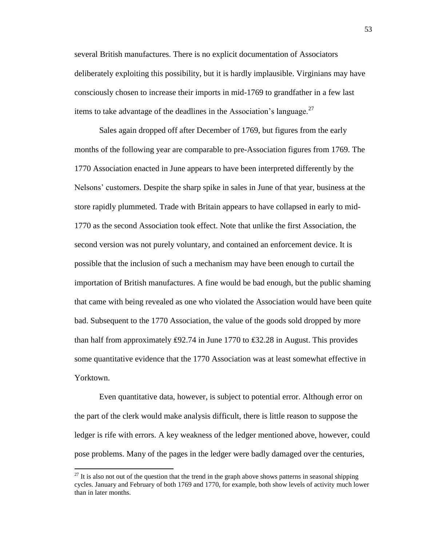several British manufactures. There is no explicit documentation of Associators deliberately exploiting this possibility, but it is hardly implausible. Virginians may have consciously chosen to increase their imports in mid-1769 to grandfather in a few last items to take advantage of the deadlines in the Association's language. $^{27}$ 

Sales again dropped off after December of 1769, but figures from the early months of the following year are comparable to pre-Association figures from 1769. The 1770 Association enacted in June appears to have been interpreted differently by the Nelsons' customers. Despite the sharp spike in sales in June of that year, business at the store rapidly plummeted. Trade with Britain appears to have collapsed in early to mid-1770 as the second Association took effect. Note that unlike the first Association, the second version was not purely voluntary, and contained an enforcement device. It is possible that the inclusion of such a mechanism may have been enough to curtail the importation of British manufactures. A fine would be bad enough, but the public shaming that came with being revealed as one who violated the Association would have been quite bad. Subsequent to the 1770 Association, the value of the goods sold dropped by more than half from approximately £92.74 in June 1770 to £32.28 in August. This provides some quantitative evidence that the 1770 Association was at least somewhat effective in Yorktown.

Even quantitative data, however, is subject to potential error. Although error on the part of the clerk would make analysis difficult, there is little reason to suppose the ledger is rife with errors. A key weakness of the ledger mentioned above, however, could pose problems. Many of the pages in the ledger were badly damaged over the centuries,

 $27$  It is also not out of the question that the trend in the graph above shows patterns in seasonal shipping cycles. January and February of both 1769 and 1770, for example, both show levels of activity much lower than in later months.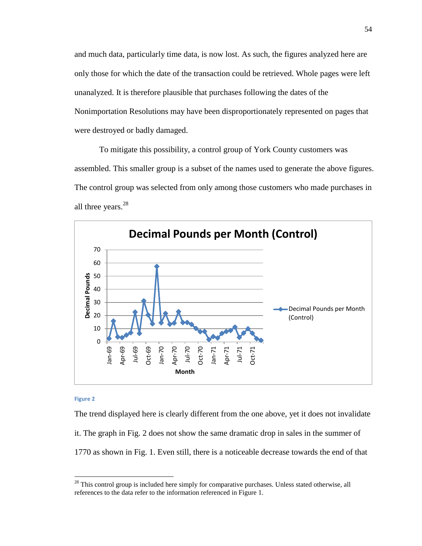and much data, particularly time data, is now lost. As such, the figures analyzed here are only those for which the date of the transaction could be retrieved. Whole pages were left unanalyzed. It is therefore plausible that purchases following the dates of the Nonimportation Resolutions may have been disproportionately represented on pages that were destroyed or badly damaged.

To mitigate this possibility, a control group of York County customers was assembled. This smaller group is a subset of the names used to generate the above figures. The control group was selected from only among those customers who made purchases in all three years.<sup>28</sup>



#### **Figure 2**

 $\overline{\phantom{a}}$ 

The trend displayed here is clearly different from the one above, yet it does not invalidate it. The graph in Fig. 2 does not show the same dramatic drop in sales in the summer of 1770 as shown in Fig. 1. Even still, there is a noticeable decrease towards the end of that

 $2<sup>28</sup>$  This control group is included here simply for comparative purchases. Unless stated otherwise, all references to the data refer to the information referenced in Figure 1.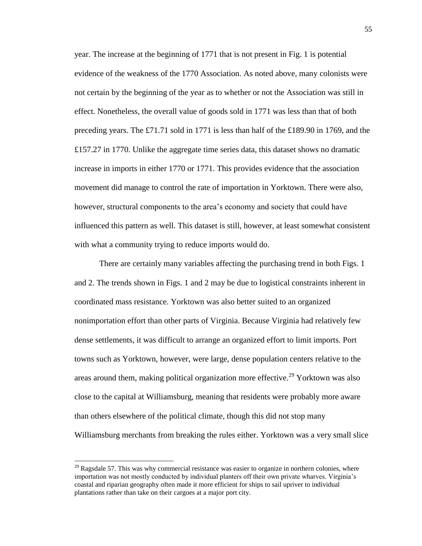year. The increase at the beginning of 1771 that is not present in Fig. 1 is potential evidence of the weakness of the 1770 Association. As noted above, many colonists were not certain by the beginning of the year as to whether or not the Association was still in effect. Nonetheless, the overall value of goods sold in 1771 was less than that of both preceding years. The £71.71 sold in 1771 is less than half of the £189.90 in 1769, and the £157.27 in 1770. Unlike the aggregate time series data, this dataset shows no dramatic increase in imports in either 1770 or 1771. This provides evidence that the association movement did manage to control the rate of importation in Yorktown. There were also, however, structural components to the area's economy and society that could have influenced this pattern as well. This dataset is still, however, at least somewhat consistent with what a community trying to reduce imports would do.

There are certainly many variables affecting the purchasing trend in both Figs. 1 and 2. The trends shown in Figs. 1 and 2 may be due to logistical constraints inherent in coordinated mass resistance. Yorktown was also better suited to an organized nonimportation effort than other parts of Virginia. Because Virginia had relatively few dense settlements, it was difficult to arrange an organized effort to limit imports. Port towns such as Yorktown, however, were large, dense population centers relative to the areas around them, making political organization more effective.<sup>29</sup> Yorktown was also close to the capital at Williamsburg, meaning that residents were probably more aware than others elsewhere of the political climate, though this did not stop many Williamsburg merchants from breaking the rules either. Yorktown was a very small slice

 $^{29}$  Ragsdale 57. This was why commercial resistance was easier to organize in northern colonies, where importation was not mostly conducted by individual planters off their own private wharves. Virginia's coastal and riparian geography often made it more efficient for ships to sail upriver to individual plantations rather than take on their cargoes at a major port city.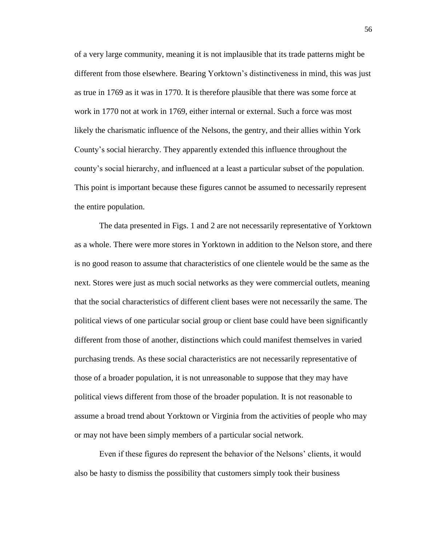of a very large community, meaning it is not implausible that its trade patterns might be different from those elsewhere. Bearing Yorktown's distinctiveness in mind, this was just as true in 1769 as it was in 1770. It is therefore plausible that there was some force at work in 1770 not at work in 1769, either internal or external. Such a force was most likely the charismatic influence of the Nelsons, the gentry, and their allies within York County's social hierarchy. They apparently extended this influence throughout the county's social hierarchy, and influenced at a least a particular subset of the population. This point is important because these figures cannot be assumed to necessarily represent the entire population.

The data presented in Figs. 1 and 2 are not necessarily representative of Yorktown as a whole. There were more stores in Yorktown in addition to the Nelson store, and there is no good reason to assume that characteristics of one clientele would be the same as the next. Stores were just as much social networks as they were commercial outlets, meaning that the social characteristics of different client bases were not necessarily the same. The political views of one particular social group or client base could have been significantly different from those of another, distinctions which could manifest themselves in varied purchasing trends. As these social characteristics are not necessarily representative of those of a broader population, it is not unreasonable to suppose that they may have political views different from those of the broader population. It is not reasonable to assume a broad trend about Yorktown or Virginia from the activities of people who may or may not have been simply members of a particular social network.

Even if these figures do represent the behavior of the Nelsons' clients, it would also be hasty to dismiss the possibility that customers simply took their business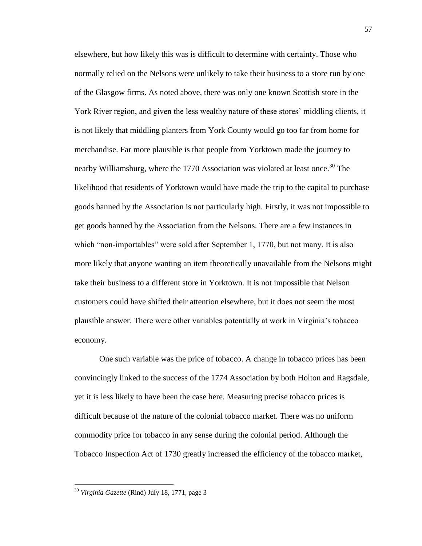elsewhere, but how likely this was is difficult to determine with certainty. Those who normally relied on the Nelsons were unlikely to take their business to a store run by one of the Glasgow firms. As noted above, there was only one known Scottish store in the York River region, and given the less wealthy nature of these stores' middling clients, it is not likely that middling planters from York County would go too far from home for merchandise. Far more plausible is that people from Yorktown made the journey to nearby Williamsburg, where the 1770 Association was violated at least once.<sup>30</sup> The likelihood that residents of Yorktown would have made the trip to the capital to purchase goods banned by the Association is not particularly high. Firstly, it was not impossible to get goods banned by the Association from the Nelsons. There are a few instances in which "non-importables" were sold after September 1, 1770, but not many. It is also more likely that anyone wanting an item theoretically unavailable from the Nelsons might take their business to a different store in Yorktown. It is not impossible that Nelson customers could have shifted their attention elsewhere, but it does not seem the most plausible answer. There were other variables potentially at work in Virginia's tobacco economy.

One such variable was the price of tobacco. A change in tobacco prices has been convincingly linked to the success of the 1774 Association by both Holton and Ragsdale, yet it is less likely to have been the case here. Measuring precise tobacco prices is difficult because of the nature of the colonial tobacco market. There was no uniform commodity price for tobacco in any sense during the colonial period. Although the Tobacco Inspection Act of 1730 greatly increased the efficiency of the tobacco market,

<sup>30</sup> *Virginia Gazette* (Rind) July 18, 1771, page 3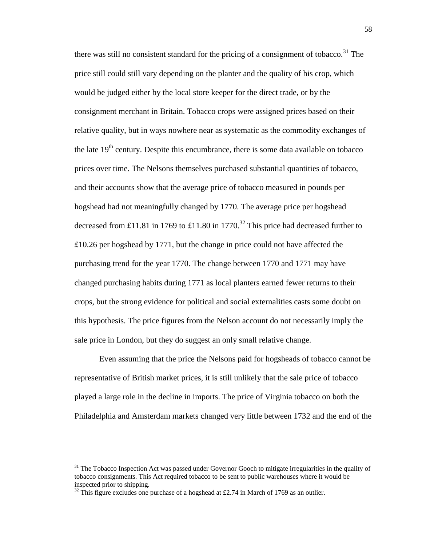there was still no consistent standard for the pricing of a consignment of tobacco.<sup>31</sup> The price still could still vary depending on the planter and the quality of his crop, which would be judged either by the local store keeper for the direct trade, or by the consignment merchant in Britain. Tobacco crops were assigned prices based on their relative quality, but in ways nowhere near as systematic as the commodity exchanges of the late  $19<sup>th</sup>$  century. Despite this encumbrance, there is some data available on tobacco prices over time. The Nelsons themselves purchased substantial quantities of tobacco, and their accounts show that the average price of tobacco measured in pounds per hogshead had not meaningfully changed by 1770. The average price per hogshead decreased from £11.81 in 1769 to £11.80 in 1770.<sup>32</sup> This price had decreased further to ₤10.26 per hogshead by 1771, but the change in price could not have affected the purchasing trend for the year 1770. The change between 1770 and 1771 may have changed purchasing habits during 1771 as local planters earned fewer returns to their crops, but the strong evidence for political and social externalities casts some doubt on this hypothesis. The price figures from the Nelson account do not necessarily imply the sale price in London, but they do suggest an only small relative change.

Even assuming that the price the Nelsons paid for hogsheads of tobacco cannot be representative of British market prices, it is still unlikely that the sale price of tobacco played a large role in the decline in imports. The price of Virginia tobacco on both the Philadelphia and Amsterdam markets changed very little between 1732 and the end of the

 $31$  The Tobacco Inspection Act was passed under Governor Gooch to mitigate irregularities in the quality of tobacco consignments. This Act required tobacco to be sent to public warehouses where it would be inspected prior to shipping.

 $32$  This figure excludes one purchase of a hogshead at £2.74 in March of 1769 as an outlier.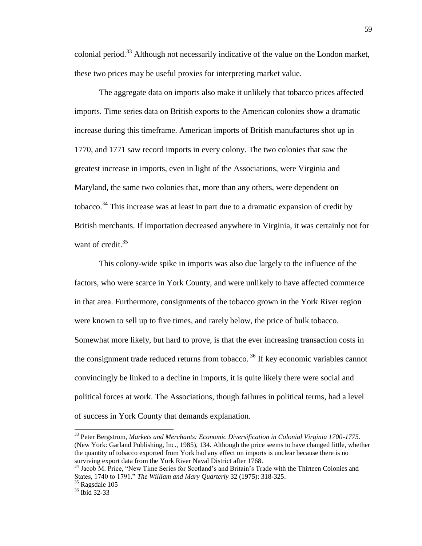colonial period.<sup>33</sup> Although not necessarily indicative of the value on the London market, these two prices may be useful proxies for interpreting market value.

The aggregate data on imports also make it unlikely that tobacco prices affected imports. Time series data on British exports to the American colonies show a dramatic increase during this timeframe. American imports of British manufactures shot up in 1770, and 1771 saw record imports in every colony. The two colonies that saw the greatest increase in imports, even in light of the Associations, were Virginia and Maryland, the same two colonies that, more than any others, were dependent on tobacco.<sup>34</sup> This increase was at least in part due to a dramatic expansion of credit by British merchants. If importation decreased anywhere in Virginia, it was certainly not for want of credit.<sup>35</sup>

This colony-wide spike in imports was also due largely to the influence of the factors, who were scarce in York County, and were unlikely to have affected commerce in that area. Furthermore, consignments of the tobacco grown in the York River region were known to sell up to five times, and rarely below, the price of bulk tobacco. Somewhat more likely, but hard to prove, is that the ever increasing transaction costs in the consignment trade reduced returns from tobacco.<sup>36</sup> If key economic variables cannot convincingly be linked to a decline in imports, it is quite likely there were social and political forces at work. The Associations, though failures in political terms, had a level of success in York County that demands explanation.

 $\overline{a}$ 

<sup>33</sup> Peter Bergstrom, *Markets and Merchants: Economic Diversification in Colonial Virginia 1700-1775*. (New York: Garland Publishing, Inc., 1985), 134. Although the price seems to have changed little, whether the quantity of tobacco exported from York had any effect on imports is unclear because there is no surviving export data from the York River Naval District after 1768.

<sup>&</sup>lt;sup>34</sup> Jacob M. Price, "New Time Series for Scotland's and Britain's Trade with the Thirteen Colonies and States, 1740 to 1791." *The William and Mary Quarterly* 32 (1975): 318-325.

<sup>35</sup> Ragsdale 105

<sup>36</sup> Ibid 32-33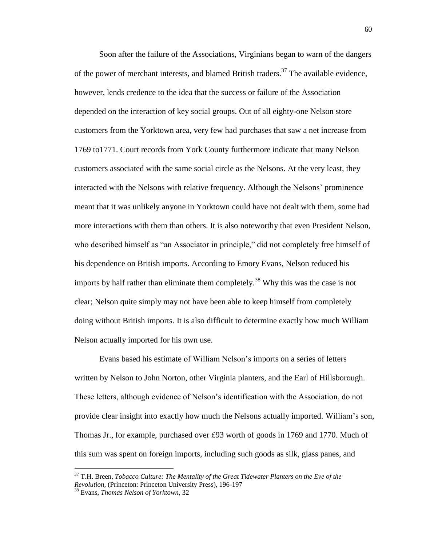Soon after the failure of the Associations, Virginians began to warn of the dangers of the power of merchant interests, and blamed British traders.<sup>37</sup> The available evidence, however, lends credence to the idea that the success or failure of the Association depended on the interaction of key social groups. Out of all eighty-one Nelson store customers from the Yorktown area, very few had purchases that saw a net increase from 1769 to1771. Court records from York County furthermore indicate that many Nelson customers associated with the same social circle as the Nelsons. At the very least, they interacted with the Nelsons with relative frequency. Although the Nelsons' prominence meant that it was unlikely anyone in Yorktown could have not dealt with them, some had more interactions with them than others. It is also noteworthy that even President Nelson, who described himself as "an Associator in principle," did not completely free himself of his dependence on British imports. According to Emory Evans, Nelson reduced his imports by half rather than eliminate them completely.<sup>38</sup> Why this was the case is not clear; Nelson quite simply may not have been able to keep himself from completely doing without British imports. It is also difficult to determine exactly how much William Nelson actually imported for his own use.

Evans based his estimate of William Nelson's imports on a series of letters written by Nelson to John Norton, other Virginia planters, and the Earl of Hillsborough. These letters, although evidence of Nelson's identification with the Association, do not provide clear insight into exactly how much the Nelsons actually imported. William's son, Thomas Jr., for example, purchased over ₤93 worth of goods in 1769 and 1770. Much of this sum was spent on foreign imports, including such goods as silk, glass panes, and

<sup>37</sup> T.H. Breen, *Tobacco Culture: The Mentality of the Great Tidewater Planters on the Eve of the Revolution,* (Princeton: Princeton University Press), 196-197

<sup>38</sup> Evans, *Thomas Nelson of Yorktown*, 32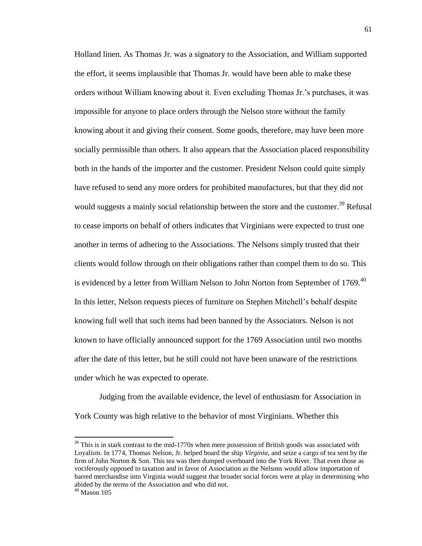Holland linen. As Thomas Jr. was a signatory to the Association, and William supported the effort, it seems implausible that Thomas Jr. would have been able to make these orders without William knowing about it. Even excluding Thomas Jr.'s purchases, it was impossible for anyone to place orders through the Nelson store without the family knowing about it and giving their consent. Some goods, therefore, may have been more socially permissible than others. It also appears that the Association placed responsibility both in the hands of the importer and the customer. President Nelson could quite simply have refused to send any more orders for prohibited manufactures, but that they did not would suggests a mainly social relationship between the store and the customer.<sup>39</sup> Refusal to cease imports on behalf of others indicates that Virginians were expected to trust one another in terms of adhering to the Associations. The Nelsons simply trusted that their clients would follow through on their obligations rather than compel them to do so. This is evidenced by a letter from William Nelson to John Norton from September of  $1769$ <sup>40</sup> In this letter, Nelson requests pieces of furniture on Stephen Mitchell's behalf despite knowing full well that such items had been banned by the Associators. Nelson is not known to have officially announced support for the 1769 Association until two months after the date of this letter, but he still could not have been unaware of the restrictions under which he was expected to operate.

Judging from the available evidence, the level of enthusiasm for Association in York County was high relative to the behavior of most Virginians. Whether this

 $39$  This is in stark contrast to the mid-1770s when mere possession of British goods was associated with Loyalism. In 1774, Thomas Nelson, Jr. helped board the ship *Virginia*, and seize a cargo of tea sent by the firm of John Norton & Son. This tea was then dumped overboard into the York River. That even those as vociferously opposed to taxation and in favor of Association as the Nelsons would allow importation of barred merchandise into Virginia would suggest that broader social forces were at play in determining who abided by the terms of the Association and who did not.

 $40$  Mason 105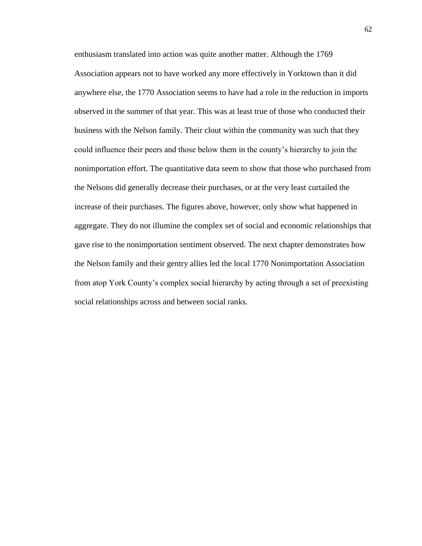enthusiasm translated into action was quite another matter. Although the 1769 Association appears not to have worked any more effectively in Yorktown than it did anywhere else, the 1770 Association seems to have had a role in the reduction in imports observed in the summer of that year. This was at least true of those who conducted their business with the Nelson family. Their clout within the community was such that they could influence their peers and those below them in the county's hierarchy to join the nonimportation effort. The quantitative data seem to show that those who purchased from the Nelsons did generally decrease their purchases, or at the very least curtailed the increase of their purchases. The figures above, however, only show what happened in aggregate. They do not illumine the complex set of social and economic relationships that gave rise to the nonimportation sentiment observed. The next chapter demonstrates how the Nelson family and their gentry allies led the local 1770 Nonimportation Association from atop York County's complex social hierarchy by acting through a set of preexisting social relationships across and between social ranks.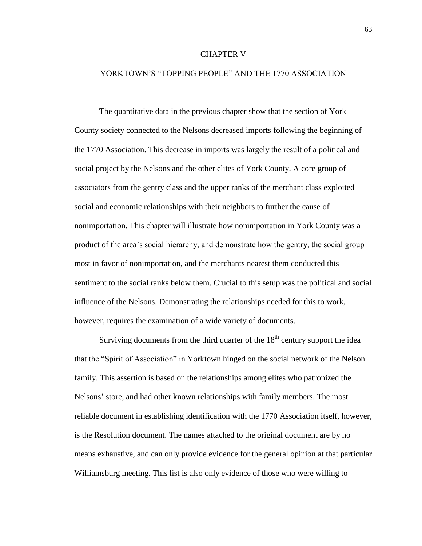### CHAPTER V

## YORKTOWN'S "TOPPING PEOPLE" AND THE 1770 ASSOCIATION

The quantitative data in the previous chapter show that the section of York County society connected to the Nelsons decreased imports following the beginning of the 1770 Association. This decrease in imports was largely the result of a political and social project by the Nelsons and the other elites of York County. A core group of associators from the gentry class and the upper ranks of the merchant class exploited social and economic relationships with their neighbors to further the cause of nonimportation. This chapter will illustrate how nonimportation in York County was a product of the area's social hierarchy, and demonstrate how the gentry, the social group most in favor of nonimportation, and the merchants nearest them conducted this sentiment to the social ranks below them. Crucial to this setup was the political and social influence of the Nelsons. Demonstrating the relationships needed for this to work, however, requires the examination of a wide variety of documents.

Surviving documents from the third quarter of the  $18<sup>th</sup>$  century support the idea that the "Spirit of Association" in Yorktown hinged on the social network of the Nelson family. This assertion is based on the relationships among elites who patronized the Nelsons' store, and had other known relationships with family members. The most reliable document in establishing identification with the 1770 Association itself, however, is the Resolution document. The names attached to the original document are by no means exhaustive, and can only provide evidence for the general opinion at that particular Williamsburg meeting. This list is also only evidence of those who were willing to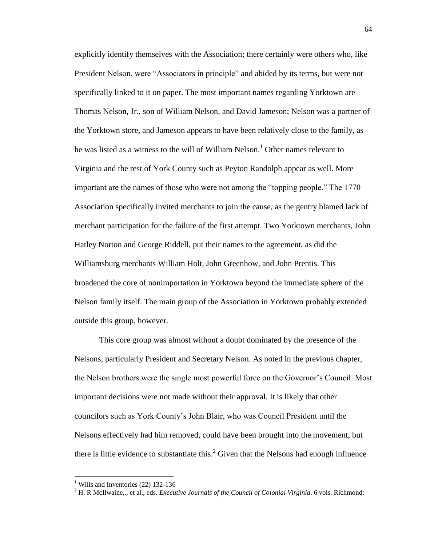explicitly identify themselves with the Association; there certainly were others who, like President Nelson, were "Associators in principle" and abided by its terms, but were not specifically linked to it on paper. The most important names regarding Yorktown are Thomas Nelson, Jr., son of William Nelson, and David Jameson; Nelson was a partner of the Yorktown store, and Jameson appears to have been relatively close to the family, as he was listed as a witness to the will of William Nelson.<sup>1</sup> Other names relevant to Virginia and the rest of York County such as Peyton Randolph appear as well. More important are the names of those who were not among the "topping people." The 1770 Association specifically invited merchants to join the cause, as the gentry blamed lack of merchant participation for the failure of the first attempt. Two Yorktown merchants, John Hatley Norton and George Riddell, put their names to the agreement, as did the Williamsburg merchants William Holt, John Greenhow, and John Prentis. This broadened the core of nonimportation in Yorktown beyond the immediate sphere of the Nelson family itself. The main group of the Association in Yorktown probably extended outside this group, however.

This core group was almost without a doubt dominated by the presence of the Nelsons, particularly President and Secretary Nelson. As noted in the previous chapter, the Nelson brothers were the single most powerful force on the Governor's Council. Most important decisions were not made without their approval. It is likely that other councilors such as York County's John Blair, who was Council President until the Nelsons effectively had him removed, could have been brought into the movement, but there is little evidence to substantiate this. $2$  Given that the Nelsons had enough influence

 $<sup>1</sup>$  Wills and Inventories (22) 132-136</sup>

<sup>2</sup> H. R McIlwaine,., et al., eds. *Executive Journals of the Council of Colonial Virginia*. 6 vols. Richmond: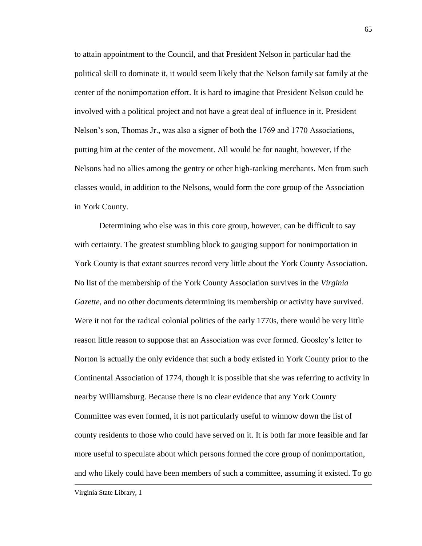to attain appointment to the Council, and that President Nelson in particular had the political skill to dominate it, it would seem likely that the Nelson family sat family at the center of the nonimportation effort. It is hard to imagine that President Nelson could be involved with a political project and not have a great deal of influence in it. President Nelson's son, Thomas Jr., was also a signer of both the 1769 and 1770 Associations, putting him at the center of the movement. All would be for naught, however, if the Nelsons had no allies among the gentry or other high-ranking merchants. Men from such classes would, in addition to the Nelsons, would form the core group of the Association in York County.

Determining who else was in this core group, however, can be difficult to say with certainty. The greatest stumbling block to gauging support for nonimportation in York County is that extant sources record very little about the York County Association. No list of the membership of the York County Association survives in the *Virginia Gazette*, and no other documents determining its membership or activity have survived. Were it not for the radical colonial politics of the early 1770s, there would be very little reason little reason to suppose that an Association was ever formed. Goosley's letter to Norton is actually the only evidence that such a body existed in York County prior to the Continental Association of 1774, though it is possible that she was referring to activity in nearby Williamsburg. Because there is no clear evidence that any York County Committee was even formed, it is not particularly useful to winnow down the list of county residents to those who could have served on it. It is both far more feasible and far more useful to speculate about which persons formed the core group of nonimportation, and who likely could have been members of such a committee, assuming it existed. To go

Virginia State Library, 1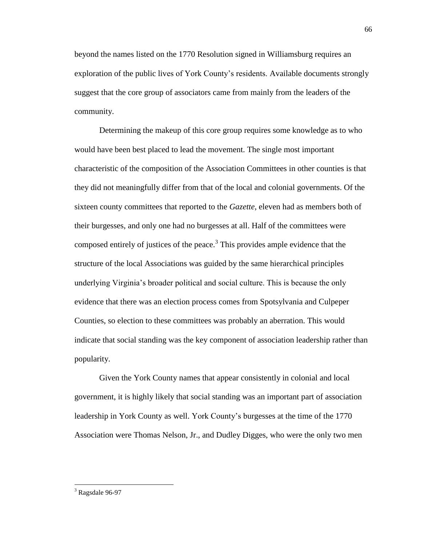beyond the names listed on the 1770 Resolution signed in Williamsburg requires an exploration of the public lives of York County's residents. Available documents strongly suggest that the core group of associators came from mainly from the leaders of the community.

Determining the makeup of this core group requires some knowledge as to who would have been best placed to lead the movement. The single most important characteristic of the composition of the Association Committees in other counties is that they did not meaningfully differ from that of the local and colonial governments. Of the sixteen county committees that reported to the *Gazette*, eleven had as members both of their burgesses, and only one had no burgesses at all. Half of the committees were composed entirely of justices of the peace. 3 This provides ample evidence that the structure of the local Associations was guided by the same hierarchical principles underlying Virginia's broader political and social culture. This is because the only evidence that there was an election process comes from Spotsylvania and Culpeper Counties, so election to these committees was probably an aberration. This would indicate that social standing was the key component of association leadership rather than popularity.

Given the York County names that appear consistently in colonial and local government, it is highly likely that social standing was an important part of association leadership in York County as well. York County's burgesses at the time of the 1770 Association were Thomas Nelson, Jr., and Dudley Digges, who were the only two men

 $3$  Ragsdale 96-97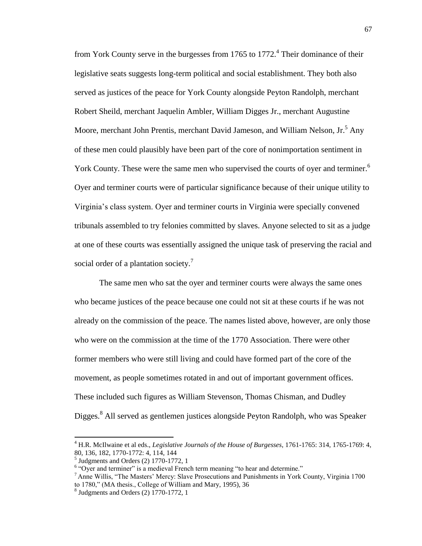from York County serve in the burgesses from 1765 to  $1772<sup>4</sup>$  Their dominance of their legislative seats suggests long-term political and social establishment. They both also served as justices of the peace for York County alongside Peyton Randolph, merchant Robert Sheild, merchant Jaquelin Ambler, William Digges Jr., merchant Augustine Moore, merchant John Prentis, merchant David Jameson, and William Nelson, Jr.<sup>5</sup> Any of these men could plausibly have been part of the core of nonimportation sentiment in York County. These were the same men who supervised the courts of oyer and terminer.<sup>6</sup> Oyer and terminer courts were of particular significance because of their unique utility to Virginia's class system. Oyer and terminer courts in Virginia were specially convened tribunals assembled to try felonies committed by slaves. Anyone selected to sit as a judge at one of these courts was essentially assigned the unique task of preserving the racial and social order of a plantation society.<sup>7</sup>

The same men who sat the oyer and terminer courts were always the same ones who became justices of the peace because one could not sit at these courts if he was not already on the commission of the peace. The names listed above, however, are only those who were on the commission at the time of the 1770 Association. There were other former members who were still living and could have formed part of the core of the movement, as people sometimes rotated in and out of important government offices. These included such figures as William Stevenson, Thomas Chisman, and Dudley Digges.<sup>8</sup> All served as gentlemen justices alongside Peyton Randolph, who was Speaker

<sup>4</sup> H.R. McIlwaine et al eds., *Legislative Journals of the House of Burgesses*, 1761-1765: 314, 1765-1769: 4, 80, 136, 182, 1770-1772: 4, 114, 144

<sup>5</sup> Judgments and Orders (2) 1770-1772, 1

<sup>&</sup>lt;sup>6</sup> "Oyer and terminer" is a medieval French term meaning "to hear and determine."

 $<sup>7</sup>$  Anne Willis, "The Masters' Mercy: Slave Prosecutions and Punishments in York County, Virginia 1700</sup> to 1780," (MA thesis., College of William and Mary, 1995), 36

 $8$  Judgments and Orders (2) 1770-1772, 1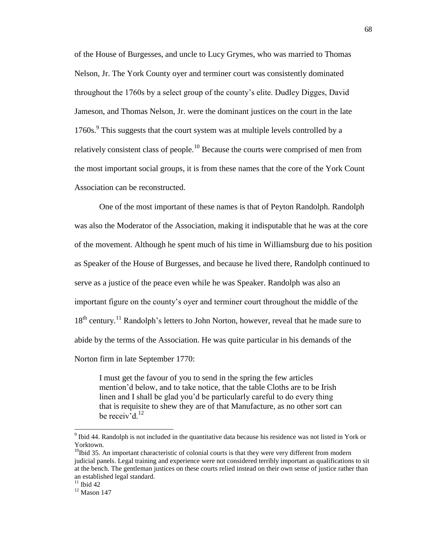of the House of Burgesses, and uncle to Lucy Grymes, who was married to Thomas Nelson, Jr. The York County oyer and terminer court was consistently dominated throughout the 1760s by a select group of the county's elite. Dudley Digges, David Jameson, and Thomas Nelson, Jr. were the dominant justices on the court in the late 1760s.<sup>9</sup> This suggests that the court system was at multiple levels controlled by a relatively consistent class of people.<sup>10</sup> Because the courts were comprised of men from the most important social groups, it is from these names that the core of the York Count Association can be reconstructed.

One of the most important of these names is that of Peyton Randolph. Randolph was also the Moderator of the Association, making it indisputable that he was at the core of the movement. Although he spent much of his time in Williamsburg due to his position as Speaker of the House of Burgesses, and because he lived there, Randolph continued to serve as a justice of the peace even while he was Speaker. Randolph was also an important figure on the county's oyer and terminer court throughout the middle of the 18<sup>th</sup> century.<sup>11</sup> Randolph's letters to John Norton, however, reveal that he made sure to abide by the terms of the Association. He was quite particular in his demands of the Norton firm in late September 1770:

I must get the favour of you to send in the spring the few articles mention'd below, and to take notice, that the table Cloths are to be Irish linen and I shall be glad you'd be particularly careful to do every thing that is requisite to shew they are of that Manufacture, as no other sort can be receiv<sup>7</sup>d.<sup>12</sup>

<sup>&</sup>lt;sup>9</sup> Ibid 44. Randolph is not included in the quantitative data because his residence was not listed in York or Yorktown.

 $10$ Ibid 35. An important characteristic of colonial courts is that they were very different from modern judicial panels. Legal training and experience were not considered terribly important as qualifications to sit at the bench. The gentleman justices on these courts relied instead on their own sense of justice rather than an established legal standard.

 $11$  Ibid 42

 $12$  Mason 147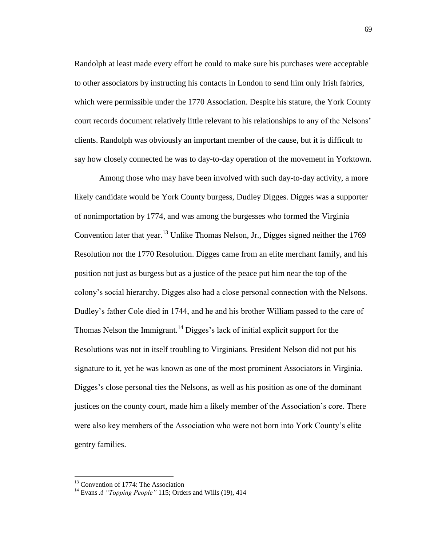Randolph at least made every effort he could to make sure his purchases were acceptable to other associators by instructing his contacts in London to send him only Irish fabrics, which were permissible under the 1770 Association. Despite his stature, the York County court records document relatively little relevant to his relationships to any of the Nelsons' clients. Randolph was obviously an important member of the cause, but it is difficult to say how closely connected he was to day-to-day operation of the movement in Yorktown.

Among those who may have been involved with such day-to-day activity, a more likely candidate would be York County burgess, Dudley Digges. Digges was a supporter of nonimportation by 1774, and was among the burgesses who formed the Virginia Convention later that year.<sup>13</sup> Unlike Thomas Nelson, Jr., Digges signed neither the 1769 Resolution nor the 1770 Resolution. Digges came from an elite merchant family, and his position not just as burgess but as a justice of the peace put him near the top of the colony's social hierarchy. Digges also had a close personal connection with the Nelsons. Dudley's father Cole died in 1744, and he and his brother William passed to the care of Thomas Nelson the Immigrant.<sup>14</sup> Digges's lack of initial explicit support for the Resolutions was not in itself troubling to Virginians. President Nelson did not put his signature to it, yet he was known as one of the most prominent Associators in Virginia. Digges's close personal ties the Nelsons, as well as his position as one of the dominant justices on the county court, made him a likely member of the Association's core. There were also key members of the Association who were not born into York County's elite gentry families.

<sup>&</sup>lt;sup>13</sup> Convention of 1774: The Association

<sup>14</sup> Evans *A "Topping People"* 115; Orders and Wills (19), 414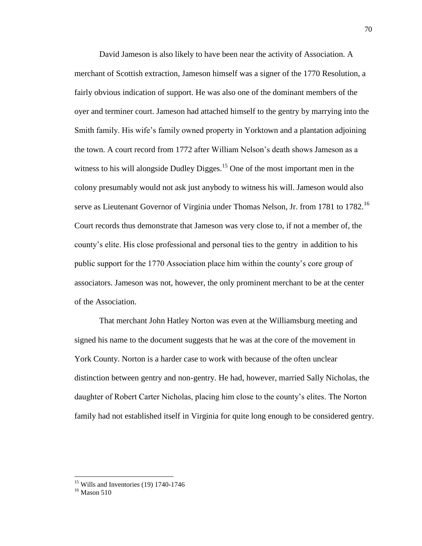David Jameson is also likely to have been near the activity of Association. A merchant of Scottish extraction, Jameson himself was a signer of the 1770 Resolution, a fairly obvious indication of support. He was also one of the dominant members of the oyer and terminer court. Jameson had attached himself to the gentry by marrying into the Smith family. His wife's family owned property in Yorktown and a plantation adjoining the town. A court record from 1772 after William Nelson's death shows Jameson as a witness to his will alongside Dudley Digges.<sup>15</sup> One of the most important men in the colony presumably would not ask just anybody to witness his will. Jameson would also serve as Lieutenant Governor of Virginia under Thomas Nelson, Jr. from 1781 to 1782.<sup>16</sup> Court records thus demonstrate that Jameson was very close to, if not a member of, the county's elite. His close professional and personal ties to the gentry in addition to his public support for the 1770 Association place him within the county's core group of associators. Jameson was not, however, the only prominent merchant to be at the center of the Association.

That merchant John Hatley Norton was even at the Williamsburg meeting and signed his name to the document suggests that he was at the core of the movement in York County. Norton is a harder case to work with because of the often unclear distinction between gentry and non-gentry. He had, however, married Sally Nicholas, the daughter of Robert Carter Nicholas, placing him close to the county's elites. The Norton family had not established itself in Virginia for quite long enough to be considered gentry.

 $15$  Wills and Inventories (19) 1740-1746

<sup>&</sup>lt;sup>16</sup> Mason 510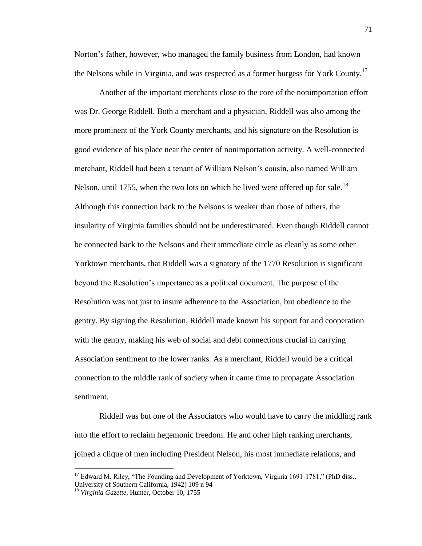Norton's father, however, who managed the family business from London, had known the Nelsons while in Virginia, and was respected as a former burgess for York County.<sup>17</sup>

Another of the important merchants close to the core of the nonimportation effort was Dr. George Riddell. Both a merchant and a physician, Riddell was also among the more prominent of the York County merchants, and his signature on the Resolution is good evidence of his place near the center of nonimportation activity. A well-connected merchant, Riddell had been a tenant of William Nelson's cousin, also named William Nelson, until 1755, when the two lots on which he lived were offered up for sale.<sup>18</sup> Although this connection back to the Nelsons is weaker than those of others, the insularity of Virginia families should not be underestimated. Even though Riddell cannot be connected back to the Nelsons and their immediate circle as cleanly as some other Yorktown merchants, that Riddell was a signatory of the 1770 Resolution is significant beyond the Resolution's importance as a political document. The purpose of the Resolution was not just to insure adherence to the Association, but obedience to the gentry. By signing the Resolution, Riddell made known his support for and cooperation with the gentry, making his web of social and debt connections crucial in carrying Association sentiment to the lower ranks. As a merchant, Riddell would be a critical connection to the middle rank of society when it came time to propagate Association sentiment.

Riddell was but one of the Associators who would have to carry the middling rank into the effort to reclaim hegemonic freedom. He and other high ranking merchants, joined a clique of men including President Nelson, his most immediate relations, and

<sup>&</sup>lt;sup>17</sup> Edward M. Riley, "The Founding and Development of Yorktown, Virginia 1691-1781," (PhD diss., University of Southern California, 1942) 109 n 94

<sup>18</sup> *Virginia Gazette*, Hunter, October 10, 1755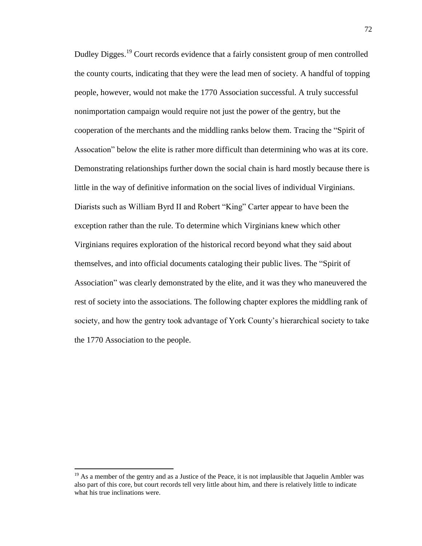Dudley Digges.<sup>19</sup> Court records evidence that a fairly consistent group of men controlled the county courts, indicating that they were the lead men of society. A handful of topping people, however, would not make the 1770 Association successful. A truly successful nonimportation campaign would require not just the power of the gentry, but the cooperation of the merchants and the middling ranks below them. Tracing the "Spirit of Assocation" below the elite is rather more difficult than determining who was at its core. Demonstrating relationships further down the social chain is hard mostly because there is little in the way of definitive information on the social lives of individual Virginians. Diarists such as William Byrd II and Robert "King" Carter appear to have been the exception rather than the rule. To determine which Virginians knew which other Virginians requires exploration of the historical record beyond what they said about themselves, and into official documents cataloging their public lives. The "Spirit of Association" was clearly demonstrated by the elite, and it was they who maneuvered the rest of society into the associations. The following chapter explores the middling rank of society, and how the gentry took advantage of York County's hierarchical society to take the 1770 Association to the people.

 $19$  As a member of the gentry and as a Justice of the Peace, it is not implausible that Jaquelin Ambler was also part of this core, but court records tell very little about him, and there is relatively little to indicate what his true inclinations were.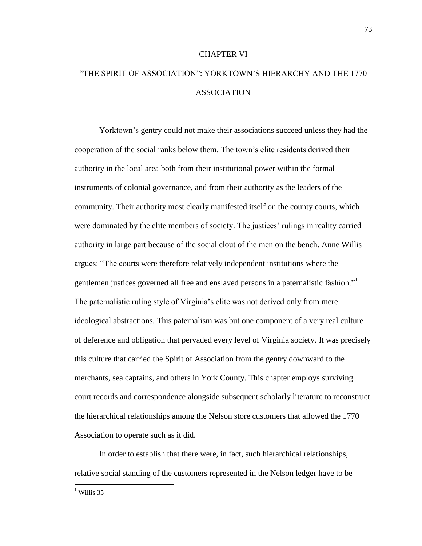## CHAPTER VI

# "THE SPIRIT OF ASSOCIATION": YORKTOWN'S HIERARCHY AND THE 1770 ASSOCIATION

Yorktown's gentry could not make their associations succeed unless they had the cooperation of the social ranks below them. The town's elite residents derived their authority in the local area both from their institutional power within the formal instruments of colonial governance, and from their authority as the leaders of the community. Their authority most clearly manifested itself on the county courts, which were dominated by the elite members of society. The justices' rulings in reality carried authority in large part because of the social clout of the men on the bench. Anne Willis argues: "The courts were therefore relatively independent institutions where the gentlemen justices governed all free and enslaved persons in a paternalistic fashion." The paternalistic ruling style of Virginia's elite was not derived only from mere ideological abstractions. This paternalism was but one component of a very real culture of deference and obligation that pervaded every level of Virginia society. It was precisely this culture that carried the Spirit of Association from the gentry downward to the merchants, sea captains, and others in York County. This chapter employs surviving court records and correspondence alongside subsequent scholarly literature to reconstruct the hierarchical relationships among the Nelson store customers that allowed the 1770 Association to operate such as it did.

In order to establish that there were, in fact, such hierarchical relationships, relative social standing of the customers represented in the Nelson ledger have to be

 $<sup>1</sup>$  Willis 35</sup>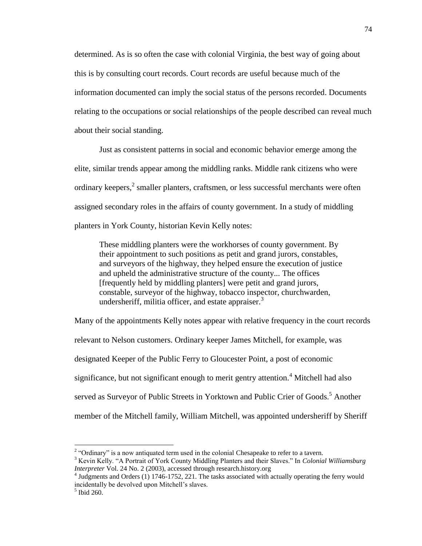determined. As is so often the case with colonial Virginia, the best way of going about this is by consulting court records. Court records are useful because much of the information documented can imply the social status of the persons recorded. Documents relating to the occupations or social relationships of the people described can reveal much about their social standing.

Just as consistent patterns in social and economic behavior emerge among the elite, similar trends appear among the middling ranks. Middle rank citizens who were ordinary keepers, $<sup>2</sup>$  smaller planters, craftsmen, or less successful merchants were often</sup> assigned secondary roles in the affairs of county government. In a study of middling planters in York County, historian Kevin Kelly notes:

These middling planters were the workhorses of county government. By their appointment to such positions as petit and grand jurors, constables, and surveyors of the highway, they helped ensure the execution of justice and upheld the administrative structure of the county... The offices [frequently held by middling planters] were petit and grand jurors, constable, surveyor of the highway, tobacco inspector, churchwarden, undersheriff, militia officer, and estate appraiser. $3$ 

Many of the appointments Kelly notes appear with relative frequency in the court records relevant to Nelson customers. Ordinary keeper James Mitchell, for example, was designated Keeper of the Public Ferry to Gloucester Point, a post of economic significance, but not significant enough to merit gentry attention.<sup>4</sup> Mitchell had also served as Surveyor of Public Streets in Yorktown and Public Crier of Goods.<sup>5</sup> Another member of the Mitchell family, William Mitchell, was appointed undersheriff by Sheriff

<sup>&</sup>lt;sup>2</sup> "Ordinary" is a now antiquated term used in the colonial Chesapeake to refer to a tavern.

<sup>3</sup> Kevin Kelly. "A Portrait of York County Middling Planters and their Slaves." In *Colonial Williamsburg Interpreter* Vol. 24 No. 2 (2003), accessed through research.history.org

<sup>&</sup>lt;sup>4</sup> Judgments and Orders (1) 1746-1752, 221. The tasks associated with actually operating the ferry would incidentally be devolved upon Mitchell's slaves.

 $<sup>5</sup>$  Ibid 260.</sup>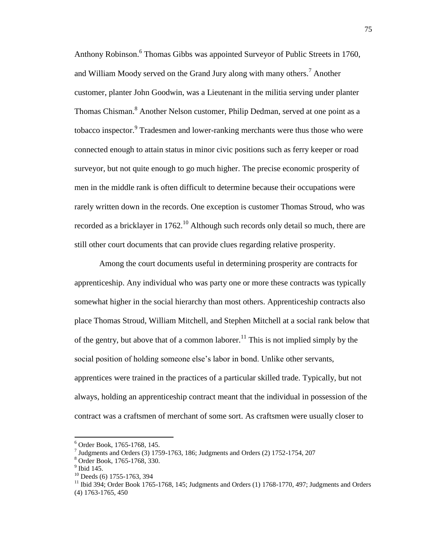Anthony Robinson.<sup>6</sup> Thomas Gibbs was appointed Surveyor of Public Streets in 1760, and William Moody served on the Grand Jury along with many others.<sup>7</sup> Another customer, planter John Goodwin, was a Lieutenant in the militia serving under planter Thomas Chisman. <sup>8</sup> Another Nelson customer, Philip Dedman, served at one point as a tobacco inspector.<sup>9</sup> Tradesmen and lower-ranking merchants were thus those who were connected enough to attain status in minor civic positions such as ferry keeper or road surveyor, but not quite enough to go much higher. The precise economic prosperity of men in the middle rank is often difficult to determine because their occupations were rarely written down in the records. One exception is customer Thomas Stroud, who was recorded as a bricklayer in 1762.<sup>10</sup> Although such records only detail so much, there are still other court documents that can provide clues regarding relative prosperity.

Among the court documents useful in determining prosperity are contracts for apprenticeship. Any individual who was party one or more these contracts was typically somewhat higher in the social hierarchy than most others. Apprenticeship contracts also place Thomas Stroud, William Mitchell, and Stephen Mitchell at a social rank below that of the gentry, but above that of a common laborer.<sup>11</sup> This is not implied simply by the social position of holding someone else's labor in bond. Unlike other servants, apprentices were trained in the practices of a particular skilled trade. Typically, but not always, holding an apprenticeship contract meant that the individual in possession of the contract was a craftsmen of merchant of some sort. As craftsmen were usually closer to

<sup>6</sup> Order Book, 1765-1768, 145.

<sup>&</sup>lt;sup>7</sup> Judgments and Orders (3) 1759-1763, 186; Judgments and Orders (2) 1752-1754, 207

<sup>8</sup> Order Book, 1765-1768, 330.

 $9$  Ibid 145.

 $10$  Deeds (6) 1755-1763, 394

 $11$  Ibid 394; Order Book 1765-1768, 145; Judgments and Orders (1) 1768-1770, 497; Judgments and Orders (4) 1763-1765, 450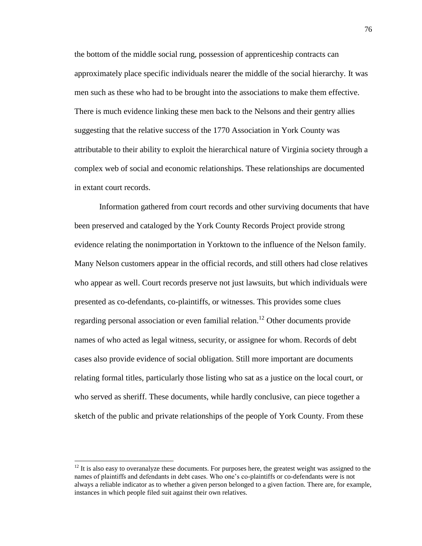the bottom of the middle social rung, possession of apprenticeship contracts can approximately place specific individuals nearer the middle of the social hierarchy. It was men such as these who had to be brought into the associations to make them effective. There is much evidence linking these men back to the Nelsons and their gentry allies suggesting that the relative success of the 1770 Association in York County was attributable to their ability to exploit the hierarchical nature of Virginia society through a complex web of social and economic relationships. These relationships are documented in extant court records.

Information gathered from court records and other surviving documents that have been preserved and cataloged by the York County Records Project provide strong evidence relating the nonimportation in Yorktown to the influence of the Nelson family. Many Nelson customers appear in the official records, and still others had close relatives who appear as well. Court records preserve not just lawsuits, but which individuals were presented as co-defendants, co-plaintiffs, or witnesses. This provides some clues regarding personal association or even familial relation.<sup>12</sup> Other documents provide names of who acted as legal witness, security, or assignee for whom. Records of debt cases also provide evidence of social obligation. Still more important are documents relating formal titles, particularly those listing who sat as a justice on the local court, or who served as sheriff. These documents, while hardly conclusive, can piece together a sketch of the public and private relationships of the people of York County. From these

 $12$  It is also easy to overanalyze these documents. For purposes here, the greatest weight was assigned to the names of plaintiffs and defendants in debt cases. Who one's co-plaintiffs or co-defendants were is not always a reliable indicator as to whether a given person belonged to a given faction. There are, for example, instances in which people filed suit against their own relatives.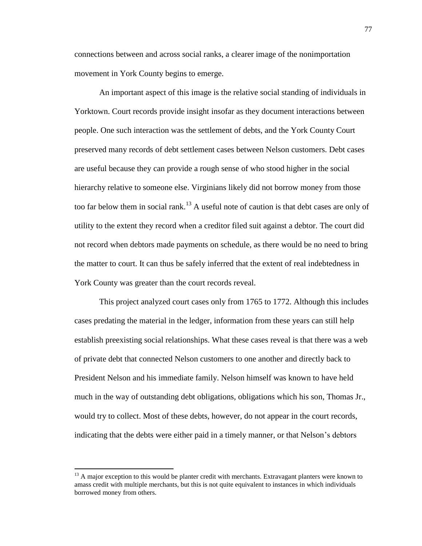connections between and across social ranks, a clearer image of the nonimportation movement in York County begins to emerge.

An important aspect of this image is the relative social standing of individuals in Yorktown. Court records provide insight insofar as they document interactions between people. One such interaction was the settlement of debts, and the York County Court preserved many records of debt settlement cases between Nelson customers. Debt cases are useful because they can provide a rough sense of who stood higher in the social hierarchy relative to someone else. Virginians likely did not borrow money from those too far below them in social rank.<sup>13</sup> A useful note of caution is that debt cases are only of utility to the extent they record when a creditor filed suit against a debtor. The court did not record when debtors made payments on schedule, as there would be no need to bring the matter to court. It can thus be safely inferred that the extent of real indebtedness in York County was greater than the court records reveal.

This project analyzed court cases only from 1765 to 1772. Although this includes cases predating the material in the ledger, information from these years can still help establish preexisting social relationships. What these cases reveal is that there was a web of private debt that connected Nelson customers to one another and directly back to President Nelson and his immediate family. Nelson himself was known to have held much in the way of outstanding debt obligations, obligations which his son, Thomas Jr., would try to collect. Most of these debts, however, do not appear in the court records, indicating that the debts were either paid in a timely manner, or that Nelson's debtors

<sup>&</sup>lt;sup>13</sup> A major exception to this would be planter credit with merchants. Extravagant planters were known to amass credit with multiple merchants, but this is not quite equivalent to instances in which individuals borrowed money from others.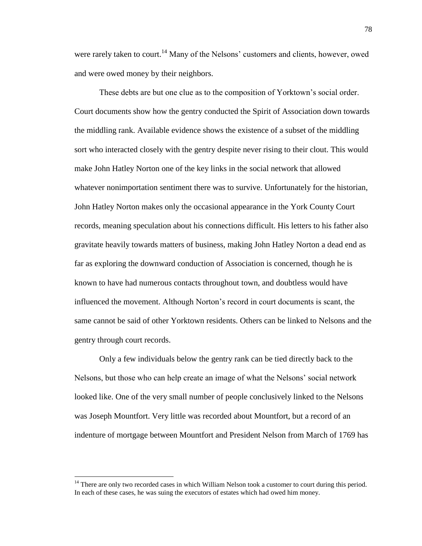were rarely taken to court.<sup>14</sup> Many of the Nelsons' customers and clients, however, owed and were owed money by their neighbors.

These debts are but one clue as to the composition of Yorktown's social order. Court documents show how the gentry conducted the Spirit of Association down towards the middling rank. Available evidence shows the existence of a subset of the middling sort who interacted closely with the gentry despite never rising to their clout. This would make John Hatley Norton one of the key links in the social network that allowed whatever nonimportation sentiment there was to survive. Unfortunately for the historian, John Hatley Norton makes only the occasional appearance in the York County Court records, meaning speculation about his connections difficult. His letters to his father also gravitate heavily towards matters of business, making John Hatley Norton a dead end as far as exploring the downward conduction of Association is concerned, though he is known to have had numerous contacts throughout town, and doubtless would have influenced the movement. Although Norton's record in court documents is scant, the same cannot be said of other Yorktown residents. Others can be linked to Nelsons and the gentry through court records.

Only a few individuals below the gentry rank can be tied directly back to the Nelsons, but those who can help create an image of what the Nelsons' social network looked like. One of the very small number of people conclusively linked to the Nelsons was Joseph Mountfort. Very little was recorded about Mountfort, but a record of an indenture of mortgage between Mountfort and President Nelson from March of 1769 has

 $14$  There are only two recorded cases in which William Nelson took a customer to court during this period. In each of these cases, he was suing the executors of estates which had owed him money.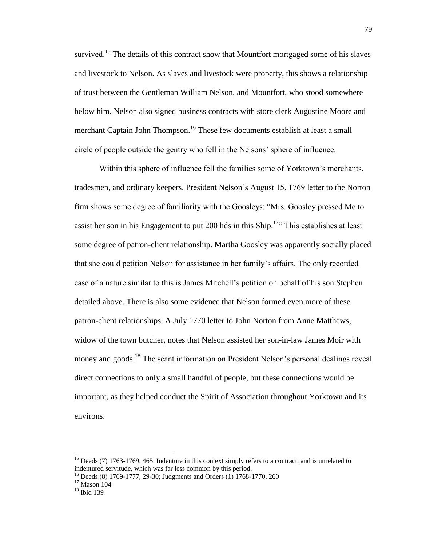survived.<sup>15</sup> The details of this contract show that Mountfort mortgaged some of his slaves and livestock to Nelson. As slaves and livestock were property, this shows a relationship of trust between the Gentleman William Nelson, and Mountfort, who stood somewhere below him. Nelson also signed business contracts with store clerk Augustine Moore and merchant Captain John Thompson.<sup>16</sup> These few documents establish at least a small circle of people outside the gentry who fell in the Nelsons' sphere of influence.

Within this sphere of influence fell the families some of Yorktown's merchants, tradesmen, and ordinary keepers. President Nelson's August 15, 1769 letter to the Norton firm shows some degree of familiarity with the Goosleys: "Mrs. Goosley pressed Me to assist her son in his Engagement to put 200 hds in this Ship.<sup>17</sup>" This establishes at least some degree of patron-client relationship. Martha Goosley was apparently socially placed that she could petition Nelson for assistance in her family's affairs. The only recorded case of a nature similar to this is James Mitchell's petition on behalf of his son Stephen detailed above. There is also some evidence that Nelson formed even more of these patron-client relationships. A July 1770 letter to John Norton from Anne Matthews, widow of the town butcher, notes that Nelson assisted her son-in-law James Moir with money and goods.<sup>18</sup> The scant information on President Nelson's personal dealings reveal direct connections to only a small handful of people, but these connections would be important, as they helped conduct the Spirit of Association throughout Yorktown and its environs.

 $\overline{a}$ 

<sup>&</sup>lt;sup>15</sup> Deeds (7) 1763-1769, 465. Indenture in this context simply refers to a contract, and is unrelated to indentured servitude, which was far less common by this period.

<sup>&</sup>lt;sup>16</sup> Deeds (8) 1769-1777, 29-30; Judgments and Orders (1) 1768-1770, 260

<sup>&</sup>lt;sup>17</sup> Mason 104

<sup>&</sup>lt;sup>18</sup> Ibid 139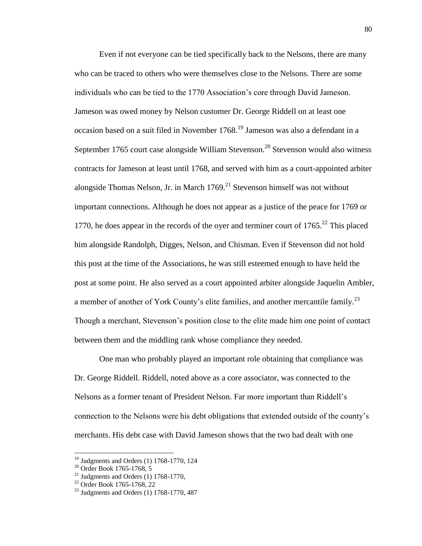Even if not everyone can be tied specifically back to the Nelsons, there are many who can be traced to others who were themselves close to the Nelsons. There are some individuals who can be tied to the 1770 Association's core through David Jameson. Jameson was owed money by Nelson customer Dr. George Riddell on at least one occasion based on a suit filed in November 1768.<sup>19</sup> Jameson was also a defendant in a September 1765 court case alongside William Stevenson.<sup>20</sup> Stevenson would also witness contracts for Jameson at least until 1768, and served with him as a court-appointed arbiter alongside Thomas Nelson, Jr. in March  $1769$ <sup>21</sup> Stevenson himself was not without important connections. Although he does not appear as a justice of the peace for 1769 or 1770, he does appear in the records of the oyer and terminer court of  $1765$ <sup>22</sup>. This placed him alongside Randolph, Digges, Nelson, and Chisman. Even if Stevenson did not hold this post at the time of the Associations, he was still esteemed enough to have held the post at some point. He also served as a court appointed arbiter alongside Jaquelin Ambler, a member of another of York County's elite families, and another mercantile family.<sup>23</sup> Though a merchant, Stevenson's position close to the elite made him one point of contact between them and the middling rank whose compliance they needed.

One man who probably played an important role obtaining that compliance was Dr. George Riddell. Riddell, noted above as a core associator, was connected to the Nelsons as a former tenant of President Nelson. Far more important than Riddell's connection to the Nelsons were his debt obligations that extended outside of the county's merchants. His debt case with David Jameson shows that the two had dealt with one

 $\overline{a}$ 

 $19$  Judgments and Orders (1) 1768-1770, 124

<sup>20</sup> Order Book 1765-1768, 5

 $21$  Judgments and Orders (1) 1768-1770,

 $^{22}$  Order Book 1765-1768, 22

 $^{23}$  Judgments and Orders (1) 1768-1770, 487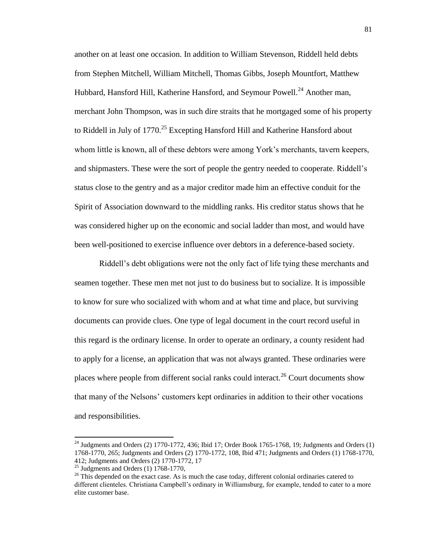another on at least one occasion. In addition to William Stevenson, Riddell held debts from Stephen Mitchell, William Mitchell, Thomas Gibbs, Joseph Mountfort, Matthew Hubbard, Hansford Hill, Katherine Hansford, and Seymour Powell.<sup>24</sup> Another man, merchant John Thompson, was in such dire straits that he mortgaged some of his property to Riddell in July of 1770.<sup>25</sup> Excepting Hansford Hill and Katherine Hansford about whom little is known, all of these debtors were among York's merchants, tavern keepers, and shipmasters. These were the sort of people the gentry needed to cooperate. Riddell's status close to the gentry and as a major creditor made him an effective conduit for the Spirit of Association downward to the middling ranks. His creditor status shows that he was considered higher up on the economic and social ladder than most, and would have been well-positioned to exercise influence over debtors in a deference-based society.

Riddell's debt obligations were not the only fact of life tying these merchants and seamen together. These men met not just to do business but to socialize. It is impossible to know for sure who socialized with whom and at what time and place, but surviving documents can provide clues. One type of legal document in the court record useful in this regard is the ordinary license. In order to operate an ordinary, a county resident had to apply for a license, an application that was not always granted. These ordinaries were places where people from different social ranks could interact.<sup>26</sup> Court documents show that many of the Nelsons' customers kept ordinaries in addition to their other vocations and responsibilities.

 $^{24}$  Judgments and Orders (2) 1770-1772, 436; Ibid 17; Order Book 1765-1768, 19; Judgments and Orders (1) 1768-1770, 265; Judgments and Orders (2) 1770-1772, 108, Ibid 471; Judgments and Orders (1) 1768-1770, 412; Judgments and Orders (2) 1770-1772, 17

 $25$  Judgments and Orders (1) 1768-1770,

 $26$  This depended on the exact case. As is much the case today, different colonial ordinaries catered to different clienteles. Christiana Campbell's ordinary in Williamsburg, for example, tended to cater to a more elite customer base.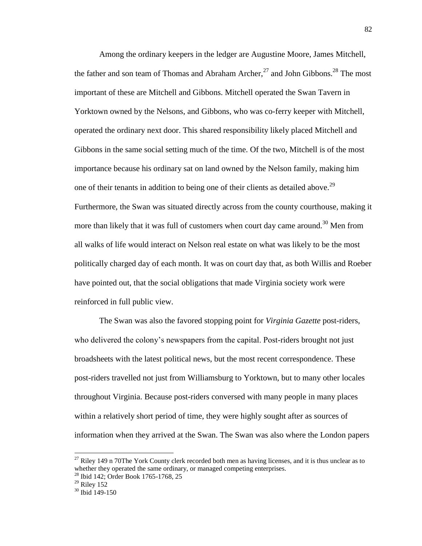Among the ordinary keepers in the ledger are Augustine Moore, James Mitchell, the father and son team of Thomas and Abraham Archer,<sup>27</sup> and John Gibbons.<sup>28</sup> The most important of these are Mitchell and Gibbons. Mitchell operated the Swan Tavern in Yorktown owned by the Nelsons, and Gibbons, who was co-ferry keeper with Mitchell, operated the ordinary next door. This shared responsibility likely placed Mitchell and Gibbons in the same social setting much of the time. Of the two, Mitchell is of the most importance because his ordinary sat on land owned by the Nelson family, making him one of their tenants in addition to being one of their clients as detailed above.<sup>29</sup> Furthermore, the Swan was situated directly across from the county courthouse, making it more than likely that it was full of customers when court day came around.<sup>30</sup> Men from all walks of life would interact on Nelson real estate on what was likely to be the most politically charged day of each month. It was on court day that, as both Willis and Roeber have pointed out, that the social obligations that made Virginia society work were reinforced in full public view.

The Swan was also the favored stopping point for *Virginia Gazette* post-riders, who delivered the colony's newspapers from the capital. Post-riders brought not just broadsheets with the latest political news, but the most recent correspondence. These post-riders travelled not just from Williamsburg to Yorktown, but to many other locales throughout Virginia. Because post-riders conversed with many people in many places within a relatively short period of time, they were highly sought after as sources of information when they arrived at the Swan. The Swan was also where the London papers

 $\overline{a}$ 

 $27$  Riley 149 n 70The York County clerk recorded both men as having licenses, and it is thus unclear as to whether they operated the same ordinary, or managed competing enterprises. <sup>28</sup> Ibid 142; Order Book 1765-1768, 25

 $29$  Riley 152

 $30$  Ibid 149-150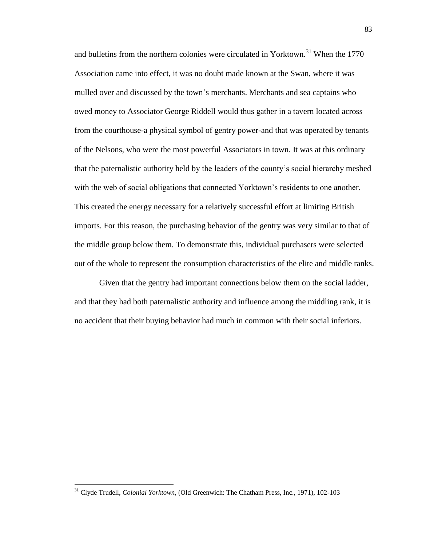and bulletins from the northern colonies were circulated in Yorktown.<sup>31</sup> When the 1770 Association came into effect, it was no doubt made known at the Swan, where it was mulled over and discussed by the town's merchants. Merchants and sea captains who owed money to Associator George Riddell would thus gather in a tavern located across from the courthouse-a physical symbol of gentry power-and that was operated by tenants of the Nelsons, who were the most powerful Associators in town. It was at this ordinary that the paternalistic authority held by the leaders of the county's social hierarchy meshed with the web of social obligations that connected Yorktown's residents to one another. This created the energy necessary for a relatively successful effort at limiting British imports. For this reason, the purchasing behavior of the gentry was very similar to that of the middle group below them. To demonstrate this, individual purchasers were selected out of the whole to represent the consumption characteristics of the elite and middle ranks.

Given that the gentry had important connections below them on the social ladder, and that they had both paternalistic authority and influence among the middling rank, it is no accident that their buying behavior had much in common with their social inferiors.

<sup>31</sup> Clyde Trudell, *Colonial Yorktown*, (Old Greenwich: The Chatham Press, Inc., 1971), 102-103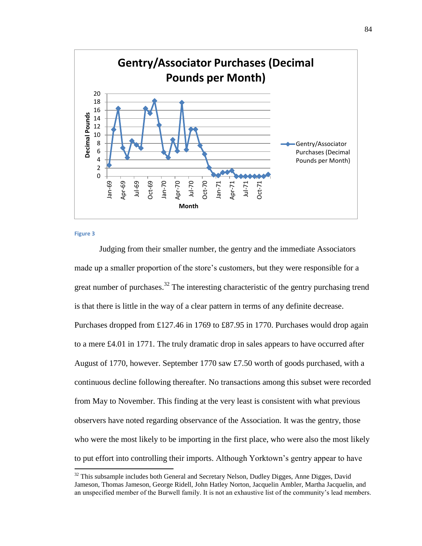

### **Figure 3**

 $\overline{\phantom{a}}$ 

Judging from their smaller number, the gentry and the immediate Associators made up a smaller proportion of the store's customers, but they were responsible for a great number of purchases.<sup>32</sup> The interesting characteristic of the gentry purchasing trend is that there is little in the way of a clear pattern in terms of any definite decrease. Purchases dropped from £127.46 in 1769 to £87.95 in 1770. Purchases would drop again to a mere £4.01 in 1771. The truly dramatic drop in sales appears to have occurred after August of 1770, however. September 1770 saw £7.50 worth of goods purchased, with a continuous decline following thereafter. No transactions among this subset were recorded from May to November. This finding at the very least is consistent with what previous observers have noted regarding observance of the Association. It was the gentry, those who were the most likely to be importing in the first place, who were also the most likely to put effort into controlling their imports. Although Yorktown's gentry appear to have

 $32$  This subsample includes both General and Secretary Nelson, Dudley Digges, Anne Digges, David Jameson, Thomas Jameson, George Ridell, John Hatley Norton, Jacquelin Ambler, Martha Jacquelin, and an unspecified member of the Burwell family. It is not an exhaustive list of the community's lead members.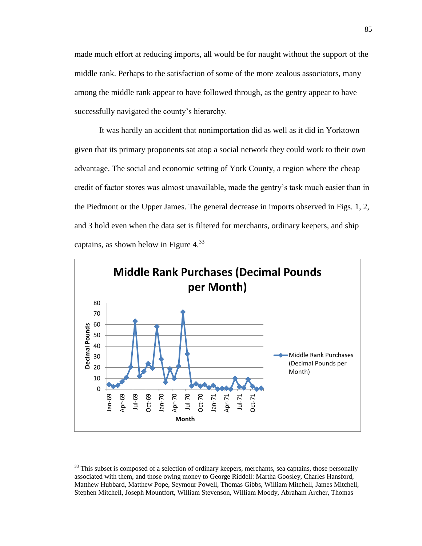made much effort at reducing imports, all would be for naught without the support of the middle rank. Perhaps to the satisfaction of some of the more zealous associators, many among the middle rank appear to have followed through, as the gentry appear to have successfully navigated the county's hierarchy.

It was hardly an accident that nonimportation did as well as it did in Yorktown given that its primary proponents sat atop a social network they could work to their own advantage. The social and economic setting of York County, a region where the cheap credit of factor stores was almost unavailable, made the gentry's task much easier than in the Piedmont or the Upper James. The general decrease in imports observed in Figs. 1, 2, and 3 hold even when the data set is filtered for merchants, ordinary keepers, and ship captains, as shown below in Figure  $4^{33}$ 



<sup>&</sup>lt;sup>33</sup> This subset is composed of a selection of ordinary keepers, merchants, sea captains, those personally associated with them, and those owing money to George Riddell: Martha Goosley, Charles Hansford, Matthew Hubbard, Matthew Pope, Seymour Powell, Thomas Gibbs, William Mitchell, James Mitchell, Stephen Mitchell, Joseph Mountfort, William Stevenson, William Moody, Abraham Archer, Thomas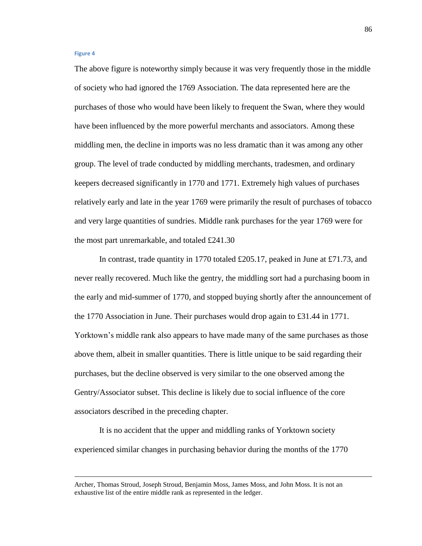## **Figure 4**

 $\overline{\phantom{a}}$ 

The above figure is noteworthy simply because it was very frequently those in the middle of society who had ignored the 1769 Association. The data represented here are the purchases of those who would have been likely to frequent the Swan, where they would have been influenced by the more powerful merchants and associators. Among these middling men, the decline in imports was no less dramatic than it was among any other group. The level of trade conducted by middling merchants, tradesmen, and ordinary keepers decreased significantly in 1770 and 1771. Extremely high values of purchases relatively early and late in the year 1769 were primarily the result of purchases of tobacco and very large quantities of sundries. Middle rank purchases for the year 1769 were for the most part unremarkable, and totaled £241.30

In contrast, trade quantity in 1770 totaled £205.17, peaked in June at £71.73, and never really recovered. Much like the gentry, the middling sort had a purchasing boom in the early and mid-summer of 1770, and stopped buying shortly after the announcement of the 1770 Association in June. Their purchases would drop again to £31.44 in 1771. Yorktown's middle rank also appears to have made many of the same purchases as those above them, albeit in smaller quantities. There is little unique to be said regarding their purchases, but the decline observed is very similar to the one observed among the Gentry/Associator subset. This decline is likely due to social influence of the core associators described in the preceding chapter.

It is no accident that the upper and middling ranks of Yorktown society experienced similar changes in purchasing behavior during the months of the 1770

Archer, Thomas Stroud, Joseph Stroud, Benjamin Moss, James Moss, and John Moss. It is not an exhaustive list of the entire middle rank as represented in the ledger.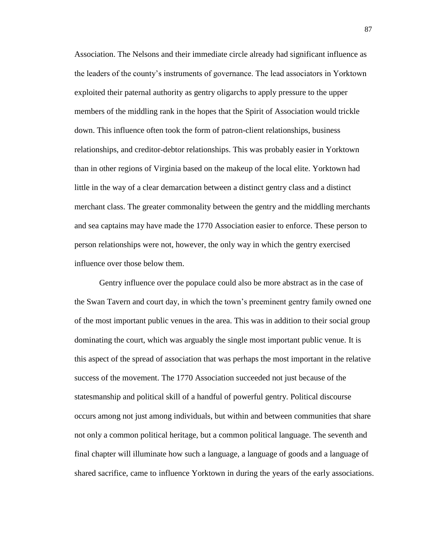Association. The Nelsons and their immediate circle already had significant influence as the leaders of the county's instruments of governance. The lead associators in Yorktown exploited their paternal authority as gentry oligarchs to apply pressure to the upper members of the middling rank in the hopes that the Spirit of Association would trickle down. This influence often took the form of patron-client relationships, business relationships, and creditor-debtor relationships. This was probably easier in Yorktown than in other regions of Virginia based on the makeup of the local elite. Yorktown had little in the way of a clear demarcation between a distinct gentry class and a distinct merchant class. The greater commonality between the gentry and the middling merchants and sea captains may have made the 1770 Association easier to enforce. These person to person relationships were not, however, the only way in which the gentry exercised influence over those below them.

Gentry influence over the populace could also be more abstract as in the case of the Swan Tavern and court day, in which the town's preeminent gentry family owned one of the most important public venues in the area. This was in addition to their social group dominating the court, which was arguably the single most important public venue. It is this aspect of the spread of association that was perhaps the most important in the relative success of the movement. The 1770 Association succeeded not just because of the statesmanship and political skill of a handful of powerful gentry. Political discourse occurs among not just among individuals, but within and between communities that share not only a common political heritage, but a common political language. The seventh and final chapter will illuminate how such a language, a language of goods and a language of shared sacrifice, came to influence Yorktown in during the years of the early associations.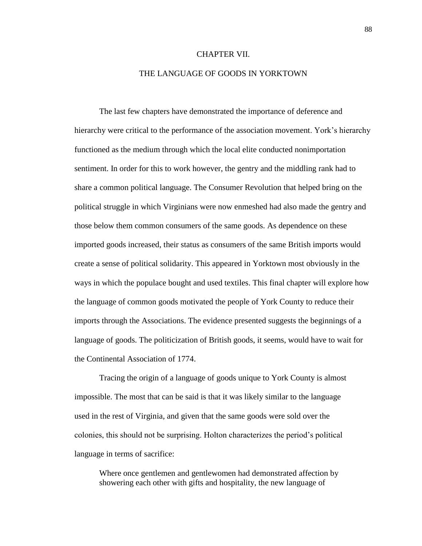# CHAPTER VII.

# THE LANGUAGE OF GOODS IN YORKTOWN

The last few chapters have demonstrated the importance of deference and hierarchy were critical to the performance of the association movement. York's hierarchy functioned as the medium through which the local elite conducted nonimportation sentiment. In order for this to work however, the gentry and the middling rank had to share a common political language. The Consumer Revolution that helped bring on the political struggle in which Virginians were now enmeshed had also made the gentry and those below them common consumers of the same goods. As dependence on these imported goods increased, their status as consumers of the same British imports would create a sense of political solidarity. This appeared in Yorktown most obviously in the ways in which the populace bought and used textiles. This final chapter will explore how the language of common goods motivated the people of York County to reduce their imports through the Associations. The evidence presented suggests the beginnings of a language of goods. The politicization of British goods, it seems, would have to wait for the Continental Association of 1774.

Tracing the origin of a language of goods unique to York County is almost impossible. The most that can be said is that it was likely similar to the language used in the rest of Virginia, and given that the same goods were sold over the colonies, this should not be surprising. Holton characterizes the period's political language in terms of sacrifice:

Where once gentlemen and gentlewomen had demonstrated affection by showering each other with gifts and hospitality, the new language of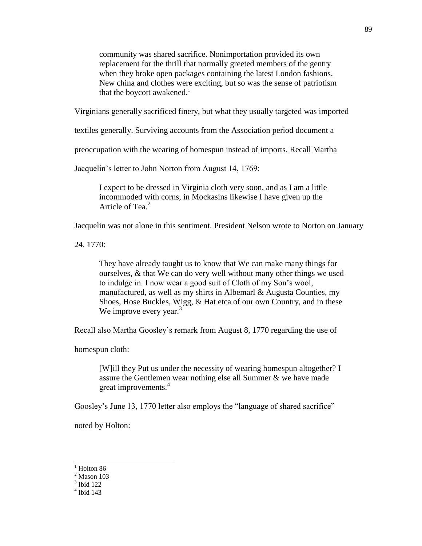community was shared sacrifice. Nonimportation provided its own replacement for the thrill that normally greeted members of the gentry when they broke open packages containing the latest London fashions. New china and clothes were exciting, but so was the sense of patriotism that the boycott awakened.<sup>1</sup>

Virginians generally sacrificed finery, but what they usually targeted was imported

textiles generally. Surviving accounts from the Association period document a

preoccupation with the wearing of homespun instead of imports. Recall Martha

Jacquelin's letter to John Norton from August 14, 1769:

I expect to be dressed in Virginia cloth very soon, and as I am a little incommoded with corns, in Mockasins likewise I have given up the Article of Tea.<sup>2</sup>

Jacquelin was not alone in this sentiment. President Nelson wrote to Norton on January

24. 1770:

They have already taught us to know that We can make many things for ourselves, & that We can do very well without many other things we used to indulge in. I now wear a good suit of Cloth of my Son's wool, manufactured, as well as my shirts in Albemarl & Augusta Counties, my Shoes, Hose Buckles, Wigg, & Hat etca of our own Country, and in these We improve every year. $3$ 

Recall also Martha Goosley's remark from August 8, 1770 regarding the use of

homespun cloth:

[W]ill they Put us under the necessity of wearing homespun altogether? I assure the Gentlemen wear nothing else all Summer & we have made great improvements. 4

Goosley's June 13, 1770 letter also employs the "language of shared sacrifice"

noted by Holton:

 $<sup>1</sup>$  Holton 86</sup>

 $<sup>2</sup>$  Mason 103</sup>

<sup>3</sup> Ibid 122

<sup>4</sup> Ibid 143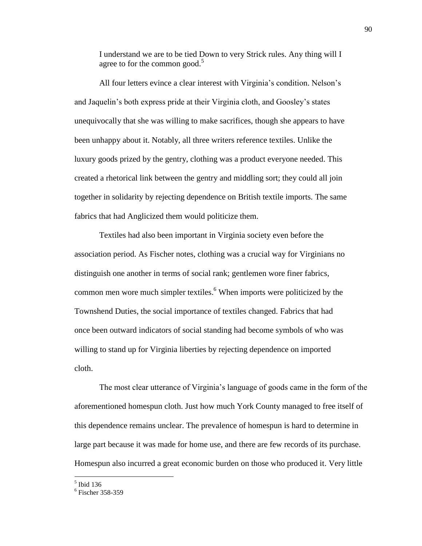I understand we are to be tied Down to very Strick rules. Any thing will I agree to for the common good. $5$ 

All four letters evince a clear interest with Virginia's condition. Nelson's and Jaquelin's both express pride at their Virginia cloth, and Goosley's states unequivocally that she was willing to make sacrifices, though she appears to have been unhappy about it. Notably, all three writers reference textiles. Unlike the luxury goods prized by the gentry, clothing was a product everyone needed. This created a rhetorical link between the gentry and middling sort; they could all join together in solidarity by rejecting dependence on British textile imports. The same fabrics that had Anglicized them would politicize them.

Textiles had also been important in Virginia society even before the association period. As Fischer notes, clothing was a crucial way for Virginians no distinguish one another in terms of social rank; gentlemen wore finer fabrics, common men wore much simpler textiles.<sup>6</sup> When imports were politicized by the Townshend Duties, the social importance of textiles changed. Fabrics that had once been outward indicators of social standing had become symbols of who was willing to stand up for Virginia liberties by rejecting dependence on imported cloth.

The most clear utterance of Virginia's language of goods came in the form of the aforementioned homespun cloth. Just how much York County managed to free itself of this dependence remains unclear. The prevalence of homespun is hard to determine in large part because it was made for home use, and there are few records of its purchase. Homespun also incurred a great economic burden on those who produced it. Very little

 5 Ibid 136

<sup>6</sup> Fischer 358-359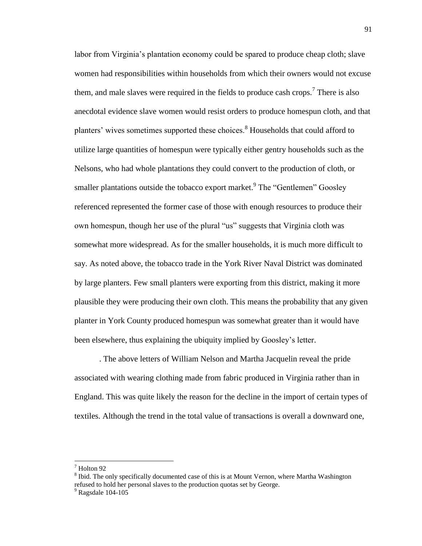labor from Virginia's plantation economy could be spared to produce cheap cloth; slave women had responsibilities within households from which their owners would not excuse them, and male slaves were required in the fields to produce cash crops.<sup>7</sup> There is also anecdotal evidence slave women would resist orders to produce homespun cloth, and that planters' wives sometimes supported these choices.<sup>8</sup> Households that could afford to utilize large quantities of homespun were typically either gentry households such as the Nelsons, who had whole plantations they could convert to the production of cloth, or smaller plantations outside the tobacco export market.<sup>9</sup> The "Gentlemen" Goosley referenced represented the former case of those with enough resources to produce their own homespun, though her use of the plural "us" suggests that Virginia cloth was somewhat more widespread. As for the smaller households, it is much more difficult to say. As noted above, the tobacco trade in the York River Naval District was dominated by large planters. Few small planters were exporting from this district, making it more plausible they were producing their own cloth. This means the probability that any given planter in York County produced homespun was somewhat greater than it would have been elsewhere, thus explaining the ubiquity implied by Goosley's letter.

. The above letters of William Nelson and Martha Jacquelin reveal the pride associated with wearing clothing made from fabric produced in Virginia rather than in England. This was quite likely the reason for the decline in the import of certain types of textiles. Although the trend in the total value of transactions is overall a downward one,

 $<sup>7</sup>$  Holton 92</sup>

<sup>&</sup>lt;sup>8</sup> Ibid. The only specifically documented case of this is at Mount Vernon, where Martha Washington refused to hold her personal slaves to the production quotas set by George.

 $9$  Ragsdale 104-105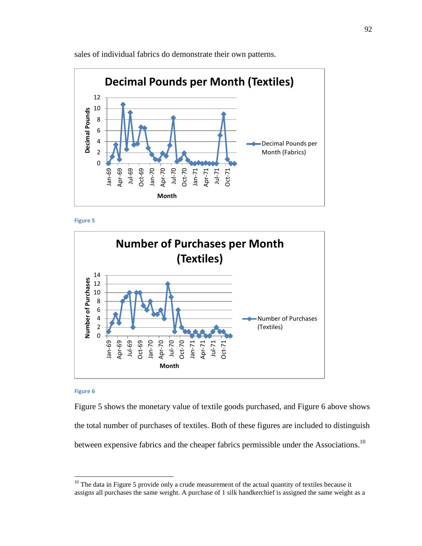

sales of individual fabrics do demonstrate their own patterns.





#### **Figure 6**

 $\overline{\phantom{a}}$ 

Figure 5 shows the monetary value of textile goods purchased, and Figure 6 above shows the total number of purchases of textiles. Both of these figures are included to distinguish between expensive fabrics and the cheaper fabrics permissible under the Associations.<sup>10</sup>

 $10$  The data in Figure 5 provide only a crude measurement of the actual quantity of textiles because it assigns all purchases the same weight. A purchase of 1 silk handkerchief is assigned the same weight as a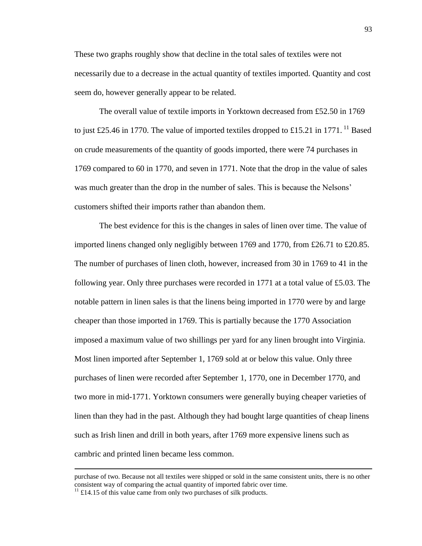These two graphs roughly show that decline in the total sales of textiles were not necessarily due to a decrease in the actual quantity of textiles imported. Quantity and cost seem do, however generally appear to be related.

The overall value of textile imports in Yorktown decreased from £52.50 in 1769 to just £25.46 in 1770. The value of imported textiles dropped to £15.21 in 1771.<sup>11</sup> Based on crude measurements of the quantity of goods imported, there were 74 purchases in 1769 compared to 60 in 1770, and seven in 1771. Note that the drop in the value of sales was much greater than the drop in the number of sales. This is because the Nelsons' customers shifted their imports rather than abandon them.

The best evidence for this is the changes in sales of linen over time. The value of imported linens changed only negligibly between 1769 and 1770, from £26.71 to £20.85. The number of purchases of linen cloth, however, increased from 30 in 1769 to 41 in the following year. Only three purchases were recorded in 1771 at a total value of £5.03. The notable pattern in linen sales is that the linens being imported in 1770 were by and large cheaper than those imported in 1769. This is partially because the 1770 Association imposed a maximum value of two shillings per yard for any linen brought into Virginia. Most linen imported after September 1, 1769 sold at or below this value. Only three purchases of linen were recorded after September 1, 1770, one in December 1770, and two more in mid-1771. Yorktown consumers were generally buying cheaper varieties of linen than they had in the past. Although they had bought large quantities of cheap linens such as Irish linen and drill in both years, after 1769 more expensive linens such as cambric and printed linen became less common.

purchase of two. Because not all textiles were shipped or sold in the same consistent units, there is no other consistent way of comparing the actual quantity of imported fabric over time.

 $11 \text{ } \text{\textsterling}14.15$  of this value came from only two purchases of silk products.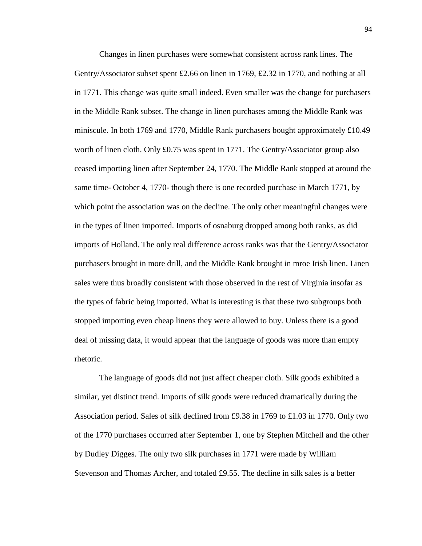Changes in linen purchases were somewhat consistent across rank lines. The Gentry/Associator subset spent £2.66 on linen in 1769, £2.32 in 1770, and nothing at all in 1771. This change was quite small indeed. Even smaller was the change for purchasers in the Middle Rank subset. The change in linen purchases among the Middle Rank was miniscule. In both 1769 and 1770, Middle Rank purchasers bought approximately £10.49 worth of linen cloth. Only £0.75 was spent in 1771. The Gentry/Associator group also ceased importing linen after September 24, 1770. The Middle Rank stopped at around the same time- October 4, 1770- though there is one recorded purchase in March 1771, by which point the association was on the decline. The only other meaningful changes were in the types of linen imported. Imports of osnaburg dropped among both ranks, as did imports of Holland. The only real difference across ranks was that the Gentry/Associator purchasers brought in more drill, and the Middle Rank brought in mroe Irish linen. Linen sales were thus broadly consistent with those observed in the rest of Virginia insofar as the types of fabric being imported. What is interesting is that these two subgroups both stopped importing even cheap linens they were allowed to buy. Unless there is a good deal of missing data, it would appear that the language of goods was more than empty rhetoric.

The language of goods did not just affect cheaper cloth. Silk goods exhibited a similar, yet distinct trend. Imports of silk goods were reduced dramatically during the Association period. Sales of silk declined from £9.38 in 1769 to £1.03 in 1770. Only two of the 1770 purchases occurred after September 1, one by Stephen Mitchell and the other by Dudley Digges. The only two silk purchases in 1771 were made by William Stevenson and Thomas Archer, and totaled £9.55. The decline in silk sales is a better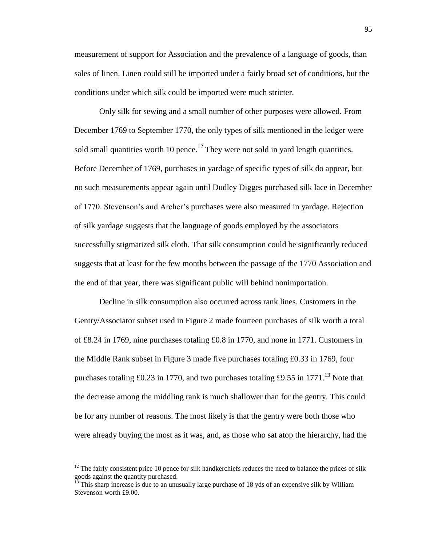measurement of support for Association and the prevalence of a language of goods, than sales of linen. Linen could still be imported under a fairly broad set of conditions, but the conditions under which silk could be imported were much stricter.

Only silk for sewing and a small number of other purposes were allowed. From December 1769 to September 1770, the only types of silk mentioned in the ledger were sold small quantities worth 10 pence.<sup>12</sup> They were not sold in yard length quantities. Before December of 1769, purchases in yardage of specific types of silk do appear, but no such measurements appear again until Dudley Digges purchased silk lace in December of 1770. Stevenson's and Archer's purchases were also measured in yardage. Rejection of silk yardage suggests that the language of goods employed by the associators successfully stigmatized silk cloth. That silk consumption could be significantly reduced suggests that at least for the few months between the passage of the 1770 Association and the end of that year, there was significant public will behind nonimportation.

Decline in silk consumption also occurred across rank lines. Customers in the Gentry/Associator subset used in Figure 2 made fourteen purchases of silk worth a total of £8.24 in 1769, nine purchases totaling £0.8 in 1770, and none in 1771. Customers in the Middle Rank subset in Figure 3 made five purchases totaling £0.33 in 1769, four purchases totaling £0.23 in 1770, and two purchases totaling £9.55 in 1771.<sup>13</sup> Note that the decrease among the middling rank is much shallower than for the gentry. This could be for any number of reasons. The most likely is that the gentry were both those who were already buying the most as it was, and, as those who sat atop the hierarchy, had the

 $12$  The fairly consistent price 10 pence for silk handkerchiefs reduces the need to balance the prices of silk goods against the quantity purchased.

 $\frac{1}{13}$  This sharp increase is due to an unusually large purchase of 18 yds of an expensive silk by William Stevenson worth £9.00.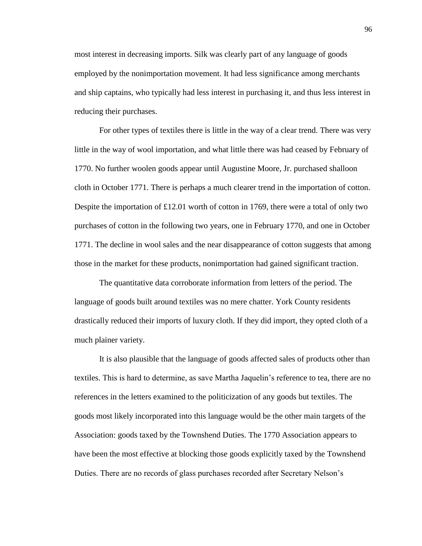most interest in decreasing imports. Silk was clearly part of any language of goods employed by the nonimportation movement. It had less significance among merchants and ship captains, who typically had less interest in purchasing it, and thus less interest in reducing their purchases.

For other types of textiles there is little in the way of a clear trend. There was very little in the way of wool importation, and what little there was had ceased by February of 1770. No further woolen goods appear until Augustine Moore, Jr. purchased shalloon cloth in October 1771. There is perhaps a much clearer trend in the importation of cotton. Despite the importation of  $£12.01$  worth of cotton in 1769, there were a total of only two purchases of cotton in the following two years, one in February 1770, and one in October 1771. The decline in wool sales and the near disappearance of cotton suggests that among those in the market for these products, nonimportation had gained significant traction.

The quantitative data corroborate information from letters of the period. The language of goods built around textiles was no mere chatter. York County residents drastically reduced their imports of luxury cloth. If they did import, they opted cloth of a much plainer variety.

It is also plausible that the language of goods affected sales of products other than textiles. This is hard to determine, as save Martha Jaquelin's reference to tea, there are no references in the letters examined to the politicization of any goods but textiles. The goods most likely incorporated into this language would be the other main targets of the Association: goods taxed by the Townshend Duties. The 1770 Association appears to have been the most effective at blocking those goods explicitly taxed by the Townshend Duties. There are no records of glass purchases recorded after Secretary Nelson's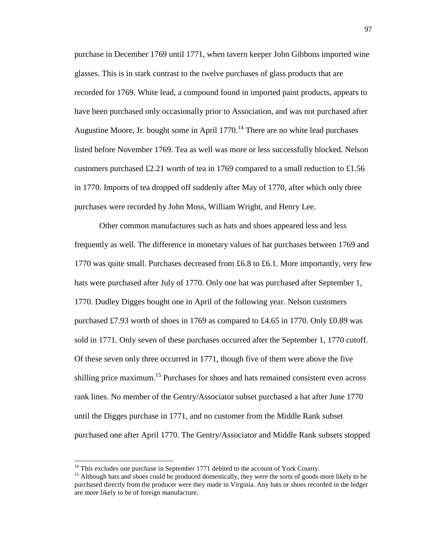purchase in December 1769 until 1771, when tavern keeper John Gibbons imported wine glasses. This is in stark contrast to the twelve purchases of glass products that are recorded for 1769. White lead, a compound found in imported paint products, appears to have been purchased only occasionally prior to Association, and was not purchased after Augustine Moore, Jr. bought some in April  $1770$ .<sup>14</sup> There are no white lead purchases listed before November 1769. Tea as well was more or less successfully blocked. Nelson customers purchased £2.21 worth of tea in 1769 compared to a small reduction to £1.56 in 1770. Imports of tea dropped off suddenly after May of 1770, after which only three purchases were recorded by John Moss, William Wright, and Henry Lee.

Other common manufactures such as hats and shoes appeared less and less frequently as well. The difference in monetary values of hat purchases between 1769 and 1770 was quite small. Purchases decreased from £6.8 to £6.1. More importantly, very few hats were purchased after July of 1770. Only one hat was purchased after September 1, 1770. Dudley Digges bought one in April of the following year. Nelson customers purchased £7.93 worth of shoes in 1769 as compared to £4.65 in 1770. Only £0.89 was sold in 1771. Only seven of these purchases occurred after the September 1, 1770 cutoff. Of these seven only three occurred in 1771, though five of them were above the five shilling price maximum.<sup>15</sup> Purchases for shoes and hats remained consistent even across rank lines. No member of the Gentry/Associator subset purchased a hat after June 1770 until the Digges purchase in 1771, and no customer from the Middle Rank subset purchased one after April 1770. The Gentry/Associator and Middle Rank subsets stopped

<sup>&</sup>lt;sup>14</sup> This excludes one purchase in September 1771 debited to the account of York County.

<sup>&</sup>lt;sup>15</sup> Although hats and shoes could be produced domestically, they were the sorts of goods more likely to be purchased directly from the producer were they made in Virginia. Any hats or shoes recorded in the ledger are more likely to be of foreign manufacture.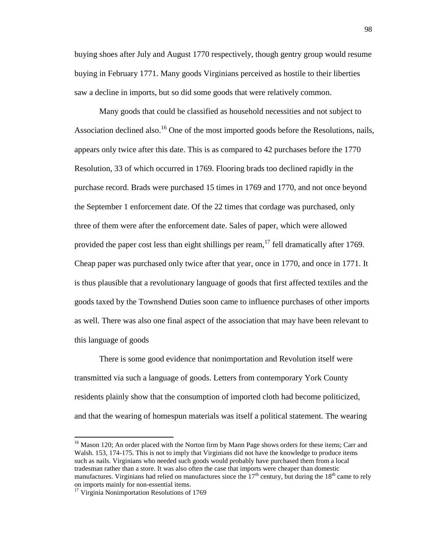buying shoes after July and August 1770 respectively, though gentry group would resume buying in February 1771. Many goods Virginians perceived as hostile to their liberties saw a decline in imports, but so did some goods that were relatively common.

Many goods that could be classified as household necessities and not subject to Association declined also.<sup>16</sup> One of the most imported goods before the Resolutions, nails, appears only twice after this date. This is as compared to 42 purchases before the 1770 Resolution, 33 of which occurred in 1769. Flooring brads too declined rapidly in the purchase record. Brads were purchased 15 times in 1769 and 1770, and not once beyond the September 1 enforcement date. Of the 22 times that cordage was purchased, only three of them were after the enforcement date. Sales of paper, which were allowed provided the paper cost less than eight shillings per ream,<sup>17</sup> fell dramatically after 1769. Cheap paper was purchased only twice after that year, once in 1770, and once in 1771. It is thus plausible that a revolutionary language of goods that first affected textiles and the goods taxed by the Townshend Duties soon came to influence purchases of other imports as well. There was also one final aspect of the association that may have been relevant to this language of goods

There is some good evidence that nonimportation and Revolution itself were transmitted via such a language of goods. Letters from contemporary York County residents plainly show that the consumption of imported cloth had become politicized, and that the wearing of homespun materials was itself a political statement. The wearing

<sup>&</sup>lt;sup>16</sup> Mason 120; An order placed with the Norton firm by Mann Page shows orders for these items; Carr and Walsh. 153, 174-175. This is not to imply that Virginians did not have the knowledge to produce items such as nails. Virginians who needed such goods would probably have purchased them from a local tradesman rather than a store. It was also often the case that imports were cheaper than domestic manufactures. Virginians had relied on manufactures since the  $17<sup>th</sup>$  century, but during the  $18<sup>th</sup>$  came to rely on imports mainly for non-essential items.

<sup>&</sup>lt;sup>17</sup> Virginia Nonimportation Resolutions of 1769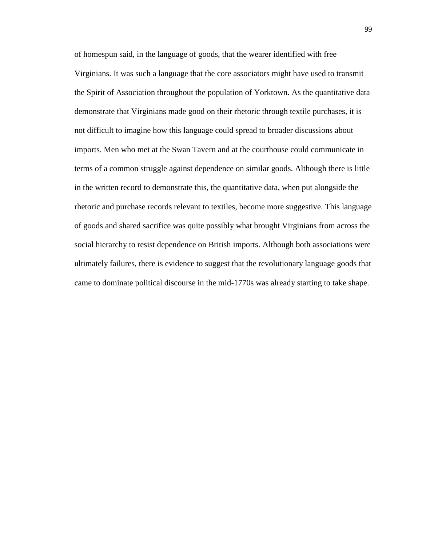of homespun said, in the language of goods, that the wearer identified with free Virginians. It was such a language that the core associators might have used to transmit the Spirit of Association throughout the population of Yorktown. As the quantitative data demonstrate that Virginians made good on their rhetoric through textile purchases, it is not difficult to imagine how this language could spread to broader discussions about imports. Men who met at the Swan Tavern and at the courthouse could communicate in terms of a common struggle against dependence on similar goods. Although there is little in the written record to demonstrate this, the quantitative data, when put alongside the rhetoric and purchase records relevant to textiles, become more suggestive. This language of goods and shared sacrifice was quite possibly what brought Virginians from across the social hierarchy to resist dependence on British imports. Although both associations were ultimately failures, there is evidence to suggest that the revolutionary language goods that came to dominate political discourse in the mid-1770s was already starting to take shape.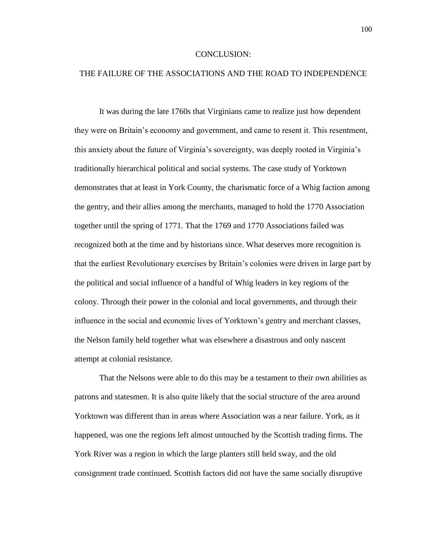## CONCLUSION:

# THE FAILURE OF THE ASSOCIATIONS AND THE ROAD TO INDEPENDENCE

It was during the late 1760s that Virginians came to realize just how dependent they were on Britain's economy and government, and came to resent it. This resentment, this anxiety about the future of Virginia's sovereignty, was deeply rooted in Virginia's traditionally hierarchical political and social systems. The case study of Yorktown demonstrates that at least in York County, the charismatic force of a Whig faction among the gentry, and their allies among the merchants, managed to hold the 1770 Association together until the spring of 1771. That the 1769 and 1770 Associations failed was recognized both at the time and by historians since. What deserves more recognition is that the earliest Revolutionary exercises by Britain's colonies were driven in large part by the political and social influence of a handful of Whig leaders in key regions of the colony. Through their power in the colonial and local governments, and through their influence in the social and economic lives of Yorktown's gentry and merchant classes, the Nelson family held together what was elsewhere a disastrous and only nascent attempt at colonial resistance.

That the Nelsons were able to do this may be a testament to their own abilities as patrons and statesmen. It is also quite likely that the social structure of the area around Yorktown was different than in areas where Association was a near failure. York, as it happened, was one the regions left almost untouched by the Scottish trading firms. The York River was a region in which the large planters still held sway, and the old consignment trade continued. Scottish factors did not have the same socially disruptive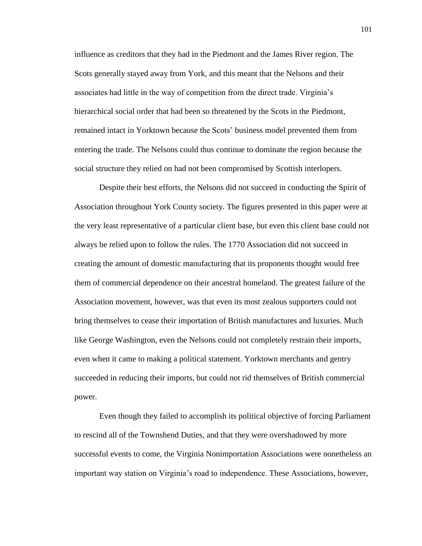influence as creditors that they had in the Piedmont and the James River region. The Scots generally stayed away from York, and this meant that the Nelsons and their associates had little in the way of competition from the direct trade. Virginia's hierarchical social order that had been so threatened by the Scots in the Piedmont, remained intact in Yorktown because the Scots' business model prevented them from entering the trade. The Nelsons could thus continue to dominate the region because the social structure they relied on had not been compromised by Scottish interlopers.

Despite their best efforts, the Nelsons did not succeed in conducting the Spirit of Association throughout York County society. The figures presented in this paper were at the very least representative of a particular client base, but even this client base could not always be relied upon to follow the rules. The 1770 Association did not succeed in creating the amount of domestic manufacturing that its proponents thought would free them of commercial dependence on their ancestral homeland. The greatest failure of the Association movement, however, was that even its most zealous supporters could not bring themselves to cease their importation of British manufactures and luxuries. Much like George Washington, even the Nelsons could not completely restrain their imports, even when it came to making a political statement. Yorktown merchants and gentry succeeded in reducing their imports, but could not rid themselves of British commercial power.

Even though they failed to accomplish its political objective of forcing Parliament to rescind all of the Townshend Duties, and that they were overshadowed by more successful events to come, the Virginia Nonimportation Associations were nonetheless an important way station on Virginia's road to independence. These Associations, however,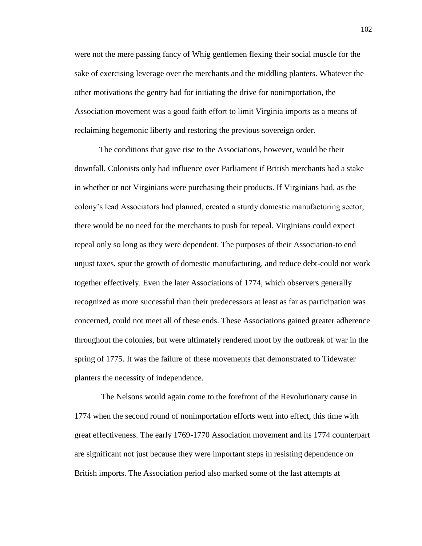were not the mere passing fancy of Whig gentlemen flexing their social muscle for the sake of exercising leverage over the merchants and the middling planters. Whatever the other motivations the gentry had for initiating the drive for nonimportation, the Association movement was a good faith effort to limit Virginia imports as a means of reclaiming hegemonic liberty and restoring the previous sovereign order.

The conditions that gave rise to the Associations, however, would be their downfall. Colonists only had influence over Parliament if British merchants had a stake in whether or not Virginians were purchasing their products. If Virginians had, as the colony's lead Associators had planned, created a sturdy domestic manufacturing sector, there would be no need for the merchants to push for repeal. Virginians could expect repeal only so long as they were dependent. The purposes of their Association-to end unjust taxes, spur the growth of domestic manufacturing, and reduce debt-could not work together effectively. Even the later Associations of 1774, which observers generally recognized as more successful than their predecessors at least as far as participation was concerned, could not meet all of these ends. These Associations gained greater adherence throughout the colonies, but were ultimately rendered moot by the outbreak of war in the spring of 1775. It was the failure of these movements that demonstrated to Tidewater planters the necessity of independence.

The Nelsons would again come to the forefront of the Revolutionary cause in 1774 when the second round of nonimportation efforts went into effect, this time with great effectiveness. The early 1769-1770 Association movement and its 1774 counterpart are significant not just because they were important steps in resisting dependence on British imports. The Association period also marked some of the last attempts at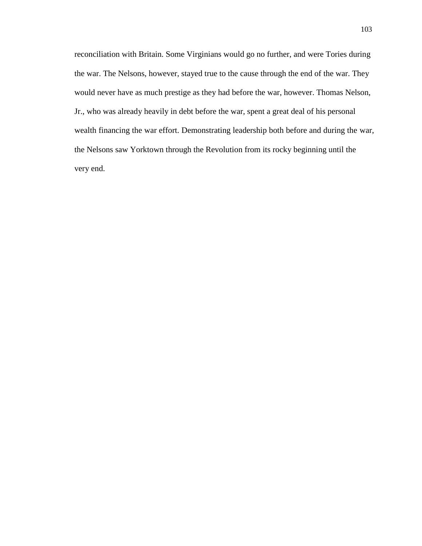reconciliation with Britain. Some Virginians would go no further, and were Tories during the war. The Nelsons, however, stayed true to the cause through the end of the war. They would never have as much prestige as they had before the war, however. Thomas Nelson, Jr., who was already heavily in debt before the war, spent a great deal of his personal wealth financing the war effort. Demonstrating leadership both before and during the war, the Nelsons saw Yorktown through the Revolution from its rocky beginning until the very end.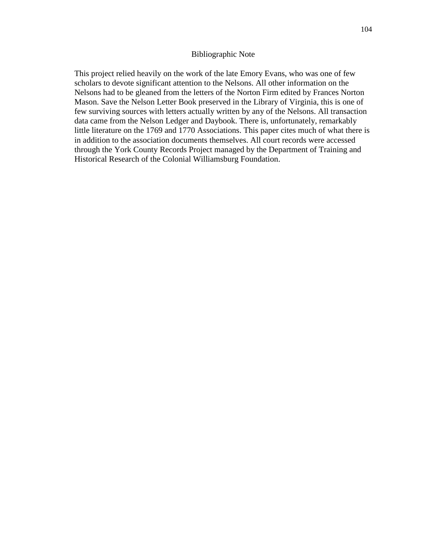## Bibliographic Note

This project relied heavily on the work of the late Emory Evans, who was one of few scholars to devote significant attention to the Nelsons. All other information on the Nelsons had to be gleaned from the letters of the Norton Firm edited by Frances Norton Mason. Save the Nelson Letter Book preserved in the Library of Virginia, this is one of few surviving sources with letters actually written by any of the Nelsons. All transaction data came from the Nelson Ledger and Daybook. There is, unfortunately, remarkably little literature on the 1769 and 1770 Associations. This paper cites much of what there is in addition to the association documents themselves. All court records were accessed through the York County Records Project managed by the Department of Training and Historical Research of the Colonial Williamsburg Foundation.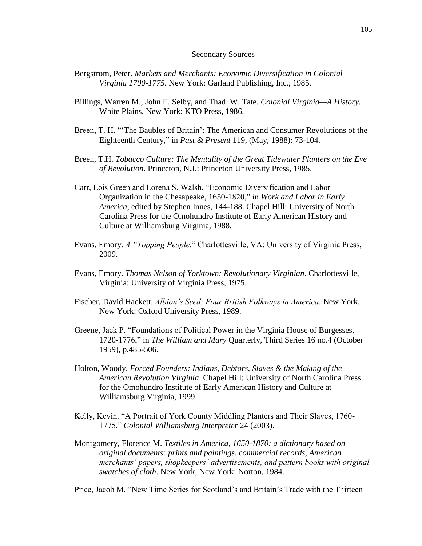## Secondary Sources

- Bergstrom, Peter. *Markets and Merchants: Economic Diversification in Colonial Virginia 1700-1775.* New York: Garland Publishing, Inc., 1985.
- Billings, Warren M., John E. Selby, and Thad. W. Tate. *Colonial Virginia—A History.*  White Plains, New York: KTO Press, 1986.
- Breen, T. H. "'The Baubles of Britain': The American and Consumer Revolutions of the Eighteenth Century," in *Past & Present* 119, (May, 1988): 73-104.
- Breen, T.H. *Tobacco Culture: The Mentality of the Great Tidewater Planters on the Eve of Revolution*. Princeton, N.J.: Princeton University Press, 1985.
- Carr, Lois Green and Lorena S. Walsh. "Economic Diversification and Labor Organization in the Chesapeake, 1650-1820," in *Work and Labor in Early America,* edited by Stephen Innes, 144-188. Chapel Hill: University of North Carolina Press for the Omohundro Institute of Early American History and Culture at Williamsburg Virginia, 1988.
- Evans, Emory. *A "Topping People*." Charlottesville, VA: University of Virginia Press, 2009.
- Evans, Emory. *Thomas Nelson of Yorktown: Revolutionary Virginian*. Charlottesville, Virginia: University of Virginia Press, 1975.
- Fischer, David Hackett. *Albion's Seed: Four British Folkways in America*. New York, New York: Oxford University Press, 1989.
- Greene, Jack P. "Foundations of Political Power in the Virginia House of Burgesses, 1720-1776," in *The William and Mary* Quarterly, Third Series 16 no.4 (October 1959), p.485-506.
- Holton, Woody. *Forced Founders: Indians, Debtors, Slaves & the Making of the American Revolution Virginia*. Chapel Hill: University of North Carolina Press for the Omohundro Institute of Early American History and Culture at Williamsburg Virginia, 1999.
- Kelly, Kevin. "A Portrait of York County Middling Planters and Their Slaves, 1760- 1775." *Colonial Williamsburg Interpreter* 24 (2003).
- Montgomery, Florence M. *Textiles in America, 1650-1870: a dictionary based on original documents: prints and paintings, commercial records, American merchants' papers, shopkeepers' advertisements, and pattern books with original swatches of cloth*. New York, New York: Norton, 1984.

Price, Jacob M. "New Time Series for Scotland's and Britain's Trade with the Thirteen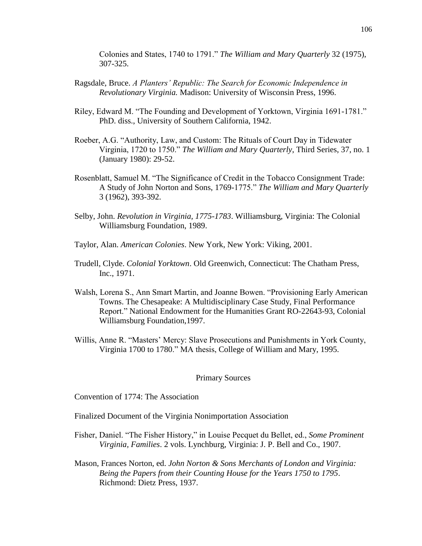Colonies and States, 1740 to 1791." *The William and Mary Quarterly* 32 (1975), 307-325.

- Ragsdale, Bruce. *A Planters' Republic: The Search for Economic Independence in Revolutionary Virginia.* Madison: University of Wisconsin Press, 1996.
- Riley, Edward M. "The Founding and Development of Yorktown, Virginia 1691-1781." PhD. diss., University of Southern California, 1942.
- Roeber, A.G. "Authority, Law, and Custom: The Rituals of Court Day in Tidewater Virginia, 1720 to 1750." *The William and Mary Quarterly*, Third Series, 37, no. 1 (January 1980): 29-52.
- Rosenblatt, Samuel M. "The Significance of Credit in the Tobacco Consignment Trade: A Study of John Norton and Sons, 1769-1775." *The William and Mary Quarterly* 3 (1962), 393-392.
- Selby, John. *Revolution in Virginia, 1775-1783*. Williamsburg, Virginia: The Colonial Williamsburg Foundation, 1989.
- Taylor, Alan. *American Colonies*. New York, New York: Viking, 2001.
- Trudell, Clyde. *Colonial Yorktown*. Old Greenwich, Connecticut: The Chatham Press, Inc., 1971.
- Walsh, Lorena S., Ann Smart Martin, and Joanne Bowen. "Provisioning Early American Towns. The Chesapeake: A Multidisciplinary Case Study, Final Performance Report." National Endowment for the Humanities Grant RO-22643-93, Colonial Williamsburg Foundation,1997.
- Willis, Anne R. "Masters' Mercy: Slave Prosecutions and Punishments in York County, Virginia 1700 to 1780." MA thesis, College of William and Mary, 1995.

## Primary Sources

Convention of 1774: The Association

Finalized Document of the Virginia Nonimportation Association

- Fisher, Daniel. "The Fisher History," in Louise Pecquet du Bellet, ed., *Some Prominent Virginia, Families*. 2 vols. Lynchburg, Virginia: J. P. Bell and Co., 1907.
- Mason, Frances Norton, ed. *John Norton & Sons Merchants of London and Virginia: Being the Papers from their Counting House for the Years 1750 to 1795*. Richmond: Dietz Press, 1937.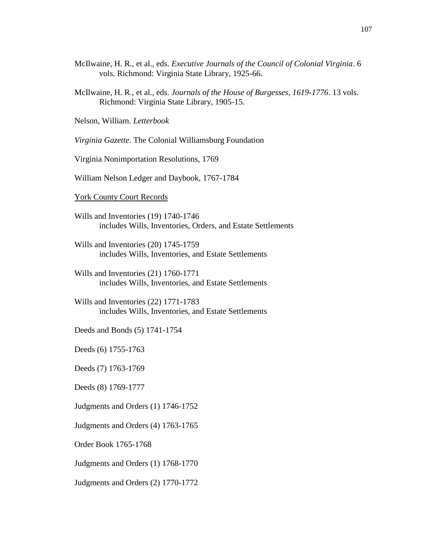- McIlwaine, H. R., et al., eds. *Executive Journals of the Council of Colonial Virginia*. 6 vols. Richmond: Virginia State Library, 1925-66.
- McIlwaine, H. R., et al., eds. *Journals of the House of Burgesses, 1619-1776*. 13 vols. Richmond: Virginia State Library, 1905-15.

Nelson, William. *Letterbook*

*Virginia Gazette*. The Colonial Williamsburg Foundation

Virginia Nonimportation Resolutions, 1769

William Nelson Ledger and Daybook, 1767-1784

## York County Court Records

- Wills and Inventories (19) 1740-1746 includes Wills, Inventories, Orders, and Estate Settlements
- Wills and Inventories (20) 1745-1759 includes Wills, Inventories, and Estate Settlements
- Wills and Inventories (21) 1760-1771 includes Wills, Inventories, and Estate Settlements
- Wills and Inventories (22) 1771-1783 includes Wills, Inventories, and Estate Settlements
- Deeds and Bonds (5) 1741-1754

Deeds (6) 1755-1763

Deeds (7) 1763-1769

Deeds (8) 1769-1777

Judgments and Orders (1) 1746-1752

Judgments and Orders (4) 1763-1765

Order Book 1765-1768

Judgments and Orders (1) 1768-1770

Judgments and Orders (2) 1770-1772